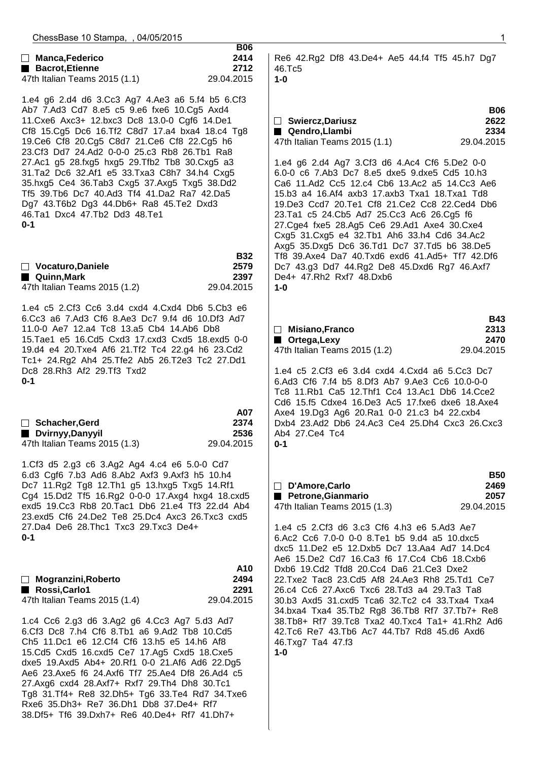| ChessBase 10 Stampa, , 04/05/2015                                                                                                                                                                                                                                                                                                                                                                                                                                                                                                                                                                       |                                          |                                                                                                                                                                                                                                                                                                                                                                                                                                                                                                                                                                           | 1                                        |
|---------------------------------------------------------------------------------------------------------------------------------------------------------------------------------------------------------------------------------------------------------------------------------------------------------------------------------------------------------------------------------------------------------------------------------------------------------------------------------------------------------------------------------------------------------------------------------------------------------|------------------------------------------|---------------------------------------------------------------------------------------------------------------------------------------------------------------------------------------------------------------------------------------------------------------------------------------------------------------------------------------------------------------------------------------------------------------------------------------------------------------------------------------------------------------------------------------------------------------------------|------------------------------------------|
| □ Manca, Federico<br>Bacrot, Etienne<br>47th Italian Teams 2015 (1.1)                                                                                                                                                                                                                                                                                                                                                                                                                                                                                                                                   | <b>B06</b><br>2414<br>2712<br>29.04.2015 | Re6 42.Rg2 Df8 43.De4+ Ae5 44.f4 Tf5 45.h7 Dg7<br>46.Tc5<br>$1-0$                                                                                                                                                                                                                                                                                                                                                                                                                                                                                                         |                                          |
| 1.e4 g6 2.d4 d6 3.Cc3 Ag7 4.Ae3 a6 5.f4 b5 6.Cf3<br>Ab7 7.Ad3 Cd7 8.e5 c5 9.e6 fxe6 10.Cg5 Axd4<br>11. Cxe6 Axc3+ 12. bxc3 Dc8 13.0-0 Cgf6 14. De1<br>Cf8 15.Cg5 Dc6 16.Tf2 C8d7 17.a4 bxa4 18.c4 Tg8<br>19. Ce6 Cf8 20. Cg5 C8d7 21. Ce6 Cf8 22. Cg5 h6<br>23.Cf3 Dd7 24.Ad2 0-0-0 25.c3 Rb8 26.Tb1 Ra8<br>27.Ac1 g5 28.fxg5 hxg5 29.Tfb2 Tb8 30.Cxg5 a3<br>31. Ta2 Dc6 32. Af1 e5 33. Txa3 C8h7 34. h4 Cxg5<br>35.hxg5 Ce4 36.Tab3 Cxg5 37.Axg5 Txg5 38.Dd2<br>Tf5 39. Tb6 Dc7 40. Ad3 Tf4 41. Da2 Ra7 42. Da5<br>Dg7 43.T6b2 Dg3 44.Db6+ Ra8 45.Te2 Dxd3<br>46.Ta1 Dxc4 47.Tb2 Dd3 48.Te1<br>$0 - 1$ |                                          | □ Swiercz, Dariusz<br><b>■ Qendro,Llambi</b><br>47th Italian Teams 2015 (1.1)<br>1.e4 g6 2.d4 Ag7 3.Cf3 d6 4.Ac4 Cf6 5.De2 0-0<br>6.0-0 c6 7.Ab3 Dc7 8.e5 dxe5 9.dxe5 Cd5 10.h3<br>Ca6 11.Ad2 Cc5 12.c4 Cb6 13.Ac2 a5 14.Cc3 Ae6<br>15.b3 a4 16.Af4 axb3 17.axb3 Txa1 18.Txa1 Td8<br>19.De3 Ccd7 20.Te1 Cf8 21.Ce2 Cc8 22.Ced4 Db6<br>23.Ta1 c5 24.Cb5 Ad7 25.Cc3 Ac6 26.Cg5 f6<br>27. Cge4 fxe5 28. Ag5 Ce6 29. Ad1 Axe4 30. Cxe4<br>Cxg5 31.Cxg5 e4 32.Tb1 Ah6 33.h4 Cd6 34.Ac2                                                                                         | <b>B06</b><br>2622<br>2334<br>29.04.2015 |
| □ Vocaturo, Daniele<br>■ Quinn, Mark<br>47th Italian Teams 2015 (1.2)                                                                                                                                                                                                                                                                                                                                                                                                                                                                                                                                   | <b>B32</b><br>2579<br>2397<br>29.04.2015 | Axg5 35.Dxg5 Dc6 36.Td1 Dc7 37.Td5 b6 38.De5<br>Tf8 39.Axe4 Da7 40.Txd6 exd6 41.Ad5+ Tf7 42.Df6<br>Dc7 43.g3 Dd7 44.Rg2 De8 45.Dxd6 Rg7 46.Axf7<br>De4+ 47.Rh2 Rxf7 48.Dxb6<br>$1 - 0$                                                                                                                                                                                                                                                                                                                                                                                    |                                          |
| 1.e4 c5 2.Cf3 Cc6 3.d4 cxd4 4.Cxd4 Db6 5.Cb3 e6<br>6.Cc3 a6 7.Ad3 Cf6 8.Ae3 Dc7 9.f4 d6 10.Df3 Ad7<br>11.0-0 Ae7 12.a4 Tc8 13.a5 Cb4 14.Ab6 Db8<br>15. Tae1 e5 16. Cd5 Cxd3 17. cxd3 Cxd5 18. exd5 0-0<br>19.d4 e4 20. Txe4 Af6 21. Tf2 Tc4 22.g4 h6 23. Cd2<br>Tc1+ 24.Rg2 Ah4 25.Tfe2 Ab5 26.T2e3 Tc2 27.Dd1<br>Dc8 28.Rh3 Af2 29.Tf3 Txd2<br>$0 - 1$<br>Schacher, Gerd<br>Dvirnyy, Danyyil<br>▆                                                                                                                                                                                                      | A07<br>2374<br>2536                      | $\Box$ Misiano, Franco<br>■ Ortega, Lexy<br>47th Italian Teams 2015 (1.2)<br>1.e4 c5 2.Cf3 e6 3.d4 cxd4 4.Cxd4 a6 5.Cc3 Dc7<br>6.Ad3 Cf6 7.f4 b5 8.Df3 Ab7 9.Ae3 Cc6 10.0-0-0<br>Tc8 11.Rb1 Ca5 12.Thf1 Cc4 13.Ac1 Db6 14.Cce2<br>Cd6 15.f5 Cdxe4 16.De3 Ac5 17.fxe6 dxe6 18.Axe4<br>Axe4 19.Dg3 Ag6 20.Ra1 0-0 21.c3 b4 22.cxb4<br>Dxb4 23.Ad2 Db6 24.Ac3 Ce4 25.Dh4 Cxc3 26.Cxc3<br>Ab4 27.Ce4 Tc4                                                                                                                                                                      | <b>B43</b><br>2313<br>2470<br>29.04.2015 |
| 47th Italian Teams 2015 (1.3)<br>1.Cf3 d5 2.g3 c6 3.Ag2 Ag4 4.c4 e6 5.0-0 Cd7<br>6.d3 Cgf6 7.b3 Ad6 8.Ab2 Axf3 9.Axf3 h5 10.h4<br>Dc7 11.Rg2 Tg8 12.Th1 g5 13.hxg5 Txg5 14.Rf1<br>Cg4 15.Dd2 Tf5 16.Rg2 0-0-0 17.Axg4 hxg4 18.cxd5<br>exd5 19.Cc3 Rb8 20.Tac1 Db6 21.e4 Tf3 22.d4 Ab4<br>23.exd5 Cf6 24.De2 Te8 25.Dc4 Axc3 26.Txc3 cxd5                                                                                                                                                                                                                                                                | 29.04.2015                               | $0 - 1$<br>D'Amore, Carlo<br>Petrone, Gianmario<br>47th Italian Teams 2015 (1.3)                                                                                                                                                                                                                                                                                                                                                                                                                                                                                          | <b>B50</b><br>2469<br>2057<br>29.04.2015 |
| 27.Da4 De6 28.Thc1 Txc3 29.Txc3 De4+<br>$0 - 1$<br>$\Box$ Mogranzini, Roberto<br>Rossi, Carlo1<br>47th Italian Teams 2015 (1.4)<br>1.c4 Cc6 2.g3 d6 3.Ag2 g6 4.Cc3 Ag7 5.d3 Ad7<br>6.Cf3 Dc8 7.h4 Cf6 8.Tb1 a6 9.Ad2 Tb8 10.Cd5<br>Ch5 11.Dc1 e6 12.Cf4 Cf6 13.h5 e5 14.h6 Af8<br>15.Cd5 Cxd5 16.cxd5 Ce7 17.Ag5 Cxd5 18.Cxe5<br>dxe5 19.Axd5 Ab4+ 20.Rf1 0-0 21.Af6 Ad6 22.Dg5<br>Ae6 23.Axe5 f6 24.Axf6 Tf7 25.Ae4 Df8 26.Ad4 c5                                                                                                                                                                      | A10<br>2494<br>2291<br>29.04.2015        | 1.e4 c5 2.Cf3 d6 3.c3 Cf6 4.h3 e6 5.Ad3 Ae7<br>6.Ac2 Cc6 7.0-0 0-0 8.Te1 b5 9.d4 a5 10.dxc5<br>dxc5 11.De2 e5 12.Dxb5 Dc7 13.Aa4 Ad7 14.Dc4<br>Ae6 15.De2 Cd7 16.Ca3 f6 17.Cc4 Cb6 18.Cxb6<br>Dxb6 19.Cd2 Tfd8 20.Cc4 Da6 21.Ce3 Dxe2<br>22.Txe2 Tac8 23.Cd5 Af8 24.Ae3 Rh8 25.Td1 Ce7<br>26.c4 Cc6 27.Axc6 Txc6 28.Td3 a4 29.Ta3 Ta8<br>30.b3 Axd5 31.cxd5 Tca6 32.Tc2 c4 33.Txa4 Txa4<br>34.bxa4 Txa4 35.Tb2 Rg8 36.Tb8 Rf7 37.Tb7+ Re8<br>38.Tb8+ Rf7 39.Tc8 Txa2 40.Txc4 Ta1+ 41.Rh2 Ad6<br>42.Tc6 Re7 43.Tb6 Ac7 44.Tb7 Rd8 45.d6 Axd6<br>46.Txg7 Ta4 47.f3<br>$1-0$ |                                          |
| 27.Axg6 cxd4 28.Axf7+ Rxf7 29.Th4 Dh8 30.Tc1<br>Tg8 31. Tf4+ Re8 32. Dh5+ Tg6 33. Te4 Rd7 34. Txe6                                                                                                                                                                                                                                                                                                                                                                                                                                                                                                      |                                          |                                                                                                                                                                                                                                                                                                                                                                                                                                                                                                                                                                           |                                          |

 Rxe6 35.Dh3+ Re7 36.Dh1 Db8 37.De4+ Rf7 38.Df5+ Tf6 39.Dxh7+ Re6 40.De4+ Rf7 41.Dh7+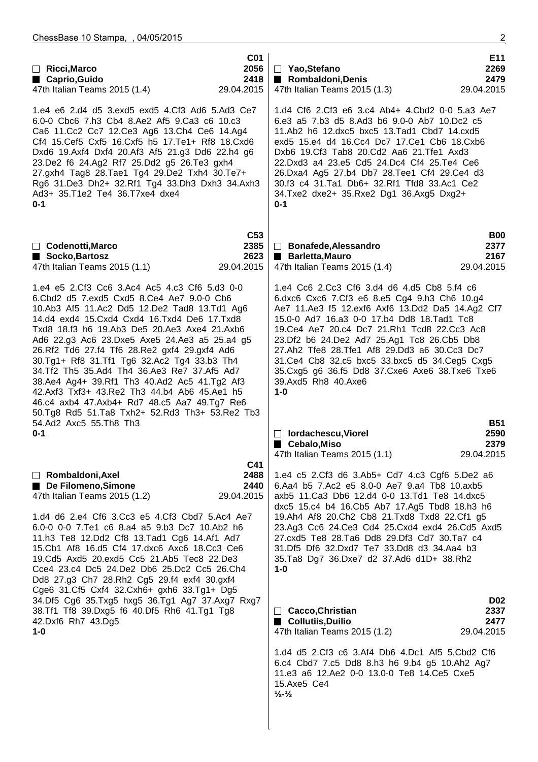| $\Box$ Ricci, Marco<br>■ Caprio, Guido<br>47th Italian Teams 2015 (1.4)                                                                                                                                                                                                                                                                                                                                                                                                                                                                                                                                                                       | CO <sub>1</sub><br>2056<br>2418<br>29.04.2015 | $\Box$ Yao, Stefano<br>Rombaldoni, Denis<br>47th Italian Teams 2015 (1.3)                                                                                                                                                                                                                                                                                                                                                                                                               | E11<br>2269<br>2479<br>29.04.2015        |
|-----------------------------------------------------------------------------------------------------------------------------------------------------------------------------------------------------------------------------------------------------------------------------------------------------------------------------------------------------------------------------------------------------------------------------------------------------------------------------------------------------------------------------------------------------------------------------------------------------------------------------------------------|-----------------------------------------------|-----------------------------------------------------------------------------------------------------------------------------------------------------------------------------------------------------------------------------------------------------------------------------------------------------------------------------------------------------------------------------------------------------------------------------------------------------------------------------------------|------------------------------------------|
| 1.e4 e6 2.d4 d5 3.exd5 exd5 4.Cf3 Ad6 5.Ad3 Ce7<br>6.0-0 Cbc6 7.h3 Cb4 8.Ae2 Af5 9.Ca3 c6 10.c3<br>Ca6 11.Cc2 Cc7 12.Ce3 Ag6 13.Ch4 Ce6 14.Ag4<br>Cf4 15. Cef5 Cxf5 16. Cxf5 h5 17. Te1+ Rf8 18. Cxd6<br>Dxd6 19.Axf4 Dxf4 20.Af3 Af5 21.g3 Dd6 22.h4 g6<br>23.De2 f6 24.Ag2 Rf7 25.Dd2 g5 26.Te3 gxh4<br>27.gxh4 Tag8 28.Tae1 Tg4 29.De2 Txh4 30.Te7+<br>Rg6 31.De3 Dh2+ 32.Rf1 Tg4 33.Dh3 Dxh3 34.Axh3<br>Ad3+ 35.T1e2 Te4 36.T7xe4 dxe4<br>$0 - 1$                                                                                                                                                                                         |                                               | 1.d4 Cf6 2.Cf3 e6 3.c4 Ab4+ 4.Cbd2 0-0 5.a3 Ae7<br>6.e3 a5 7.b3 d5 8.Ad3 b6 9.0-0 Ab7 10.Dc2 c5<br>11.Ab2 h6 12.dxc5 bxc5 13.Tad1 Cbd7 14.cxd5<br>exd5 15.e4 d4 16.Cc4 Dc7 17.Ce1 Cb6 18.Cxb6<br>Dxb6 19.Cf3 Tab8 20.Cd2 Aa6 21.Tfe1 Axd3<br>22.Dxd3 a4 23.e5 Cd5 24.Dc4 Cf4 25.Te4 Ce6<br>26.Dxa4 Ag5 27.b4 Db7 28.Tee1 Cf4 29.Ce4 d3<br>30.f3 c4 31.Ta1 Db6+ 32.Rf1 Tfd8 33.Ac1 Ce2<br>34. Txe2 dxe2+ 35. Rxe2 Dg1 36. Axg5 Dxg2+<br>$0 - 1$                                          |                                          |
| $\Box$ Codenotti, Marco<br>Socko, Bartosz<br>47th Italian Teams 2015 (1.1)                                                                                                                                                                                                                                                                                                                                                                                                                                                                                                                                                                    | C <sub>53</sub><br>2385<br>2623<br>29.04.2015 | □ Bonafede, Alessandro<br>Barletta, Mauro<br>47th Italian Teams 2015 (1.4)                                                                                                                                                                                                                                                                                                                                                                                                              | <b>B00</b><br>2377<br>2167<br>29.04.2015 |
| 1.e4 e5 2.Cf3 Cc6 3.Ac4 Ac5 4.c3 Cf6 5.d3 0-0<br>6.Cbd2 d5 7.exd5 Cxd5 8.Ce4 Ae7 9.0-0 Cb6<br>10.Ab3 Af5 11.Ac2 Dd5 12.De2 Tad8 13.Td1 Ag6<br>14.d4 exd4 15. Cxd4 Cxd4 16. Txd4 De6 17. Txd8<br>Txd8 18.f3 h6 19.Ab3 De5 20.Ae3 Axe4 21.Axb6<br>Ad6 22.g3 Ac6 23.Dxe5 Axe5 24.Ae3 a5 25.a4 g5<br>26.Rf2 Td6 27.f4 Tf6 28.Re2 gxf4 29.gxf4 Ad6<br>30.Tg1+ Rf8 31.Tf1 Tg6 32.Ac2 Tg4 33.b3 Th4<br>34.Tf2 Th5 35.Ad4 Th4 36.Ae3 Re7 37.Af5 Ad7<br>38.Ae4 Ag4+ 39.Rf1 Th3 40.Ad2 Ac5 41.Tg2 Af3<br>42.Axf3 Txf3+ 43.Re2 Th3 44.b4 Ab6 45.Ae1 h5<br>46.c4 axb4 47.Axb4+ Rd7 48.c5 Aa7 49.Tg7 Re6<br>50.Tg8 Rd5 51.Ta8 Txh2+ 52.Rd3 Th3+ 53.Re2 Tb3 |                                               | 1.e4 Cc6 2.Cc3 Cf6 3.d4 d6 4.d5 Cb8 5.f4 c6<br>6.dxc6 Cxc6 7.Cf3 e6 8.e5 Cg4 9.h3 Ch6 10.g4<br>Ae7 11.Ae3 f5 12.exf6 Axf6 13.Dd2 Da5 14.Ag2 Cf7<br>15.0-0 Ad7 16.a3 0-0 17.b4 Dd8 18.Tad1 Tc8<br>19.Ce4 Ae7 20.c4 Dc7 21.Rh1 Tcd8 22.Cc3 Ac8<br>23.Df2 b6 24.De2 Ad7 25.Ag1 Tc8 26.Cb5 Db8<br>27.Ah2 Tfe8 28.Tfe1 Af8 29.Dd3 a6 30.Cc3 Dc7<br>31. Ce4 Cb8 32. c5 bxc5 33. bxc5 d5 34. Ceg5 Cxg5<br>35. Cxg5 g6 36. f5 Dd8 37. Cxe6 Axe6 38. Txe6 Txe6<br>39.Axd5 Rh8 40.Axe6<br>$1 - 0$ |                                          |
| 54.Ad2 Axc5 55.Th8 Th3<br>$0 - 1$                                                                                                                                                                                                                                                                                                                                                                                                                                                                                                                                                                                                             |                                               | <b>lordachescu, Viorel</b><br>■ Cebalo, Miso<br>47th Italian Teams 2015 (1.1)                                                                                                                                                                                                                                                                                                                                                                                                           | <b>B51</b><br>2590<br>2379<br>29.04.2015 |
| Rombaldoni, Axel<br>De Filomeno, Simone<br>47th Italian Teams 2015 (1.2)<br>1.d4 d6 2.e4 Cf6 3.Cc3 e5 4.Cf3 Cbd7 5.Ac4 Ae7<br>6.0-0 0-0 7. Te1 c6 8.a4 a5 9.b3 Dc7 10. Ab2 h6<br>11.h3 Te8 12.Dd2 Cf8 13.Tad1 Cg6 14.Af1 Ad7<br>15.Cb1 Af8 16.d5 Cf4 17.dxc6 Axc6 18.Cc3 Ce6<br>19.Cd5 Axd5 20.exd5 Cc5 21.Ab5 Tec8 22.De3<br>Cce4 23.c4 Dc5 24.De2 Db6 25.Dc2 Cc5 26.Ch4<br>Dd8 27.g3 Ch7 28.Rh2 Cg5 29.f4 exf4 30.gxf4                                                                                                                                                                                                                      | C41<br>2488<br>2440<br>29.04.2015             | 1.e4 c5 2.Cf3 d6 3.Ab5+ Cd7 4.c3 Cgf6 5.De2 a6<br>6.Aa4 b5 7.Ac2 e5 8.0-0 Ae7 9.a4 Tb8 10.axb5<br>axb5 11. Ca3 Db6 12. d4 0-0 13. Td1 Te8 14. dxc5<br>dxc5 15.c4 b4 16.Cb5 Ab7 17.Ag5 Tbd8 18.h3 h6<br>19.Ah4 Af8 20.Ch2 Cb8 21.Txd8 Txd8 22.Cf1 g5<br>23.Ag3 Cc6 24.Ce3 Cd4 25.Cxd4 exd4 26.Cd5 Axd5<br>27.cxd5 Te8 28.Ta6 Dd8 29.Df3 Cd7 30.Ta7 c4<br>31.Df5 Df6 32.Dxd7 Te7 33.Dd8 d3 34.Aa4 b3<br>35. Ta8 Dg7 36. Dxe7 d2 37. Ad6 d1D+ 38. Rh2<br>$1 - 0$                           |                                          |
| Cge6 31.Cf5 Cxf4 32.Cxh6+ gxh6 33.Tg1+ Dg5<br>34.Df5 Cg6 35.Txg5 hxg5 36.Tg1 Ag7 37.Axg7 Rxg7<br>38.Tf1 Tf8 39.Dxg5 f6 40.Df5 Rh6 41.Tg1 Tg8<br>42.Dxf6 Rh7 43.Dg5<br>$1 - 0$                                                                                                                                                                                                                                                                                                                                                                                                                                                                 |                                               | $\Box$ Cacco, Christian<br>■ Collutiis, Duilio<br>47th Italian Teams 2015 (1.2)                                                                                                                                                                                                                                                                                                                                                                                                         | <b>D02</b><br>2337<br>2477<br>29.04.2015 |
|                                                                                                                                                                                                                                                                                                                                                                                                                                                                                                                                                                                                                                               |                                               | 1.d4 d5 2.Cf3 c6 3.Af4 Db6 4.Dc1 Af5 5.Cbd2 Cf6<br>6.c4 Cbd7 7.c5 Dd8 8.h3 h6 9.b4 g5 10.Ah2 Ag7<br>11.e3 a6 12.Ae2 0-0 13.0-0 Te8 14.Ce5 Cxe5<br>15.Axe5 Ce4<br>$\frac{1}{2}$ - $\frac{1}{2}$                                                                                                                                                                                                                                                                                          |                                          |
|                                                                                                                                                                                                                                                                                                                                                                                                                                                                                                                                                                                                                                               |                                               |                                                                                                                                                                                                                                                                                                                                                                                                                                                                                         |                                          |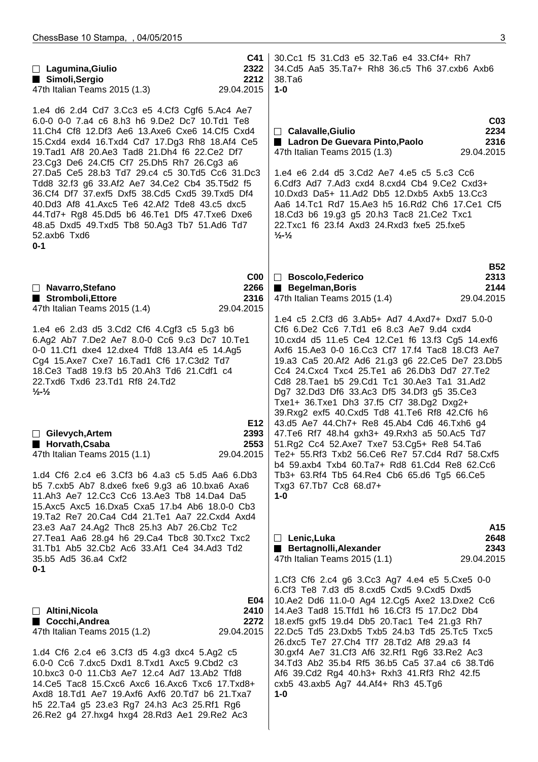| C41<br>$\Box$ Lagumina, Giulio<br>2322<br>Simoli, Sergio<br>2212<br>47th Italian Teams 2015 (1.3)<br>29.04.2015                                                                                                                                                                                                                                                                                                                                                                                                                                                                                                                                                                                | 30.Cc1 f5 31.Cd3 e5 32.Ta6 e4 33.Cf4+ Rh7<br>34.Cd5 Aa5 35.Ta7+ Rh8 36.c5 Th6 37.cxb6 Axb6<br>38.Ta <sub>6</sub><br>$1 - 0$                                                                                                                                                                                                                                                                                                                                                                                                                                                                                                                                                                                                                                                                                                                     |
|------------------------------------------------------------------------------------------------------------------------------------------------------------------------------------------------------------------------------------------------------------------------------------------------------------------------------------------------------------------------------------------------------------------------------------------------------------------------------------------------------------------------------------------------------------------------------------------------------------------------------------------------------------------------------------------------|-------------------------------------------------------------------------------------------------------------------------------------------------------------------------------------------------------------------------------------------------------------------------------------------------------------------------------------------------------------------------------------------------------------------------------------------------------------------------------------------------------------------------------------------------------------------------------------------------------------------------------------------------------------------------------------------------------------------------------------------------------------------------------------------------------------------------------------------------|
| 1.e4 d6 2.d4 Cd7 3.Cc3 e5 4.Cf3 Cgf6 5.Ac4 Ae7<br>6.0-0 0-0 7.a4 c6 8.h3 h6 9.De2 Dc7 10.Td1 Te8<br>11. Ch4 Cf8 12. Df3 Ae6 13. Axe6 Cxe6 14. Cf5 Cxd4<br>15. Cxd4 exd4 16. Txd4 Cd7 17. Dg3 Rh8 18. Af4 Ce5<br>19. Tad1 Af8 20. Ae3 Tad8 21. Dh4 f6 22. Ce2 Df7<br>23.Cg3 De6 24.Cf5 Cf7 25.Dh5 Rh7 26.Cg3 a6<br>27.Da5 Ce5 28.b3 Td7 29.c4 c5 30.Td5 Cc6 31.Dc3<br>Tdd8 32.f3 g6 33.Af2 Ae7 34.Ce2 Cb4 35.T5d2 f5<br>36.Cf4 Df7 37.exf5 Dxf5 38.Cd5 Cxd5 39.Txd5 Df4<br>40.Dd3 Af8 41.Axc5 Te6 42.Af2 Tde8 43.c5 dxc5<br>44.Td7+ Rg8 45.Dd5 b6 46.Te1 Df5 47.Txe6 Dxe6<br>48.a5 Dxd5 49.Txd5 Tb8 50.Ag3 Tb7 51.Ad6 Td7<br>52.axb6 Txd6<br>$0 - 1$                                            | C <sub>03</sub><br>2234<br>□ Calavalle, Giulio<br>Ladron De Guevara Pinto, Paolo<br>2316<br>47th Italian Teams 2015 (1.3)<br>29.04.2015<br>1.e4 e6 2.d4 d5 3.Cd2 Ae7 4.e5 c5 5.c3 Cc6<br>6.Cdf3 Ad7 7.Ad3 cxd4 8.cxd4 Cb4 9.Ce2 Cxd3+<br>10.Dxd3 Da5+ 11.Ad2 Db5 12.Dxb5 Axb5 13.Cc3<br>Aa6 14.Tc1 Rd7 15.Ae3 h5 16.Rd2 Ch6 17.Ce1 Cf5<br>18.Cd3 b6 19.g3 g5 20.h3 Tac8 21.Ce2 Txc1<br>22. Txc1 f6 23. f4 Axd3 24. Rxd3 fxe5 25. fxe5<br>$\frac{1}{2}$ - $\frac{1}{2}$                                                                                                                                                                                                                                                                                                                                                                          |
| C <sub>00</sub><br>2266<br>□ Navarro, Stefano<br>Stromboli, Ettore<br>2316<br>47th Italian Teams 2015 (1.4)<br>29.04.2015                                                                                                                                                                                                                                                                                                                                                                                                                                                                                                                                                                      | <b>B52</b><br>2313<br>□ Boscolo, Federico<br><b>Begelman, Boris</b><br>2144<br>29.04.2015<br>47th Italian Teams 2015 (1.4)                                                                                                                                                                                                                                                                                                                                                                                                                                                                                                                                                                                                                                                                                                                      |
| 1.e4 e6 2.d3 d5 3.Cd2 Cf6 4.Cgf3 c5 5.g3 b6<br>6.Ag2 Ab7 7.De2 Ae7 8.0-0 Cc6 9.c3 Dc7 10.Te1<br>0-0 11. Cf1 dxe4 12. dxe4 Tfd8 13. Af4 e5 14. Ag5<br>Cg4 15.Axe7 Cxe7 16.Tad1 Cf6 17.C3d2 Td7<br>18. Ce3 Tad8 19. f3 b5 20. Ah3 Td6 21. Cdf1 c4<br>22.Txd6 Txd6 23.Td1 Rf8 24.Td2<br>$\frac{1}{2}$ $\frac{1}{2}$<br>E12<br>$\Box$ Gilevych, Artem<br>2393<br>Horvath, Csaba<br>2553<br>47th Italian Teams 2015 (1.1)<br>29.04.2015<br>1.d4 Cf6 2.c4 e6 3.Cf3 b6 4.a3 c5 5.d5 Aa6 6.Db3<br>b5 7.cxb5 Ab7 8.dxe6 fxe6 9.g3 a6 10.bxa6 Axa6<br>11.Ah3 Ae7 12.Cc3 Cc6 13.Ae3 Tb8 14.Da4 Da5<br>15. Axc5 Axc5 16. Dxa5 Cxa5 17. b4 Ab6 18. 0-0 Cb3<br>19.Ta2 Re7 20.Ca4 Cd4 21.Te1 Aa7 22.Cxd4 Axd4 | 1.e4 c5 2.Cf3 d6 3.Ab5+ Ad7 4.Axd7+ Dxd7 5.0-0<br>Cf6 6.De2 Cc6 7.Td1 e6 8.c3 Ae7 9.d4 cxd4<br>10.cxd4 d5 11.e5 Ce4 12.Ce1 f6 13.f3 Cg5 14.exf6<br>Axf6 15.Ae3 0-0 16.Cc3 Cf7 17.f4 Tac8 18.Cf3 Ae7<br>19.a3 Ca5 20.Af2 Ad6 21.g3 g6 22.Ce5 De7 23.Db5<br>Cc4 24. Cxc4 Txc4 25. Te1 a6 26. Db3 Dd7 27. Te2<br>Cd8 28. Tae1 b5 29. Cd1 Tc1 30. Ae3 Ta1 31. Ad2<br>Dg7 32.Dd3 Df6 33.Ac3 Df5 34.Df3 g5 35.Ce3<br>Txe1+ 36.Txe1 Dh3 37.f5 Cf7 38.Dg2 Dxg2+<br>39.Rxg2 exf5 40.Cxd5 Td8 41.Te6 Rf8 42.Cf6 h6<br>43.d5 Ae7 44.Ch7+ Re8 45.Ab4 Cd6 46.Txh6 g4<br>47. Te6 Rf7 48.h4 gxh3+ 49. Rxh3 a5 50. Ac5 Td7<br>51.Rg2 Cc4 52.Axe7 Txe7 53.Cg5+ Re8 54.Ta6<br>Te2+ 55.Rf3 Txb2 56.Ce6 Re7 57.Cd4 Rd7 58.Cxf5<br>b4 59.axb4 Txb4 60.Ta7+ Rd8 61.Cd4 Re8 62.Cc6<br>Tb3+ 63.Rf4 Tb5 64.Re4 Cb6 65.d6 Tg5 66.Ce5<br>Txg3 67.Tb7 Cc8 68.d7+<br>$1 - 0$ |
| 23.e3 Aa7 24.Ag2 Thc8 25.h3 Ab7 26.Cb2 Tc2<br>27. Tea1 Aa6 28.g4 h6 29. Ca4 Tbc8 30. Txc2 Txc2<br>31.Tb1 Ab5 32.Cb2 Ac6 33.Af1 Ce4 34.Ad3 Td2<br>35.b5 Ad5 36.a4 Cxf2<br>0-1                                                                                                                                                                                                                                                                                                                                                                                                                                                                                                                   | A15<br>2648<br>$\Box$ Lenic, Luka<br>Bertagnolli, Alexander<br>2343<br>47th Italian Teams 2015 (1.1)<br>29.04.2015                                                                                                                                                                                                                                                                                                                                                                                                                                                                                                                                                                                                                                                                                                                              |
| E04<br>$\Box$ Altini, Nicola<br>2410<br>■ Cocchi, Andrea<br>2272<br>29.04.2015<br>47th Italian Teams 2015 (1.2)<br>1.d4 Cf6 2.c4 e6 3.Cf3 d5 4.g3 dxc4 5.Ag2 c5<br>6.0-0 Cc6 7.dxc5 Dxd1 8.Txd1 Axc5 9.Cbd2 c3<br>10.bxc3 0-0 11.Cb3 Ae7 12.c4 Ad7 13.Ab2 Tfd8<br>14. Ce5 Tac8 15. Cxc6 Axc6 16. Axc6 Txc6 17. Txd8+<br>Axd8 18.Td1 Ae7 19.Axf6 Axf6 20.Td7 b6 21.Txa7<br>h5 22.Ta4 g5 23.e3 Rg7 24.h3 Ac3 25.Rf1 Rg6<br>26.Re2 g4 27.hxg4 hxg4 28.Rd3 Ae1 29.Re2 Ac3                                                                                                                                                                                                                          | 1.Cf3 Cf6 2.c4 g6 3.Cc3 Ag7 4.e4 e5 5.Cxe5 0-0<br>6.Cf3 Te8 7.d3 d5 8.cxd5 Cxd5 9.Cxd5 Dxd5<br>10.Ae2 Dd6 11.0-0 Ag4 12.Cg5 Axe2 13.Dxe2 Cc6<br>14.Ae3 Tad8 15.Tfd1 h6 16.Cf3 f5 17.Dc2 Db4<br>18.exf5 gxf5 19.d4 Db5 20.Tac1 Te4 21.g3 Rh7<br>22.Dc5 Td5 23.Dxb5 Txb5 24.b3 Td5 25.Tc5 Txc5<br>26.dxc5 Te7 27.Ch4 Tf7 28.Td2 Af8 29.a3 f4<br>30.gxf4 Ae7 31.Cf3 Af6 32.Rf1 Rg6 33.Re2 Ac3<br>34.Td3 Ab2 35.b4 Rf5 36.b5 Ca5 37.a4 c6 38.Td6<br>Af6 39.Cd2 Rg4 40.h3+ Rxh3 41.Rf3 Rh2 42.f5<br>cxb5 43.axb5 Ag7 44.Af4+ Rh3 45.Tg6<br>$1 - 0$                                                                                                                                                                                                                                                                                                   |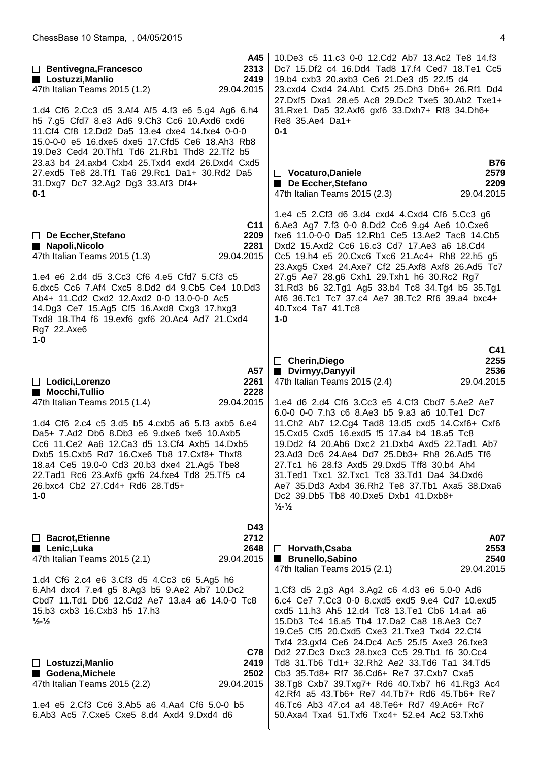| 10. De3 c5 11. c3 0-0 12. Cd2 Ab7 13. Ac2 Te8 14. f3<br>Dc7 15.Df2 c4 16.Dd4 Tad8 17.f4 Ced7 18.Te1 Cc5<br>19.b4 cxb3 20.axb3 Ce6 21.De3 d5 22.f5 d4<br>23.cxd4 Cxd4 24.Ab1 Cxf5 25.Dh3 Db6+ 26.Rf1 Dd4<br>27.Dxf5 Dxa1 28.e5 Ac8 29.Dc2 Txe5 30.Ab2 Txe1+<br>31. Rxe1 Da5 32. Axf6 gxf6 33. Dxh7+ Rf8 34. Dh6+<br>Re8 35.Ae4 Da1+<br>$0 - 1$<br><b>B76</b><br>$\Box$ Vocaturo, Daniele<br>2579<br>De Eccher, Stefano<br>2209<br>47th Italian Teams 2015 (2.3)<br>29.04.2015                                                                                                                                                                                                                                                                                                   |
|--------------------------------------------------------------------------------------------------------------------------------------------------------------------------------------------------------------------------------------------------------------------------------------------------------------------------------------------------------------------------------------------------------------------------------------------------------------------------------------------------------------------------------------------------------------------------------------------------------------------------------------------------------------------------------------------------------------------------------------------------------------------------------|
| 1.e4 c5 2.Cf3 d6 3.d4 cxd4 4.Cxd4 Cf6 5.Cc3 g6<br>6.Ae3 Ag7 7.f3 0-0 8.Dd2 Cc6 9.g4 Ae6 10.Cxe6<br>fxe6 11.0-0-0 Da5 12.Rb1 Ce5 13.Ae2 Tac8 14.Cb5<br>Dxd2 15.Axd2 Cc6 16.c3 Cd7 17.Ae3 a6 18.Cd4<br>Cc5 19.h4 e5 20. Cxc6 Txc6 21. Ac4+ Rh8 22.h5 g5<br>23.Axg5 Cxe4 24.Axe7 Cf2 25.Axf8 Axf8 26.Ad5 Tc7<br>27.g5 Ae7 28.g6 Cxh1 29.Txh1 h6 30.Rc2 Rg7<br>31.Rd3 b6 32.Tg1 Ag5 33.b4 Tc8 34.Tg4 b5 35.Tg1<br>Af6 36.Tc1 Tc7 37.c4 Ae7 38.Tc2 Rf6 39.a4 bxc4+<br>40.Txc4 Ta7 41.Tc8<br>$1-0$<br>C41                                                                                                                                                                                                                                                                            |
| 2255<br>□ Cherin, Diego<br>Dvirnyy, Danyyil<br>2536<br>47th Italian Teams 2015 (2.4)<br>29.04.2015<br>1.e4 d6 2.d4 Cf6 3.Cc3 e5 4.Cf3 Cbd7 5.Ae2 Ae7<br>6.0-0 0-0 7.h3 c6 8.Ae3 b5 9.a3 a6 10.Te1 Dc7<br>11. Ch2 Ab7 12. Cg4 Tad8 13. d5 cxd5 14. Cxf6+ Cxf6<br>15. Cxd5 Cxd5 16. exd5 f5 17. a4 b4 18. a5 Tc8<br>19.Dd2 f4 20.Ab6 Dxc2 21.Dxb4 Axd5 22.Tad1 Ab7<br>23.Ad3 Dc6 24.Ae4 Dd7 25.Db3+ Rh8 26.Ad5 Tf6<br>27.Tc1 h6 28.f3 Axd5 29.Dxd5 Tff8 30.b4 Ah4<br>31. Ted1 Txc1 32. Txc1 Tc8 33. Td1 Da4 34. Dxd6<br>Ae7 35.Dd3 Axb4 36.Rh2 Te8 37.Tb1 Axa5 38.Dxa6<br>Dc2 39.Db5 Tb8 40.Dxe5 Dxb1 41.Dxb8+<br>$\frac{1}{2}$ - $\frac{1}{2}$                                                                                                                                  |
| A07<br>2553<br>$\Box$ Horvath, Csaba<br><b>Brunello, Sabino</b><br>2540<br>47th Italian Teams 2015 (2.1)<br>29.04.2015<br>1.Cf3 d5 2.g3 Ag4 3.Ag2 c6 4.d3 e6 5.0-0 Ad6<br>6.c4 Ce7 7.Cc3 0-0 8.cxd5 exd5 9.e4 Cd7 10.exd5<br>cxd5 11.h3 Ah5 12.d4 Tc8 13.Te1 Cb6 14.a4 a6<br>15.Db3 Tc4 16.a5 Tb4 17.Da2 Ca8 18.Ae3 Cc7<br>19. Ce5 Cf5 20. Cxd5 Cxe3 21. Txe3 Txd4 22. Cf4<br>Txf4 23.gxf4 Ce6 24.Dc4 Ac5 25.f5 Axe3 26.fxe3<br>Dd2 27.Dc3 Dxc3 28.bxc3 Cc5 29.Tb1 f6 30.Cc4<br>Td8 31.Tb6 Td1+ 32.Rh2 Ae2 33.Td6 Ta1 34.Td5<br>Cb3 35.Td8+ Rf7 36.Cd6+ Re7 37.Cxb7 Cxa5<br>38.Tg8 Cxb7 39.Txg7+ Rd6 40.Txb7 h6 41.Rg3 Ac4<br>42. Rf4 a5 43. Tb6+ Re7 44. Tb7+ Rd6 45. Tb6+ Re7<br>46.Tc6 Ab3 47.c4 a4 48.Te6+ Rd7 49.Ac6+ Rc7<br>50.Axa4 Txa4 51.Txf6 Txc4+ 52.e4 Ac2 53.Txh6 |
|                                                                                                                                                                                                                                                                                                                                                                                                                                                                                                                                                                                                                                                                                                                                                                                |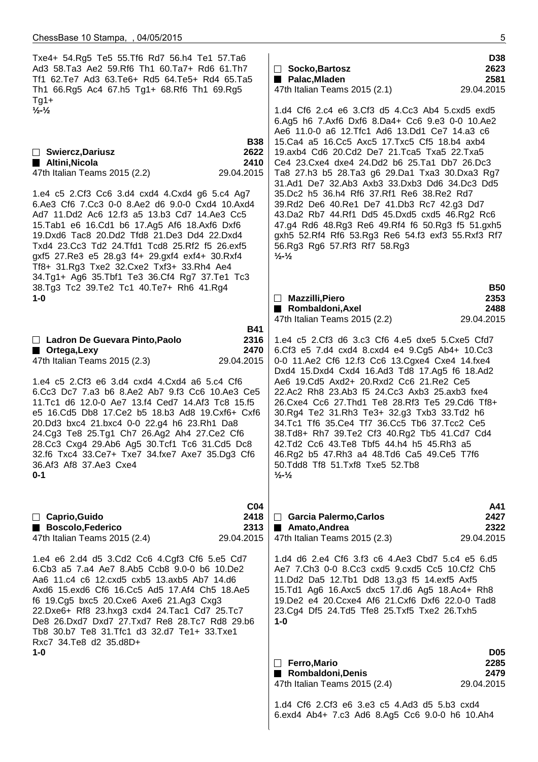Txe4+ 54.Rg5 Te5 55.Tf6 Rd7 56.h4 Te1 57.Ta6 Ad3 58.Ta3 Ae2 59.Rf6 Th1 60.Ta7+ Rd6 61.Th7 Tf1 62.Te7 Ad3 63.Te6+ Rd5 64.Te5+ Rd4 65.Ta5 Th1 66.Rg5 Ac4 67.h5 Tg1+ 68.Rf6 Th1 69.Rg5 Tg1+ **½-½ B38 Swiercz,Dariusz 2622 Altini,Nicola 2410** 47th Italian Teams 2015 (2.2) 29.04.2015 1.e4 c5 2.Cf3 Cc6 3.d4 cxd4 4.Cxd4 g6 5.c4 Ag7 6.Ae3 Cf6 7.Cc3 0-0 8.Ae2 d6 9.0-0 Cxd4 10.Axd4 Ad7 11.Dd2 Ac6 12.f3 a5 13.b3 Cd7 14.Ae3 Cc5 15.Tab1 e6 16.Cd1 b6 17.Ag5 Af6 18.Axf6 Dxf6 19.Dxd6 Tac8 20.Dd2 Tfd8 21.De3 Dd4 22.Dxd4 Txd4 23.Cc3 Td2 24.Tfd1 Tcd8 25.Rf2 f5 26.exf5 gxf5 27.Re3 e5 28.g3 f4+ 29.gxf4 exf4+ 30.Rxf4 Tf8+ 31.Rg3 Txe2 32.Cxe2 Txf3+ 33.Rh4 Ae4 34.Tg1+ Ag6 35.Tbf1 Te3 36.Cf4 Rg7 37.Te1 Tc3 38.Tg3 Tc2 39.Te2 Tc1 40.Te7+ Rh6 41.Rg4 **1-0 B41 Ladron De Guevara Pinto,Paolo 2316 Ortega,Lexy 2470** 47th Italian Teams 2015 (2.3) 29.04.2015 1.e4 c5 2.Cf3 e6 3.d4 cxd4 4.Cxd4 a6 5.c4 Cf6 6.Cc3 Dc7 7.a3 b6 8.Ae2 Ab7 9.f3 Cc6 10.Ae3 Ce5 11.Tc1 d6 12.0-0 Ae7 13.f4 Ced7 14.Af3 Tc8 15.f5 e5 16.Cd5 Db8 17.Ce2 b5 18.b3 Ad8 19.Cxf6+ Cxf6 20.Dd3 bxc4 21.bxc4 0-0 22.g4 h6 23.Rh1 Da8 24.Cg3 Te8 25.Tg1 Ch7 26.Ag2 Ah4 27.Ce2 Cf6 28.Cc3 Cxg4 29.Ab6 Ag5 30.Tcf1 Tc6 31.Cd5 Dc8 32.f6 Txc4 33.Ce7+ Txe7 34.fxe7 Axe7 35.Dg3 Cf6 36.Af3 Af8 37.Ae3 Cxe4 **0-1 C04 Caprio,Guido 2418** ■ Boscolo,Federico 2313 47th Italian Teams 2015 (2.4) 29.04.2015 1.e4 e6 2.d4 d5 3.Cd2 Cc6 4.Cgf3 Cf6 5.e5 Cd7 6.Cb3 a5 7.a4 Ae7 8.Ab5 Ccb8 9.0-0 b6 10.De2 Aa6 11.c4 c6 12.cxd5 cxb5 13.axb5 Ab7 14.d6 Axd6 15.exd6 Cf6 16.Cc5 Ad5 17.Af4 Ch5 18.Ae5 f6 19.Cg5 bxc5 20.Cxe6 Axe6 21.Ag3 Cxg3 22.Dxe6+ Rf8 23.hxg3 cxd4 24.Tac1 Cd7 25.Tc7 De8 26.Dxd7 Dxd7 27.Txd7 Re8 28.Tc7 Rd8 29.b6 Tb8 30.b7 Te8 31.Tfc1 d3 32.d7 Te1+ 33.Txe1 Rxc7 34.Te8 d2 35.d8D+ **1-0 D38 Socko,Bartosz 2623 Palac, Mladen 2581** 47th Italian Teams 2015 (2.1) 29.04.2015 1.d4 Cf6 2.c4 e6 3.Cf3 d5 4.Cc3 Ab4 5.cxd5 exd5 6.Ag5 h6 7.Axf6 Dxf6 8.Da4+ Cc6 9.e3 0-0 10.Ae2 Ae6 11.0-0 a6 12.Tfc1 Ad6 13.Dd1 Ce7 14.a3 c6 15.Ca4 a5 16.Cc5 Axc5 17.Txc5 Cf5 18.b4 axb4 19.axb4 Cd6 20.Cd2 De7 21.Tca5 Txa5 22.Txa5 Ce4 23.Cxe4 dxe4 24.Dd2 b6 25.Ta1 Db7 26.Dc3 Ta8 27.h3 b5 28.Ta3 g6 29.Da1 Txa3 30.Dxa3 Rg7 31.Ad1 De7 32.Ab3 Axb3 33.Dxb3 Dd6 34.Dc3 Dd5 35.Dc2 h5 36.h4 Rf6 37.Rf1 Re6 38.Re2 Rd7 39.Rd2 De6 40.Re1 De7 41.Db3 Rc7 42.g3 Dd7 43.Da2 Rb7 44.Rf1 Dd5 45.Dxd5 cxd5 46.Rg2 Rc6 47.g4 Rd6 48.Rg3 Re6 49.Rf4 f6 50.Rg3 f5 51.gxh5 gxh5 52.Rf4 Rf6 53.Rg3 Re6 54.f3 exf3 55.Rxf3 Rf7 56.Rg3 Rg6 57.Rf3 Rf7 58.Rg3 **½-½ B50 Mazzilli,Piero 2353 Rombaldoni,Axel 2488** 47th Italian Teams 2015 (2.2) 29.04.2015 1.e4 c5 2.Cf3 d6 3.c3 Cf6 4.e5 dxe5 5.Cxe5 Cfd7 6.Cf3 e5 7.d4 cxd4 8.cxd4 e4 9.Cg5 Ab4+ 10.Cc3 0-0 11.Ae2 Cf6 12.f3 Cc6 13.Cgxe4 Cxe4 14.fxe4 Dxd4 15.Dxd4 Cxd4 16.Ad3 Td8 17.Ag5 f6 18.Ad2 Ae6 19.Cd5 Axd2+ 20.Rxd2 Cc6 21.Re2 Ce5 22.Ac2 Rh8 23.Ab3 f5 24.Cc3 Axb3 25.axb3 fxe4 26.Cxe4 Cc6 27.Thd1 Te8 28.Rf3 Te5 29.Cd6 Tf8+ 30.Rg4 Te2 31.Rh3 Te3+ 32.g3 Txb3 33.Td2 h6 34.Tc1 Tf6 35.Ce4 Tf7 36.Cc5 Tb6 37.Tcc2 Ce5 38.Td8+ Rh7 39.Te2 Cf3 40.Rg2 Tb5 41.Cd7 Cd4 42.Td2 Cc6 43.Te8 Tbf5 44.h4 h5 45.Rh3 a5 46.Rg2 b5 47.Rh3 a4 48.Td6 Ca5 49.Ce5 T7f6 50.Tdd8 Tf8 51.Txf8 Txe5 52.Tb8 **½-½ A41 Garcia Palermo,Carlos 2427 Amato,Andrea** 2322 47th Italian Teams 2015 (2.3) 29.04.2015 1.d4 d6 2.e4 Cf6 3.f3 c6 4.Ae3 Cbd7 5.c4 e5 6.d5 Ae7 7.Ch3 0-0 8.Cc3 cxd5 9.cxd5 Cc5 10.Cf2 Ch5 11.Dd2 Da5 12.Tb1 Dd8 13.g3 f5 14.exf5 Axf5 15.Td1 Ag6 16.Axc5 dxc5 17.d6 Ag5 18.Ac4+ Rh8 19.De2 e4 20.Ccxe4 Af6 21.Cxf6 Dxf6 22.0-0 Tad8 23.Cg4 Df5 24.Td5 Tfe8 25.Txf5 Txe2 26.Txh5 **1-0 D05 Ferro,Mario 2285** ■ Rombaldoni,Denis 2479 47th Italian Teams 2015 (2.4) 29.04.2015 1.d4 Cf6 2.Cf3 e6 3.e3 c5 4.Ad3 d5 5.b3 cxd4 6.exd4 Ab4+ 7.c3 Ad6 8.Ag5 Cc6 9.0-0 h6 10.Ah4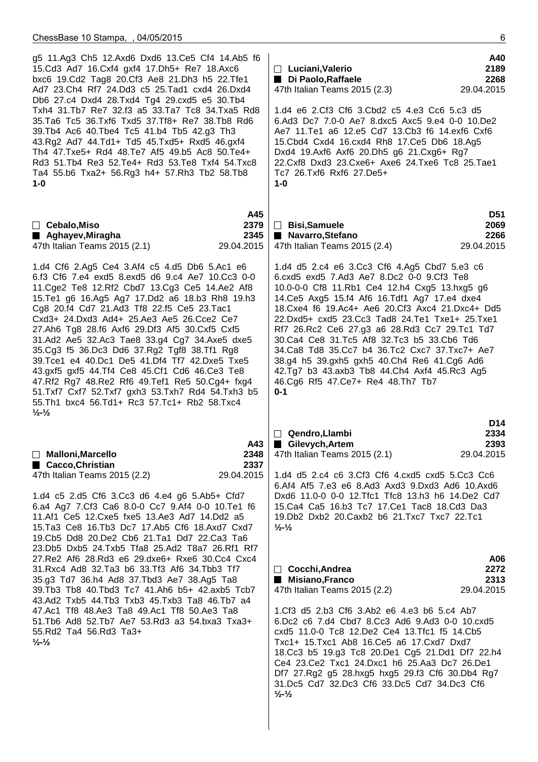| A40<br>2189<br>$\Box$ Luciani, Valerio<br>2268<br>Di Paolo, Raffaele<br>29.04.2015<br>47th Italian Teams 2015 (2.3)<br>1.d4 e6 2.Cf3 Cf6 3.Cbd2 c5 4.e3 Cc6 5.c3 d5<br>6.Ad3 Dc7 7.0-0 Ae7 8.dxc5 Axc5 9.e4 0-0 10.De2<br>Ae7 11. Te1 a6 12. e5 Cd7 13. Cb3 f6 14. exf6 Cxf6<br>15. Cbd4 Cxd4 16. cxd4 Rh8 17. Ce5 Db6 18. Ag5<br>Dxd4 19.Axf6 Axf6 20.Dh5 g6 21.Cxg6+ Rg7<br>22. Cxf8 Dxd3 23. Cxe6+ Axe6 24. Txe6 Tc8 25. Tae1<br>Tc7 26.Txf6 Rxf6 27.De5+<br>$1-0$                                                                                                                                      |
|------------------------------------------------------------------------------------------------------------------------------------------------------------------------------------------------------------------------------------------------------------------------------------------------------------------------------------------------------------------------------------------------------------------------------------------------------------------------------------------------------------------------------------------------------------------------------------------------------------|
| <b>D51</b><br>□ Bisi,Samuele<br>2069<br>Navarro, Stefano<br>2266<br>47th Italian Teams 2015 (2.4)<br>29.04.2015                                                                                                                                                                                                                                                                                                                                                                                                                                                                                            |
| 1.d4 d5 2.c4 e6 3.Cc3 Cf6 4.Ag5 Cbd7 5.e3 c6<br>6.cxd5 exd5 7.Ad3 Ae7 8.Dc2 0-0 9.Cf3 Te8<br>10.0-0-0 Cf8 11.Rb1 Ce4 12.h4 Cxg5 13.hxg5 g6<br>14. Ce5 Axg5 15. f4 Af6 16. Tdf1 Ag7 17. e4 dxe4<br>18. Cxe4 f6 19. Ac4+ Ae6 20. Cf3 Axc4 21. Dxc4+ Dd5<br>22.Dxd5+ cxd5 23.Cc3 Tad8 24.Te1 Txe1+ 25.Txe1<br>Rf7 26.Rc2 Ce6 27.g3 a6 28.Rd3 Cc7 29.Tc1 Td7<br>30.Ca4 Ce8 31.Tc5 Af8 32.Tc3 b5 33.Cb6 Td6<br>34. Ca8 Td8 35. Cc7 b4 36. Tc2 Cxc7 37. Txc7+ Ae7<br>38.g4 h5 39.gxh5 gxh5 40.Ch4 Re6 41.Cg6 Ad6<br>42.Tg7 b3 43.axb3 Tb8 44.Ch4 Axf4 45.Rc3 Ag5<br>46.Cg6 Rf5 47.Ce7+ Re4 48.Th7 Tb7<br>$0 - 1$ |
| D14<br>Qendro, Llambi<br>2334<br>$\vert \ \ \vert$<br>Gilevych, Artem<br>2393<br>29.04.2015<br>47th Italian Teams 2015 (2.1)<br>1.d4 d5 2.c4 c6 3.Cf3 Cf6 4.cxd5 cxd5 5.Cc3 Cc6<br>6.Af4 Af5 7.e3 e6 8.Ad3 Axd3 9.Dxd3 Ad6 10.Axd6<br>Dxd6 11.0-0 0-0 12. Tfc1 Tfc8 13.h3 h6 14. De2 Cd7<br>15. Ca4 Ca5 16.b3 Tc7 17. Ce1 Tac8 18. Cd3 Da3<br>19. Db2 Dxb2 20. Caxb2 b6 21. Txc7 Txc7 22. Tc1<br>$\frac{1}{2}$ $\frac{1}{2}$                                                                                                                                                                               |
| A06<br>2272<br>$\Box$ Cocchi, Andrea<br>2313<br>■ Misiano, Franco<br>29.04.2015<br>47th Italian Teams 2015 (2.2)<br>1.Cf3 d5 2.b3 Cf6 3.Ab2 e6 4.e3 b6 5.c4 Ab7<br>6.Dc2 c6 7.d4 Cbd7 8.Cc3 Ad6 9.Ad3 0-0 10.cxd5<br>cxd5 11.0-0 Tc8 12.De2 Ce4 13.Tfc1 f5 14.Cb5<br>Txc1+ 15.Txc1 Ab8 16.Ce5 a6 17.Cxd7 Dxd7<br>18.Cc3 b5 19.g3 Tc8 20.De1 Cg5 21.Dd1 Df7 22.h4<br>Ce4 23. Ce2 Txc1 24. Dxc1 h6 25. Aa3 Dc7 26. De1<br>Df7 27.Rg2 g5 28.hxg5 hxg5 29.f3 Cf6 30.Db4 Rg7<br>31.Dc5 Cd7 32.Dc3 Cf6 33.Dc5 Cd7 34.Dc3 Cf6<br>$\frac{1}{2}$ - $\frac{1}{2}$                                                    |
|                                                                                                                                                                                                                                                                                                                                                                                                                                                                                                                                                                                                            |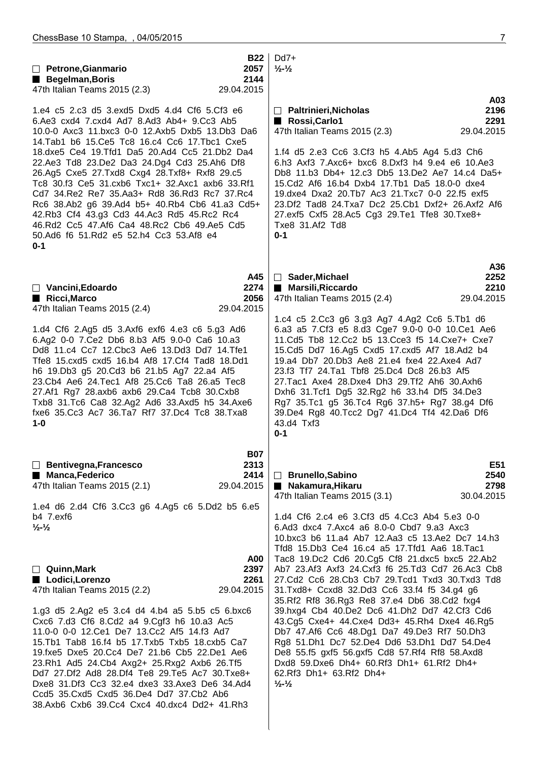| $\Box$ Petrone, Gianmario                                                                                                                                                                                                                                                                                                                                                                                                                                                                                        | <b>B22</b><br>2057                       | Dd7+<br>$\frac{1}{2}$ - $\frac{1}{2}$                                                                                                                                                                                                                                                                                                                                                                                                                                                                                     |                                   |
|------------------------------------------------------------------------------------------------------------------------------------------------------------------------------------------------------------------------------------------------------------------------------------------------------------------------------------------------------------------------------------------------------------------------------------------------------------------------------------------------------------------|------------------------------------------|---------------------------------------------------------------------------------------------------------------------------------------------------------------------------------------------------------------------------------------------------------------------------------------------------------------------------------------------------------------------------------------------------------------------------------------------------------------------------------------------------------------------------|-----------------------------------|
| <b>Begelman, Boris</b><br>47th Italian Teams 2015 (2.3)                                                                                                                                                                                                                                                                                                                                                                                                                                                          | 2144<br>29.04.2015                       |                                                                                                                                                                                                                                                                                                                                                                                                                                                                                                                           |                                   |
| 1.e4 c5 2.c3 d5 3.exd5 Dxd5 4.d4 Cf6 5.Cf3 e6<br>6.Ae3 cxd4 7.cxd4 Ad7 8.Ad3 Ab4+ 9.Cc3 Ab5<br>10.0-0 Axc3 11.bxc3 0-0 12.Axb5 Dxb5 13.Db3 Da6                                                                                                                                                                                                                                                                                                                                                                   |                                          | $\Box$ Paltrinieri, Nicholas<br>Rossi, Carlo1<br>47th Italian Teams 2015 (2.3)                                                                                                                                                                                                                                                                                                                                                                                                                                            | A03<br>2196<br>2291<br>29.04.2015 |
| 14. Tab1 b6 15. Ce5 Tc8 16. c4 Cc6 17. Tbc1 Cxe5<br>18.dxe5 Ce4 19. Tfd1 Da5 20. Ad4 Cc5 21. Db2 Da4<br>22.Ae3 Td8 23.De2 Da3 24.Dg4 Cd3 25.Ah6 Df8<br>26.Ag5 Cxe5 27.Txd8 Cxg4 28.Txf8+ Rxf8 29.c5<br>Tc8 30.f3 Ce5 31.cxb6 Txc1+ 32.Axc1 axb6 33.Rf1<br>Cd7 34. Re2 Re7 35. Aa 3+ Rd8 36. Rd3 Rc7 37. Rc4<br>Rc6 38.Ab2 g6 39.Ad4 b5+ 40.Rb4 Cb6 41.a3 Cd5+<br>42.Rb3 Cf4 43.g3 Cd3 44.Ac3 Rd5 45.Rc2 Rc4<br>46.Rd2 Cc5 47.Af6 Ca4 48.Rc2 Cb6 49.Ae5 Cd5<br>50.Ad6 f6 51.Rd2 e5 52.h4 Cc3 53.Af8 e4<br>$0 - 1$ |                                          | 1.f4 d5 2.e3 Cc6 3.Cf3 h5 4.Ab5 Ag4 5.d3 Ch6<br>6.h3 Axf3 7.Axc6+ bxc6 8.Dxf3 h4 9.e4 e6 10.Ae3<br>Db8 11.b3 Db4+ 12.c3 Db5 13.De2 Ae7 14.c4 Da5+<br>15.Cd2 Af6 16.b4 Dxb4 17.Tb1 Da5 18.0-0 dxe4<br>19. dxe4 Dxa2 20. Tb7 Ac3 21. Txc7 0-0 22. f5 exf5<br>23.Df2 Tad8 24.Txa7 Dc2 25.Cb1 Dxf2+ 26.Axf2 Af6<br>27.exf5 Cxf5 28.Ac5 Cg3 29.Te1 Tfe8 30.Txe8+<br>Txe8 31.Af2 Td8<br>$0 - 1$                                                                                                                                 |                                   |
|                                                                                                                                                                                                                                                                                                                                                                                                                                                                                                                  |                                          |                                                                                                                                                                                                                                                                                                                                                                                                                                                                                                                           | A36                               |
| □ Vancini, Edoardo<br>Ricci, Marco                                                                                                                                                                                                                                                                                                                                                                                                                                                                               | A45<br>2274<br>2056                      | □ Sader, Michael<br>■ Marsili, Riccardo<br>47th Italian Teams 2015 (2.4)                                                                                                                                                                                                                                                                                                                                                                                                                                                  | 2252<br>2210<br>29.04.2015        |
| 47th Italian Teams 2015 (2.4)<br>1.d4 Cf6 2.Ag5 d5 3.Axf6 exf6 4.e3 c6 5.g3 Ad6<br>6.Ag2 0-0 7.Ce2 Db6 8.b3 Af5 9.0-0 Ca6 10.a3<br>Dd8 11.c4 Cc7 12. Cbc3 Ae6 13. Dd3 Dd7 14. Tfe1<br>Tfe8 15.cxd5 cxd5 16.b4 Af8 17.Cf4 Tad8 18.Dd1<br>h6 19.Db3 g5 20.Cd3 b6 21.b5 Ag7 22.a4 Af5<br>23.Cb4 Ae6 24.Tec1 Af8 25.Cc6 Ta8 26.a5 Tec8<br>27.Af1 Rg7 28.axb6 axb6 29.Ca4 Tcb8 30.Cxb8<br>Txb8 31.Tc6 Ca8 32.Ag2 Ad6 33.Axd5 h5 34.Axe6<br>fxe6 35.Cc3 Ac7 36.Ta7 Rf7 37.Dc4 Tc8 38.Txa8<br>$1-0$                     | 29.04.2015                               | 1.c4 c5 2.Cc3 g6 3.g3 Ag7 4.Ag2 Cc6 5.Tb1 d6<br>6.a3 a5 7.Cf3 e5 8.d3 Cge7 9.0-0 0-0 10.Ce1 Ae6<br>11.Cd5 Tb8 12.Cc2 b5 13.Cce3 f5 14.Cxe7+ Cxe7<br>15.Cd5 Dd7 16.Ag5 Cxd5 17.cxd5 Af7 18.Ad2 b4<br>19.a4 Db7 20.Db3 Ae8 21.e4 fxe4 22.Axe4 Ad7<br>23.f3 Tf7 24.Ta1 Tbf8 25.Dc4 Dc8 26.b3 Af5<br>27. Tac1 Axe4 28. Dxe4 Dh3 29. Tf2 Ah6 30. Axh6<br>Dxh6 31.Tcf1 Dg5 32.Rg2 h6 33.h4 Df5 34.De3<br>Rg7 35.Tc1 g5 36.Tc4 Rg6 37.h5+ Rg7 38.g4 Df6<br>39.De4 Rg8 40.Tcc2 Dg7 41.Dc4 Tf4 42.Da6 Df6<br>43.d4 Txf3<br>$0 - 1$ |                                   |
| $\Box$ Bentivegna, Francesco<br><b>Manca, Federico</b><br>47th Italian Teams 2015 (2.1)<br>1.e4 d6 2.d4 Cf6 3.Cc3 g6 4.Ag5 c6 5.Dd2 b5 6.e5                                                                                                                                                                                                                                                                                                                                                                      | <b>B07</b><br>2313<br>2414<br>29.04.2015 | □ Brunello, Sabino<br>Nakamura, Hikaru<br>47th Italian Teams 2015 (3.1)                                                                                                                                                                                                                                                                                                                                                                                                                                                   | E51<br>2540<br>2798<br>30.04.2015 |
| b4 7.exf6<br>$\frac{1}{2}$ $\frac{1}{2}$                                                                                                                                                                                                                                                                                                                                                                                                                                                                         | <b>A00</b>                               | 1.d4 Cf6 2.c4 e6 3.Cf3 d5 4.Cc3 Ab4 5.e3 0-0<br>6.Ad3 dxc4 7.Axc4 a6 8.0-0 Cbd7 9.a3 Axc3<br>10.bxc3 b6 11.a4 Ab7 12.Aa3 c5 13.Ae2 Dc7 14.h3<br>Tfd8 15.Db3 Ce4 16.c4 a5 17.Tfd1 Aa6 18.Tac1<br>Tac8 19.Dc2 Cd6 20.Cg5 Cf8 21.dxc5 bxc5 22.Ab2                                                                                                                                                                                                                                                                            |                                   |
| $\Box$ Quinn, Mark<br>Lodici, Lorenzo<br>47th Italian Teams 2015 (2.2)                                                                                                                                                                                                                                                                                                                                                                                                                                           | 2397<br>2261<br>29.04.2015               | Ab7 23.Af3 Axf3 24.Cxf3 f6 25.Td3 Cd7 26.Ac3 Cb8<br>27.Cd2 Cc6 28.Cb3 Cb7 29.Tcd1 Txd3 30.Txd3 Td8<br>31. Txd8+ Ccxd8 32. Dd3 Cc6 33. f4 f5 34. g4 g6<br>35. Rf2 Rf8 36. Rg3 Re8 37. e4 Db6 38. Cd2 fxg4                                                                                                                                                                                                                                                                                                                  |                                   |
| 1.g3 d5 2.Ag2 e5 3.c4 d4 4.b4 a5 5.b5 c5 6.bxc6<br>Cxc6 7.d3 Cf6 8.Cd2 a4 9.Cgf3 h6 10.a3 Ac5<br>11.0-0 0-0 12.Ce1 De7 13.Cc2 Af5 14.f3 Ad7<br>15.Tb1 Tab8 16.f4 b5 17.Txb5 Txb5 18.cxb5 Ca7<br>19.fxe5 Dxe5 20.Cc4 De7 21.b6 Cb5 22.De1 Ae6<br>23.Rh1 Ad5 24.Cb4 Axg2+ 25.Rxg2 Axb6 26.Tf5<br>Dd7 27.Df2 Ad8 28.Df4 Te8 29.Te5 Ac7 30.Txe8+<br>Dxe8 31.Df3 Cc3 32.e4 dxe3 33.Axe3 De6 34.Ad4<br>Ccd5 35.Cxd5 Cxd5 36.De4 Dd7 37.Cb2 Ab6<br>38.Axb6 Cxb6 39.Cc4 Cxc4 40.dxc4 Dd2+ 41.Rh3                         |                                          | 39.hxg4 Cb4 40.De2 Dc6 41.Dh2 Dd7 42.Cf3 Cd6<br>43.Cg5 Cxe4+ 44.Cxe4 Dd3+ 45.Rh4 Dxe4 46.Rg5<br>Db7 47.Af6 Cc6 48.Dg1 Da7 49.De3 Rf7 50.Dh3<br>Rg8 51.Dh1 Dc7 52.De4 Dd6 53.Dh1 Dd7 54.De4<br>De8 55.f5 gxf5 56.gxf5 Cd8 57.Rf4 Rf8 58.Axd8<br>Dxd8 59.Dxe6 Dh4+ 60.Rf3 Dh1+ 61.Rf2 Dh4+<br>62.Rf3 Dh1+ 63.Rf2 Dh4+<br>$\frac{1}{2}$ - $\frac{1}{2}$                                                                                                                                                                      |                                   |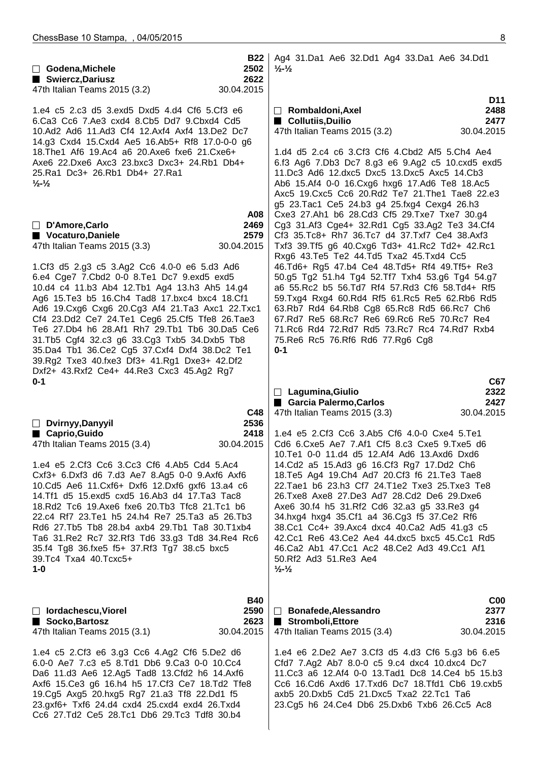| □ Godena, Michele<br>Swiercz, Dariusz<br>47th Italian Teams 2015 (3.2)                                                                                                                                                                                                                                    | <b>B22</b><br>2502<br>2622<br>30.04.2015 | Ag4 31.Da1 Ae6 32.Dd1 Ag4 33.Da1 Ae6 34.Dd1<br>$\frac{1}{2}$ $\frac{1}{2}$                                                                                                                                                                                                                                                                                |                                               |
|-----------------------------------------------------------------------------------------------------------------------------------------------------------------------------------------------------------------------------------------------------------------------------------------------------------|------------------------------------------|-----------------------------------------------------------------------------------------------------------------------------------------------------------------------------------------------------------------------------------------------------------------------------------------------------------------------------------------------------------|-----------------------------------------------|
|                                                                                                                                                                                                                                                                                                           |                                          |                                                                                                                                                                                                                                                                                                                                                           |                                               |
| 1.e4 c5 2.c3 d5 3.exd5 Dxd5 4.d4 Cf6 5.Cf3 e6<br>6.Ca3 Cc6 7.Ae3 cxd4 8.Cb5 Dd7 9.Cbxd4 Cd5<br>10.Ad2 Ad6 11.Ad3 Cf4 12.Axf4 Axf4 13.De2 Dc7<br>14.g3 Cxd4 15. Cxd4 Ae5 16. Ab5 + Rf8 17. 0-0-0 g6                                                                                                        |                                          | $\Box$ Rombaldoni, Axel<br>■ Collutiis, Duilio<br>47th Italian Teams 2015 (3.2)                                                                                                                                                                                                                                                                           | D <sub>11</sub><br>2488<br>2477<br>30.04.2015 |
| 18. The 1 Af6 19. Ac4 a6 20. Axe6 fxe6 21. Cxe6+<br>Axe6 22.Dxe6 Axc3 23.bxc3 Dxc3+ 24.Rb1 Db4+<br>25.Ra1 Dc3+ 26.Rb1 Db4+ 27.Ra1<br>$\frac{1}{2}$ - $\frac{1}{2}$                                                                                                                                        | A08                                      | 1.d4 d5 2.c4 c6 3.Cf3 Cf6 4.Cbd2 Af5 5.Ch4 Ae4<br>6.f3 Ag6 7.Db3 Dc7 8.g3 e6 9.Ag2 c5 10.cxd5 exd5<br>11.Dc3 Ad6 12.dxc5 Dxc5 13.Dxc5 Axc5 14.Cb3<br>Ab6 15.Af4 0-0 16.Cxg6 hxg6 17.Ad6 Te8 18.Ac5<br>Axc5 19. Cxc5 Cc6 20. Rd2 Te7 21. The1 Tae8 22. e3<br>g5 23. Tac1 Ce5 24.b3 g4 25. fxg4 Cexg4 26.h3<br>Cxe3 27.Ah1 b6 28.Cd3 Cf5 29.Txe7 Txe7 30.g4 |                                               |
| □ D'Amore, Carlo<br>Vocaturo, Daniele<br>47th Italian Teams 2015 (3.3)                                                                                                                                                                                                                                    | 2469<br>2579<br>30.04.2015               | Cg3 31.Af3 Cge4+ 32.Rd1 Cg5 33.Ag2 Te3 34.Cf4<br>Cf3 35.Tc8+ Rh7 36.Tc7 d4 37.Txf7 Ce4 38.Axf3<br>Txf3 39.Tf5 g6 40.Cxg6 Td3+ 41.Rc2 Td2+ 42.Rc1<br>Rxg6 43.Te5 Te2 44.Td5 Txa2 45.Txd4 Cc5                                                                                                                                                               |                                               |
| 1.Cf3 d5 2.g3 c5 3.Ag2 Cc6 4.0-0 e6 5.d3 Ad6<br>6.e4 Cge7 7.Cbd2 0-0 8.Te1 Dc7 9.exd5 exd5<br>10.d4 c4 11.b3 Ab4 12.Tb1 Ag4 13.h3 Ah5 14.g4<br>Ag6 15. Te3 b5 16. Ch4 Tad8 17. bxc4 bxc4 18. Cf1<br>Ad6 19. Cxg6 Cxg6 20. Cg3 Af4 21. Ta3 Axc1 22. Txc1<br>Cf4 23.Dd2 Ce7 24.Te1 Ceg6 25.Cf5 Tfe8 26.Tae3 |                                          | 46.Td6+ Rg5 47.b4 Ce4 48.Td5+ Rf4 49.Tf5+ Re3<br>50.g5 Tg2 51.h4 Tg4 52.Tf7 Txh4 53.g6 Tg4 54.g7<br>a6 55.Rc2 b5 56.Td7 Rf4 57.Rd3 Cf6 58.Td4+ Rf5<br>59.Txg4 Rxg4 60.Rd4 Rf5 61.Rc5 Re5 62.Rb6 Rd5<br>63.Rb7 Rd4 64.Rb8 Cg8 65.Rc8 Rd5 66.Rc7 Ch6<br>67.Rd7 Re5 68.Rc7 Re6 69.Rc6 Re5 70.Rc7 Re4                                                         |                                               |
| Te6 27.Db4 h6 28.Af1 Rh7 29.Tb1 Tb6 30.Da5 Ce6<br>31.Tb5 Cgf4 32.c3 g6 33.Cg3 Txb5 34.Dxb5 Tb8<br>35.Da4 Tb1 36.Ce2 Cg5 37.Cxf4 Dxf4 38.Dc2 Te1<br>39.Rg2 Txe3 40.fxe3 Df3+ 41.Rg1 Dxe3+ 42.Df2<br>Dxf2+ 43.Rxf2 Ce4+ 44.Re3 Cxc3 45.Ag2 Rg7                                                              |                                          | 71.Rc6 Rd4 72.Rd7 Rd5 73.Rc7 Rc4 74.Rd7 Rxb4<br>75.Re6 Rc5 76.Rf6 Rd6 77.Rg6 Cg8<br>$0 - 1$                                                                                                                                                                                                                                                               |                                               |
| $0 - 1$                                                                                                                                                                                                                                                                                                   |                                          |                                                                                                                                                                                                                                                                                                                                                           | C67                                           |
|                                                                                                                                                                                                                                                                                                           |                                          | $\Box$ Lagumina, Giulio                                                                                                                                                                                                                                                                                                                                   | 2322                                          |
|                                                                                                                                                                                                                                                                                                           |                                          | ■ Garcia Palermo, Carlos                                                                                                                                                                                                                                                                                                                                  | 2427                                          |
|                                                                                                                                                                                                                                                                                                           | C48                                      | 47th Italian Teams 2015 (3.3)                                                                                                                                                                                                                                                                                                                             | 30.04.2015                                    |
| Dvirnyy, Danyyil                                                                                                                                                                                                                                                                                          | 2536                                     |                                                                                                                                                                                                                                                                                                                                                           |                                               |
| ■ Caprio, Guido                                                                                                                                                                                                                                                                                           | 2418                                     | 1.e4 e5 2.Cf3 Cc6 3.Ab5 Cf6 4.0-0 Cxe4 5.Te1                                                                                                                                                                                                                                                                                                              |                                               |
| 47th Italian Teams 2015 (3.4)                                                                                                                                                                                                                                                                             | 30.04.2015                               | Cd6 6.Cxe5 Ae7 7.Af1 Cf5 8.c3 Cxe5 9.Txe5 d6                                                                                                                                                                                                                                                                                                              |                                               |
|                                                                                                                                                                                                                                                                                                           |                                          | 10.Te1 0-0 11.d4 d5 12.Af4 Ad6 13.Axd6 Dxd6                                                                                                                                                                                                                                                                                                               |                                               |
| 1.e4 e5 2.Cf3 Cc6 3.Cc3 Cf6 4.Ab5 Cd4 5.Ac4                                                                                                                                                                                                                                                               |                                          | 14.Cd2 a5 15.Ad3 g6 16.Cf3 Rg7 17.Dd2 Ch6                                                                                                                                                                                                                                                                                                                 |                                               |
| Cxf3+ 6.Dxf3 d6 7.d3 Ae7 8.Ag5 0-0 9.Axf6 Axf6                                                                                                                                                                                                                                                            |                                          | 18. Te5 Ag4 19. Ch4 Ad7 20. Cf3 f6 21. Te3 Tae8                                                                                                                                                                                                                                                                                                           |                                               |
| 10.Cd5 Ae6 11.Cxf6+ Dxf6 12.Dxf6 gxf6 13.a4 c6                                                                                                                                                                                                                                                            |                                          | 22. Tae 1 b6 23. h3 Cf7 24. T1e 2 Txe 3 25. Txe 3 Te 8                                                                                                                                                                                                                                                                                                    |                                               |
| 14. Tf1 d5 15. exd5 cxd5 16. Ab3 d4 17. Ta3 Tac8                                                                                                                                                                                                                                                          |                                          | 26. Txe8 Axe8 27. De3 Ad7 28. Cd2 De6 29. Dxe6                                                                                                                                                                                                                                                                                                            |                                               |
| 18.Rd2 Tc6 19.Axe6 fxe6 20.Tb3 Tfc8 21.Tc1 b6                                                                                                                                                                                                                                                             |                                          | Axe6 30.f4 h5 31.Rf2 Cd6 32.a3 g5 33.Re3 g4                                                                                                                                                                                                                                                                                                               |                                               |
| 22.c4 Rf7 23.Te1 h5 24.h4 Re7 25.Ta3 a5 26.Tb3                                                                                                                                                                                                                                                            |                                          | 34.hxg4 hxg4 35.Cf1 a4 36.Cg3 f5 37.Ce2 Rf6                                                                                                                                                                                                                                                                                                               |                                               |
| Rd6 27.Tb5 Tb8 28.b4 axb4 29.Tb1 Ta8 30.T1xb4                                                                                                                                                                                                                                                             |                                          | 38.Cc1 Cc4+ 39.Axc4 dxc4 40.Ca2 Ad5 41.g3 c5                                                                                                                                                                                                                                                                                                              |                                               |
| Ta6 31.Re2 Rc7 32.Rf3 Td6 33.g3 Td8 34.Re4 Rc6                                                                                                                                                                                                                                                            |                                          | 42.Cc1 Re6 43.Ce2 Ae4 44.dxc5 bxc5 45.Cc1 Rd5                                                                                                                                                                                                                                                                                                             |                                               |
| 35.f4 Tg8 36.fxe5 f5+ 37.Rf3 Tg7 38.c5 bxc5                                                                                                                                                                                                                                                               |                                          | 46.Ca2 Ab1 47.Cc1 Ac2 48.Ce2 Ad3 49.Cc1 Af1                                                                                                                                                                                                                                                                                                               |                                               |
| 39.Tc4 Txa4 40.Tcxc5+<br>$1 - 0$                                                                                                                                                                                                                                                                          |                                          | 50.Rf2 Ad3 51.Re3 Ae4<br>$\frac{1}{2}$ - $\frac{1}{2}$                                                                                                                                                                                                                                                                                                    |                                               |
|                                                                                                                                                                                                                                                                                                           |                                          |                                                                                                                                                                                                                                                                                                                                                           |                                               |
|                                                                                                                                                                                                                                                                                                           | <b>B40</b>                               |                                                                                                                                                                                                                                                                                                                                                           | C <sub>00</sub>                               |
| □ lordachescu, Viorel                                                                                                                                                                                                                                                                                     | 2590                                     | <b>Bonafede, Alessandro</b><br>$\Box$                                                                                                                                                                                                                                                                                                                     | 2377                                          |
| ■ Socko, Bartosz                                                                                                                                                                                                                                                                                          | 2623                                     | Stromboli, Ettore                                                                                                                                                                                                                                                                                                                                         | 2316                                          |
| 47th Italian Teams 2015 (3.1)                                                                                                                                                                                                                                                                             | 30.04.2015                               | 47th Italian Teams 2015 (3.4)                                                                                                                                                                                                                                                                                                                             | 30.04.2015                                    |
| 1.e4 c5 2.Cf3 e6 3.g3 Cc6 4.Ag2 Cf6 5.De2 d6<br>6.0-0 Ae7 7.c3 e5 8.Td1 Db6 9.Ca3 0-0 10.Cc4<br>Da6 11.d3 Ae6 12.Ag5 Tad8 13.Cfd2 h6 14.Axf6<br>Axf6 15. Ce3 g6 16. h4 h5 17. Cf3 Ce7 18. Td2 Tfe8<br>19.Cg5 Axg5 20.hxg5 Rg7 21.a3 Tf8 22.Dd1 f5<br>23.gxf6+ Txf6 24.d4 cxd4 25.cxd4 exd4 26.Txd4        |                                          | 1.e4 e6 2.De2 Ae7 3.Cf3 d5 4.d3 Cf6 5.g3 b6 6.e5<br>Cfd7 7.Ag2 Ab7 8.0-0 c5 9.c4 dxc4 10.dxc4 Dc7<br>11.Cc3 a6 12.Af4 0-0 13.Tad1 Dc8 14.Ce4 b5 15.b3<br>Cc6 16.Cd6 Axd6 17.Txd6 Dc7 18.Tfd1 Cb6 19.cxb5<br>axb5 20.Dxb5 Cd5 21.Dxc5 Txa2 22.Tc1 Ta6<br>23.Cg5 h6 24.Ce4 Db6 25.Dxb6 Txb6 26.Cc5 Ac8                                                      |                                               |
| Cc6 27.Td2 Ce5 28.Tc1 Db6 29.Tc3 Tdf8 30.b4                                                                                                                                                                                                                                                               |                                          |                                                                                                                                                                                                                                                                                                                                                           |                                               |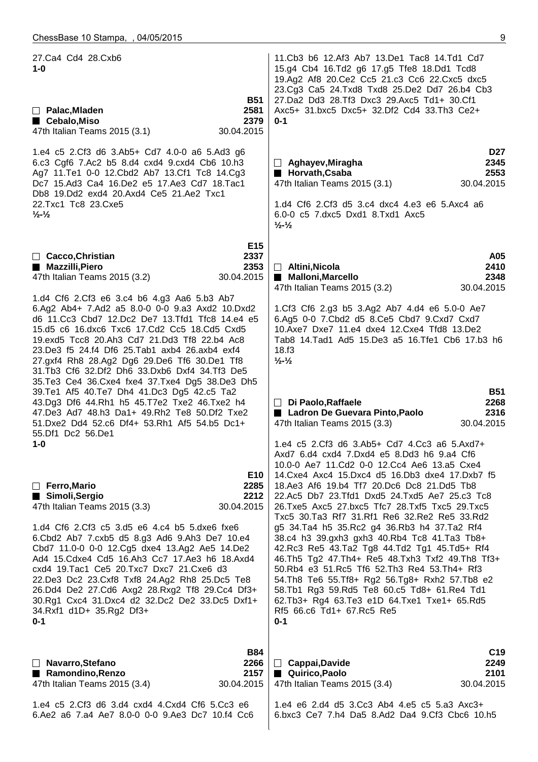27.Ca4 Cd4 28.Cxb6 **1-0 B51 Palac,Mladen 2581** ■ Cebalo,Miso **2379** 47th Italian Teams 2015 (3.1) 30.04.2015 1.e4 c5 2.Cf3 d6 3.Ab5+ Cd7 4.0-0 a6 5.Ad3 g6 6.c3 Cgf6 7.Ac2 b5 8.d4 cxd4 9.cxd4 Cb6 10.h3 Ag7 11.Te1 0-0 12.Cbd2 Ab7 13.Cf1 Tc8 14.Cg3 Dc7 15.Ad3 Ca4 16.De2 e5 17.Ae3 Cd7 18.Tac1 Db8 19.Dd2 exd4 20.Axd4 Ce5 21.Ae2 Txc1 22.Txc1 Tc8 23.Cxe5 **½-½ E15 Cacco,Christian 2337** ■ Mazzilli, Piero 2353 47th Italian Teams 2015 (3.2) 30.04.2015 1.d4 Cf6 2.Cf3 e6 3.c4 b6 4.g3 Aa6 5.b3 Ab7 6.Ag2 Ab4+ 7.Ad2 a5 8.0-0 0-0 9.a3 Axd2 10.Dxd2 d6 11.Cc3 Cbd7 12.Dc2 De7 13.Tfd1 Tfc8 14.e4 e5 15.d5 c6 16.dxc6 Txc6 17.Cd2 Cc5 18.Cd5 Cxd5 19.exd5 Tcc8 20.Ah3 Cd7 21.Dd3 Tf8 22.b4 Ac8 23.De3 f5 24.f4 Df6 25.Tab1 axb4 26.axb4 exf4 27.gxf4 Rh8 28.Ag2 Dg6 29.De6 Tf6 30.De1 Tf8 31.Tb3 Cf6 32.Df2 Dh6 33.Dxb6 Dxf4 34.Tf3 De5 35.Te3 Ce4 36.Cxe4 fxe4 37.Txe4 Dg5 38.De3 Dh5 39.Te1 Af5 40.Te7 Dh4 41.Dc3 Dg5 42.c5 Ta2 43.Dg3 Df6 44.Rh1 h5 45.T7e2 Txe2 46.Txe2 h4 47.De3 Ad7 48.h3 Da1+ 49.Rh2 Te8 50.Df2 Txe2 51.Dxe2 Dd4 52.c6 Df4+ 53.Rh1 Af5 54.b5 Dc1+ 55.Df1 Dc2 56.De1 **1-0 E10 Ferro,Mario 2285 Simoli,Sergio 2212** 47th Italian Teams 2015 (3.3) 30.04.2015 1.d4 Cf6 2.Cf3 c5 3.d5 e6 4.c4 b5 5.dxe6 fxe6 6.Cbd2 Ab7 7.cxb5 d5 8.g3 Ad6 9.Ah3 De7 10.e4 Cbd7 11.0-0 0-0 12.Cg5 dxe4 13.Ag2 Ae5 14.De2 Ad4 15.Cdxe4 Cd5 16.Ah3 Cc7 17.Ae3 h6 18.Axd4 cxd4 19.Tac1 Ce5 20.Txc7 Dxc7 21.Cxe6 d3 22.De3 Dc2 23.Cxf8 Txf8 24.Ag2 Rh8 25.Dc5 Te8 26.Dd4 De2 27.Cd6 Axg2 28.Rxg2 Tf8 29.Cc4 Df3+ 30.Rg1 Cxc4 31.Dxc4 d2 32.Dc2 De2 33.Dc5 Dxf1+ 34.Rxf1 d1D+ 35.Rg2 Df3+ **0-1 B84 Navarro,Stefano 2266** ■ Ramondino,Renzo 2157 47th Italian Teams 2015 (3.4) 30.04.2015 1.e4 c5 2.Cf3 d6 3.d4 cxd4 4.Cxd4 Cf6 5.Cc3 e6 6.Ae2 a6 7.a4 Ae7 8.0-0 0-0 9.Ae3 Dc7 10.f4 Cc6 11.Cb3 b6 12.Af3 Ab7 13.De1 Tac8 14.Td1 Cd7 15.g4 Cb4 16.Td2 g6 17.g5 Tfe8 18.Dd1 Tcd8 19.Ag2 Af8 20.Ce2 Cc5 21.c3 Cc6 22.Cxc5 dxc5 23.Cg3 Ca5 24.Txd8 Txd8 25.De2 Dd7 26.b4 Cb3 27.Da2 Dd3 28.Tf3 Dxc3 29.Axc5 Td1+ 30.Cf1 Axc5+ 31.bxc5 Dxc5+ 32.Df2 Cd4 33.Th3 Ce2+ **0-1 D27 Aghayev,Miragha 2345** ■ Horvath,Csaba 2553 47th Italian Teams 2015 (3.1) 30.04.2015 1.d4 Cf6 2.Cf3 d5 3.c4 dxc4 4.e3 e6 5.Axc4 a6 6.0-0 c5 7.dxc5 Dxd1 8.Txd1 Axc5 **½-½ A05 Altini,Nicola 2410** ■ Malloni,Marcello 2348 47th Italian Teams 2015 (3.2) 30.04.2015 1.Cf3 Cf6 2.g3 b5 3.Ag2 Ab7 4.d4 e6 5.0-0 Ae7 6.Ag5 0-0 7.Cbd2 d5 8.Ce5 Cbd7 9.Cxd7 Cxd7 10.Axe7 Dxe7 11.e4 dxe4 12.Cxe4 Tfd8 13.De2 Tab8 14.Tad1 Ad5 15.De3 a5 16.Tfe1 Cb6 17.b3 h6 18.f3 **½-½ B51 Di Paolo,Raffaele 2268** ■ Ladron De Guevara Pinto, Paolo **2316** 47th Italian Teams 2015 (3.3) 30.04.2015 1.e4 c5 2.Cf3 d6 3.Ab5+ Cd7 4.Cc3 a6 5.Axd7+ Axd7 6.d4 cxd4 7.Dxd4 e5 8.Dd3 h6 9.a4 Cf6 10.0-0 Ae7 11.Cd2 0-0 12.Cc4 Ae6 13.a5 Cxe4 14.Cxe4 Axc4 15.Dxc4 d5 16.Db3 dxe4 17.Dxb7 f5 18.Ae3 Af6 19.b4 Tf7 20.Dc6 Dc8 21.Dd5 Tb8 22.Ac5 Db7 23.Tfd1 Dxd5 24.Txd5 Ae7 25.c3 Tc8 26.Txe5 Axc5 27.bxc5 Tfc7 28.Txf5 Txc5 29.Txc5 Txc5 30.Ta3 Rf7 31.Rf1 Re6 32.Re2 Re5 33.Rd2 g5 34.Ta4 h5 35.Rc2 g4 36.Rb3 h4 37.Ta2 Rf4 38.c4 h3 39.gxh3 gxh3 40.Rb4 Tc8 41.Ta3 Tb8+ 42.Rc3 Re5 43.Ta2 Tg8 44.Td2 Tg1 45.Td5+ Rf4 46.Th5 Tg2 47.Th4+ Re5 48.Txh3 Txf2 49.Th8 Tf3+ 50.Rb4 e3 51.Rc5 Tf6 52.Th3 Re4 53.Th4+ Rf3 54.Th8 Te6 55.Tf8+ Rg2 56.Tg8+ Rxh2 57.Tb8 e2 58.Tb1 Rg3 59.Rd5 Te8 60.c5 Td8+ 61.Re4 Td1 62.Tb3+ Rg4 63.Te3 e1D 64.Txe1 Txe1+ 65.Rd5 Rf5 66.c6 Td1+ 67.Rc5 Re5 **0-1 C19 Cappai,Davide 2249** ■ Quirico,Paolo 2101 47th Italian Teams 2015 (3.4) 30.04.2015 1.e4 e6 2.d4 d5 3.Cc3 Ab4 4.e5 c5 5.a3 Axc3+ 6.bxc3 Ce7 7.h4 Da5 8.Ad2 Da4 9.Cf3 Cbc6 10.h5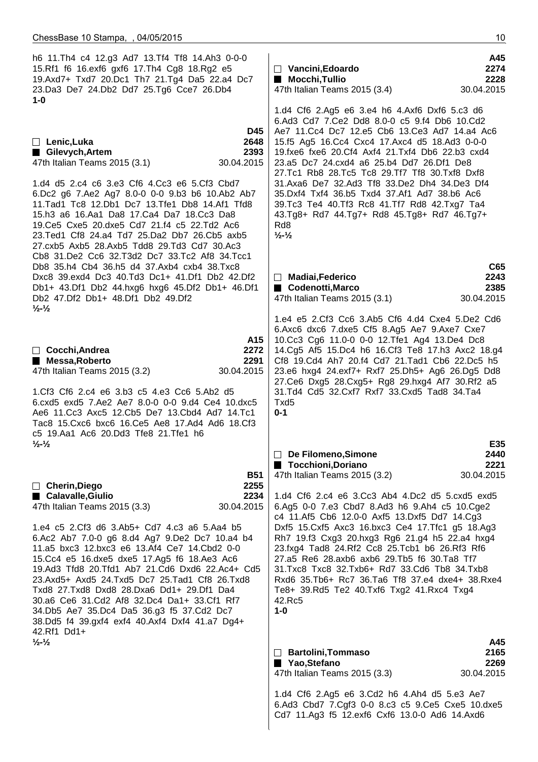| h6 11. Th4 c4 12. g3 Ad7 13. Tf4 Tf8 14. Ah3 0-0-0<br>15.Rf1 f6 16.exf6 gxf6 17.Th4 Cg8 18.Rg2 e5<br>19.Axd7+ Txd7 20.Dc1 Th7 21.Tg4 Da5 22.a4 Dc7<br>23.Da3 De7 24.Db2 Dd7 25.Tg6 Cce7 26.Db4<br>1-0                                                                                                                                                                                                                                                                                                                                                                                                                                                               | A45<br>2274<br>$\Box$ Vancini, Edoardo<br>Mocchi, Tullio<br>2228<br>47th Italian Teams 2015 (3.4)<br>30.04.2015                                                                                                                                                                                                                                                                                                                                                                                                                                                                                                                                       |
|---------------------------------------------------------------------------------------------------------------------------------------------------------------------------------------------------------------------------------------------------------------------------------------------------------------------------------------------------------------------------------------------------------------------------------------------------------------------------------------------------------------------------------------------------------------------------------------------------------------------------------------------------------------------|-------------------------------------------------------------------------------------------------------------------------------------------------------------------------------------------------------------------------------------------------------------------------------------------------------------------------------------------------------------------------------------------------------------------------------------------------------------------------------------------------------------------------------------------------------------------------------------------------------------------------------------------------------|
| D45<br>2648<br>$\Box$ Lenic, Luka<br>Gilevych, Artem<br>2393<br>30.04.2015<br>47th Italian Teams 2015 (3.1)<br>1.d4 d5 2.c4 c6 3.e3 Cf6 4.Cc3 e6 5.Cf3 Cbd7<br>6.Dc2 g6 7.Ae2 Ag7 8.0-0 0-0 9.b3 b6 10.Ab2 Ab7<br>11. Tad1 Tc8 12. Db1 Dc7 13. Tfe1 Db8 14. Af1 Tfd8<br>15.h3 a6 16.Aa1 Da8 17.Ca4 Da7 18.Cc3 Da8<br>19. Ce5 Cxe5 20. dxe5 Cd7 21. f4 c5 22. Td2 Ac6<br>23. Ted1 Cf8 24. a4 Td7 25. Da2 Db7 26. Cb5 axb5<br>27.cxb5 Axb5 28.Axb5 Tdd8 29.Td3 Cd7 30.Ac3                                                                                                                                                                                             | 1.d4 Cf6 2.Ag5 e6 3.e4 h6 4.Axf6 Dxf6 5.c3 d6<br>6.Ad3 Cd7 7.Ce2 Dd8 8.0-0 c5 9.f4 Db6 10.Cd2<br>Ae7 11. Cc4 Dc7 12. e5 Cb6 13. Ce3 Ad7 14. a4 Ac6<br>15.f5 Ag5 16.Cc4 Cxc4 17.Axc4 d5 18.Ad3 0-0-0<br>19.fxe6 fxe6 20.Cf4 Axf4 21.Txf4 Db6 22.b3 cxd4<br>23.a5 Dc7 24.cxd4 a6 25.b4 Dd7 26.Df1 De8<br>27.Tc1 Rb8 28.Tc5 Tc8 29.Tf7 Tf8 30.Txf8 Dxf8<br>31.Axa6 De7 32.Ad3 Tf8 33.De2 Dh4 34.De3 Df4<br>35.Dxf4 Txf4 36.b5 Txd4 37.Af1 Ad7 38.b6 Ac6<br>39. Tc3 Te4 40. Tf3 Rc8 41. Tf7 Rd8 42. Txg7 Ta4<br>43.Tg8+ Rd7 44.Tg7+ Rd8 45.Tg8+ Rd7 46.Tg7+<br>R <sub>d</sub> 8<br>$\frac{1}{2}$ - $\frac{1}{2}$                                          |
| Cb8 31.De2 Cc6 32.T3d2 Dc7 33.Tc2 Af8 34.Tcc1<br>Db8 35.h4 Cb4 36.h5 d4 37.Axb4 cxb4 38.Txc8<br>Dxc8 39.exd4 Dc3 40.Td3 Dc1+ 41.Df1 Db2 42.Df2<br>Db1+ 43.Df1 Db2 44.hxg6 hxg6 45.Df2 Db1+ 46.Df1<br>Db2 47.Df2 Db1+ 48.Df1 Db2 49.Df2<br>$\frac{1}{2}$ - $\frac{1}{2}$                                                                                                                                                                                                                                                                                                                                                                                             | C65<br>2243<br>$\Box$ Madiai, Federico<br>Codenotti, Marco<br>2385<br>47th Italian Teams 2015 (3.1)<br>30.04.2015                                                                                                                                                                                                                                                                                                                                                                                                                                                                                                                                     |
| A15<br>$\Box$ Cocchi, Andrea<br>2272<br>2291<br>■ Messa, Roberto<br>47th Italian Teams 2015 (3.2)<br>30.04.2015<br>1.Cf3 Cf6 2.c4 e6 3.b3 c5 4.e3 Cc6 5.Ab2 d5<br>6.cxd5 exd5 7.Ae2 Ae7 8.0-0 0-0 9.d4 Ce4 10.dxc5<br>Ae6 11.Cc3 Axc5 12.Cb5 De7 13.Cbd4 Ad7 14.Tc1<br>Tac8 15. Cxc6 bxc6 16. Ce5 Ae8 17. Ad4 Ad6 18. Cf3<br>c5 19.Aa1 Ac6 20.Dd3 Tfe8 21.Tfe1 h6                                                                                                                                                                                                                                                                                                   | 1.e4 e5 2.Cf3 Cc6 3.Ab5 Cf6 4.d4 Cxe4 5.De2 Cd6<br>6.Axc6 dxc6 7.dxe5 Cf5 8.Ag5 Ae7 9.Axe7 Cxe7<br>10.Cc3 Cg6 11.0-0 0-0 12.Tfe1 Ag4 13.De4 Dc8<br>14.Cg5 Af5 15.Dc4 h6 16.Cf3 Te8 17.h3 Axc2 18.g4<br>Cf8 19.Cd4 Ah7 20.f4 Cd7 21.Tad1 Cb6 22.Dc5 h5<br>23.e6 hxg4 24.exf7+ Rxf7 25.Dh5+ Ag6 26.Dg5 Dd8<br>27. Ce6 Dxg5 28. Cxg5+ Rg8 29. hxg4 Af7 30. Rf2 a5<br>31.Td4 Cd5 32.Cxf7 Rxf7 33.Cxd5 Tad8 34.Ta4<br>Txd5<br>$0 - 1$                                                                                                                                                                                                                      |
| $\frac{1}{2}$ - $\frac{1}{2}$<br><b>B51</b><br>2255<br>□ Cherin, Diego<br>■ Calavalle, Giulio<br>2234<br>30.04.2015<br>47th Italian Teams 2015 (3.3)<br>1.e4 c5 2.Cf3 d6 3.Ab5+ Cd7 4.c3 a6 5.Aa4 b5<br>6.Ac2 Ab7 7.0-0 g6 8.d4 Ag7 9.De2 Dc7 10.a4 b4<br>11.a5 bxc3 12.bxc3 e6 13.Af4 Ce7 14.Cbd2 0-0<br>15.Cc4 e5 16.dxe5 dxe5 17.Ag5 f6 18.Ae3 Ac6<br>19.Ad3 Tfd8 20.Tfd1 Ab7 21.Cd6 Dxd6 22.Ac4+ Cd5<br>23.Axd5+ Axd5 24.Txd5 Dc7 25.Tad1 Cf8 26.Txd8<br>Txd8 27.Txd8 Dxd8 28.Dxa6 Dd1+ 29.Df1 Da4<br>30.a6 Ce6 31.Cd2 Af8 32.Dc4 Da1+ 33.Cf1 Rf7<br>34.Db5 Ae7 35.Dc4 Da5 36.g3 f5 37.Cd2 Dc7<br>38.Dd5 f4 39.gxf4 exf4 40.Axf4 Dxf4 41.a7 Dg4+<br>42.Rf1 Dd1+ | E35<br>De Filomeno, Simone<br>2440<br>■ Tocchioni, Doriano<br>2221<br>47th Italian Teams 2015 (3.2)<br>30.04.2015<br>1.d4 Cf6 2.c4 e6 3.Cc3 Ab4 4.Dc2 d5 5.cxd5 exd5<br>6.Ag5 0-0 7.e3 Cbd7 8.Ad3 h6 9.Ah4 c5 10.Cge2<br>c4 11.Af5 Cb6 12.0-0 Axf5 13.Dxf5 Dd7 14.Cg3<br>Dxf5 15. Cxf5 Axc3 16. bxc3 Ce4 17. Tfc1 g5 18. Ag3<br>Rh7 19.f3 Cxg3 20.hxg3 Rg6 21.g4 h5 22.a4 hxg4<br>23.fxg4 Tad8 24.Rf2 Cc8 25.Tcb1 b6 26.Rf3 Rf6<br>27.a5 Re6 28.axb6 axb6 29.Tb5 f6 30.Ta8 Tf7<br>31. Txc8 Txc8 32. Txb6+ Rd7 33. Cd6 Tb8 34. Txb8<br>Rxd6 35.Tb6+ Rc7 36.Ta6 Tf8 37.e4 dxe4+ 38.Rxe4<br>Te8+ 39.Rd5 Te2 40.Txf6 Txg2 41.Rxc4 Txg4<br>42.Rc5<br>$1-0$ |
| $\frac{1}{2}$ $\frac{1}{2}$                                                                                                                                                                                                                                                                                                                                                                                                                                                                                                                                                                                                                                         | A45<br>2165<br><b>Bartolini, Tommaso</b><br>$\Box$<br>2269<br>■ Yao,Stefano<br>47th Italian Teams 2015 (3.3)<br>30.04.2015                                                                                                                                                                                                                                                                                                                                                                                                                                                                                                                            |
|                                                                                                                                                                                                                                                                                                                                                                                                                                                                                                                                                                                                                                                                     | 1.d4 Cf6 2.Ag5 e6 3.Cd2 h6 4.Ah4 d5 5.e3 Ae7<br>6.Ad3 Cbd7 7.Cgf3 0-0 8.c3 c5 9.Ce5 Cxe5 10.dxe5<br>Cd7 11.Ag3 f5 12.exf6 Cxf6 13.0-0 Ad6 14.Axd6                                                                                                                                                                                                                                                                                                                                                                                                                                                                                                     |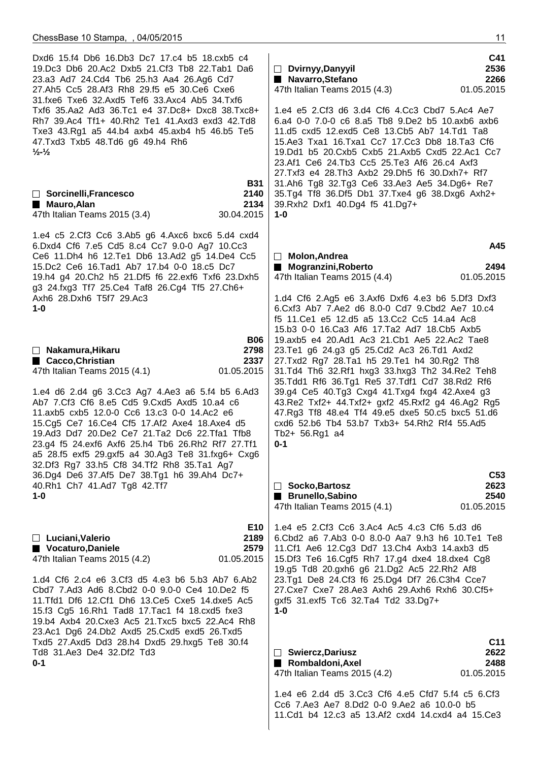| Dxd6 15.f4 Db6 16.Db3 Dc7 17.c4 b5 18.cxb5 c4<br>19. Dc3 Db6 20. Ac2 Dxb5 21. Cf3 Tb8 22. Tab1 Da6<br>23.a3 Ad7 24.Cd4 Tb6 25.h3 Aa4 26.Ag6 Cd7<br>27.Ah5 Cc5 28.Af3 Rh8 29.f5 e5 30.Ce6 Cxe6<br>31.fxe6 Txe6 32.Axd5 Tef6 33.Axc4 Ab5 34.Txf6<br>Txf6 35.Aa2 Ad3 36.Tc1 e4 37.Dc8+ Dxc8 38.Txc8+<br>Rh7 39.Ac4 Tf1+ 40.Rh2 Te1 41.Axd3 exd3 42.Td8<br>Txe3 43.Rg1 a5 44.b4 axb4 45.axb4 h5 46.b5 Te5<br>47.Txd3 Txb5 48.Td6 g6 49.h4 Rh6<br>$\frac{1}{2}$ $\frac{1}{2}$                                                              | C41<br>2536<br>$\Box$ Dvirnyy, Danyyil<br>Navarro, Stefano<br>2266<br>47th Italian Teams 2015 (4.3)<br>01.05.2015<br>1.e4 e5 2.Cf3 d6 3.d4 Cf6 4.Cc3 Cbd7 5.Ac4 Ae7<br>6.a4 0-0 7.0-0 c6 8.a5 Tb8 9.De2 b5 10.axb6 axb6<br>11.d5 cxd5 12.exd5 Ce8 13.Cb5 Ab7 14.Td1 Ta8<br>15.Ae3 Txa1 16.Txa1 Cc7 17.Cc3 Db8 18.Ta3 Cf6<br>19.Dd1 b5 20.Cxb5 Cxb5 21.Axb5 Cxd5 22.Ac1 Cc7                                                                                                       |
|---------------------------------------------------------------------------------------------------------------------------------------------------------------------------------------------------------------------------------------------------------------------------------------------------------------------------------------------------------------------------------------------------------------------------------------------------------------------------------------------------------------------------------------|----------------------------------------------------------------------------------------------------------------------------------------------------------------------------------------------------------------------------------------------------------------------------------------------------------------------------------------------------------------------------------------------------------------------------------------------------------------------------------|
| <b>B31</b><br>2140<br>□ Sorcinelli, Francesco<br>2134<br>■ Mauro, Alan<br>47th Italian Teams 2015 (3.4)<br>30.04.2015                                                                                                                                                                                                                                                                                                                                                                                                                 | 23.Af1 Ce6 24.Tb3 Cc5 25.Te3 Af6 26.c4 Axf3<br>27.Txf3 e4 28.Th3 Axb2 29.Dh5 f6 30.Dxh7+ Rf7<br>31.Ah6 Tg8 32.Tg3 Ce6 33.Ae3 Ae5 34.Dg6+ Re7<br>35.Tg4 Tf8 36.Df5 Db1 37.Txe4 g6 38.Dxg6 Axh2+<br>39.Rxh2 Dxf1 40.Dg4 f5 41.Dg7+<br>$1 - 0$                                                                                                                                                                                                                                      |
| 1.e4 c5 2.Cf3 Cc6 3.Ab5 g6 4.Axc6 bxc6 5.d4 cxd4<br>6.Dxd4 Cf6 7.e5 Cd5 8.c4 Cc7 9.0-0 Ag7 10.Cc3<br>Ce6 11.Dh4 h6 12.Te1 Db6 13.Ad2 g5 14.De4 Cc5<br>15.Dc2 Ce6 16.Tad1 Ab7 17.b4 0-0 18.c5 Dc7<br>19.h4 g4 20.Ch2 h5 21.Df5 f6 22.exf6 Txf6 23.Dxh5<br>g3 24.fxg3 Tf7 25.Ce4 Taf8 26.Cg4 Tf5 27.Ch6+<br>Axh6 28.Dxh6 T5f7 29.Ac3<br>1-0                                                                                                                                                                                             | A45<br>Molon, Andrea<br>■ Mogranzini, Roberto<br>2494<br>01.05.2015<br>47th Italian Teams 2015 (4.4)<br>1.d4 Cf6 2.Ag5 e6 3.Axf6 Dxf6 4.e3 b6 5.Df3 Dxf3<br>6. Cxf3 Ab7 7. Ae2 d6 8.0-0 Cd7 9. Cbd2 Ae7 10. c4<br>f5 11. Ce1 e5 12. d5 a5 13. Cc2 Cc5 14. a4 Ac8<br>15.b3 0-0 16.Ca3 Af6 17.Ta2 Ad7 18.Cb5 Axb5                                                                                                                                                                  |
| <b>B06</b><br>2798<br>$\Box$ Nakamura, Hikaru<br>■ Cacco, Christian<br>2337<br>47th Italian Teams 2015 (4.1)<br>01.05.2015<br>1.e4 d6 2.d4 g6 3.Cc3 Ag7 4.Ae3 a6 5.f4 b5 6.Ad3<br>Ab7 7.Cf3 Cf6 8.e5 Cd5 9.Cxd5 Axd5 10.a4 c6<br>11.axb5 cxb5 12.0-0 Cc6 13.c3 0-0 14.Ac2 e6<br>15.Cg5 Ce7 16.Ce4 Cf5 17.Af2 Axe4 18.Axe4 d5<br>19.Ad3 Dd7 20.De2 Ce7 21.Ta2 Dc6 22.Tfa1 Tfb8<br>23.g4 f5 24.exf6 Axf6 25.h4 Tb6 26.Rh2 Rf7 27.Tf1<br>a5 28.f5 exf5 29.gxf5 a4 30.Ag3 Te8 31.fxg6+ Cxg6<br>32.Df3 Rg7 33.h5 Cf8 34.Tf2 Rh8 35.Ta1 Ag7 | 19.axb5 e4 20.Ad1 Ac3 21.Cb1 Ae5 22.Ac2 Tae8<br>23.Te1 g6 24.g3 g5 25.Cd2 Ac3 26.Td1 Axd2<br>27.Txd2 Rg7 28.Ta1 h5 29.Te1 h4 30.Rg2 Th8<br>31.Td4 Th6 32.Rf1 hxg3 33.hxg3 Th2 34.Re2 Teh8<br>35.Tdd1 Rf6 36.Tg1 Re5 37.Tdf1 Cd7 38.Rd2 Rf6<br>39.g4 Ce5 40.Tg3 Cxg4 41.Txg4 fxg4 42.Axe4 g3<br>43.Re2 Txf2+ 44.Txf2+ gxf2 45.Rxf2 g4 46.Ag2 Rg5<br>47.Rg3 Tf8 48.e4 Tf4 49.e5 dxe5 50.c5 bxc5 51.d6<br>cxd6 52.b6 Tb4 53.b7 Txb3+ 54.Rh2 Rf4 55.Ad5<br>Tb2+ 56.Rg1 a4<br>$0 - 1$ |
| 36.Dg4 De6 37.Af5 De7 38.Tg1 h6 39.Ah4 Dc7+<br>40.Rh1 Ch7 41.Ad7 Tg8 42.Tf7<br>$1 - 0$                                                                                                                                                                                                                                                                                                                                                                                                                                                | C <sub>53</sub><br>$\Box$ Socko, Bartosz<br>2623<br>2540<br>■ Brunello, Sabino<br>01.05.2015<br>47th Italian Teams 2015 (4.1)                                                                                                                                                                                                                                                                                                                                                    |
| E10<br>2189<br>$\Box$ Luciani, Valerio<br>2579<br>Vocaturo, Daniele<br>47th Italian Teams 2015 (4.2)<br>01.05.2015<br>1.d4 Cf6 2.c4 e6 3.Cf3 d5 4.e3 b6 5.b3 Ab7 6.Ab2<br>Cbd7 7.Ad3 Ad6 8.Cbd2 0-0 9.0-0 Ce4 10.De2 f5<br>11. Tfd1 Df6 12. Cf1 Dh6 13. Ce5 Cxe5 14. dxe5 Ac5<br>15.f3 Cg5 16.Rh1 Tad8 17.Tac1 f4 18.cxd5 fxe3<br>19.b4 Axb4 20. Cxe3 Ac5 21. Txc5 bxc5 22. Ac4 Rh8<br>23.Ac1 Dg6 24.Db2 Axd5 25.Cxd5 exd5 26.Txd5                                                                                                    | 1.e4 e5 2.Cf3 Cc6 3.Ac4 Ac5 4.c3 Cf6 5.d3 d6<br>6. Cbd2 a6 7. Ab3 0-0 8.0-0 Aa7 9.h3 h6 10. Te1 Te8<br>11.Cf1 Ae6 12.Cg3 Dd7 13.Ch4 Axb3 14.axb3 d5<br>15.Df3 Te6 16.Cgf5 Rh7 17.g4 dxe4 18.dxe4 Cg8<br>19.g5 Td8 20.gxh6 g6 21.Dg2 Ac5 22.Rh2 Af8<br>23.Tg1 De8 24.Cf3 f6 25.Dg4 Df7 26.C3h4 Cce7<br>27. Cxe7 Cxe7 28. Ae3 Axh6 29. Axh6 Rxh6 30. Cf5+<br>gxf5 31.exf5 Tc6 32.Ta4 Td2 33.Dg7+<br>$1-0$                                                                          |
| Txd5 27.Axd5 Dd3 28.h4 Dxd5 29.hxg5 Te8 30.f4<br>Td8 31.Ae3 De4 32.Df2 Td3<br>$0 - 1$                                                                                                                                                                                                                                                                                                                                                                                                                                                 | C11<br>2622<br>$\Box$ Swiercz, Dariusz<br>2488<br>Rombaldoni, Axel<br>01.05.2015<br>47th Italian Teams 2015 (4.2)                                                                                                                                                                                                                                                                                                                                                                |
|                                                                                                                                                                                                                                                                                                                                                                                                                                                                                                                                       | 1.e4 e6 2.d4 d5 3.Cc3 Cf6 4.e5 Cfd7 5.f4 c5 6.Cf3<br>Cc6 7.Ae3 Ae7 8.Dd2 0-0 9.Ae2 a6 10.0-0 b5<br>11.Cd1 b4 12.c3 a5 13.Af2 cxd4 14.cxd4 a4 15.Ce3                                                                                                                                                                                                                                                                                                                              |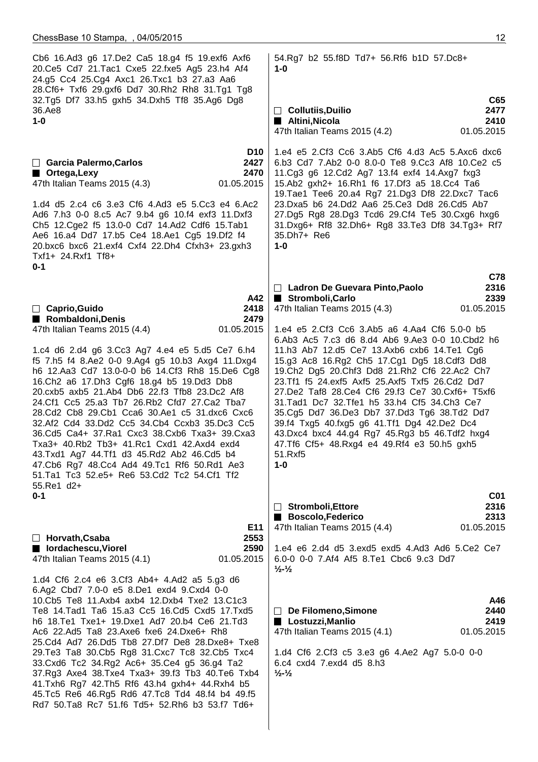Cb6 16.Ad3 g6 17.De2 Ca5 18.g4 f5 19.exf6 Axf6 20.Ce5 Cd7 21.Tac1 Cxe5 22.fxe5 Ag5 23.h4 Af4 24.g5 Cc4 25.Cg4 Axc1 26.Txc1 b3 27.a3 Aa6 28.Cf6+ Txf6 29.gxf6 Dd7 30.Rh2 Rh8 31.Tg1 Tg8 32.Tg5 Df7 33.h5 gxh5 34.Dxh5 Tf8 35.Ag6 Dg8 36.Ae8 **1-0 D10 Garcia Palermo,Carlos 2427 Ortega,Lexy 2470** 47th Italian Teams 2015 (4.3) 01.05.2015 1.d4 d5 2.c4 c6 3.e3 Cf6 4.Ad3 e5 5.Cc3 e4 6.Ac2 Ad6 7.h3 0-0 8.c5 Ac7 9.b4 g6 10.f4 exf3 11.Dxf3 Ch5 12.Cge2 f5 13.0-0 Cd7 14.Ad2 Cdf6 15.Tab1 Ae6 16.a4 Dd7 17.b5 Ce4 18.Ae1 Cg5 19.Df2 f4 20.bxc6 bxc6 21.exf4 Cxf4 22.Dh4 Cfxh3+ 23.gxh3 Txf1+ 24.Rxf1 Tf8+ **0-1 A42 Caprio,Guido 2418 Rombaldoni,Denis 2479** 47th Italian Teams 2015 (4.4) 01.05.2015 1.c4 d6 2.d4 g6 3.Cc3 Ag7 4.e4 e5 5.d5 Ce7 6.h4 f5 7.h5 f4 8.Ae2 0-0 9.Ag4 g5 10.b3 Axg4 11.Dxg4 h6 12.Aa3 Cd7 13.0-0-0 b6 14.Cf3 Rh8 15.De6 Cg8 16.Ch2 a6 17.Dh3 Cgf6 18.g4 b5 19.Dd3 Db8 20.cxb5 axb5 21.Ab4 Db6 22.f3 Tfb8 23.Dc2 Af8 24.Cf1 Cc5 25.a3 Tb7 26.Rb2 Cfd7 27.Ca2 Tba7 28.Cd2 Cb8 29.Cb1 Cca6 30.Ae1 c5 31.dxc6 Cxc6 32.Af2 Cd4 33.Dd2 Cc5 34.Cb4 Ccxb3 35.Dc3 Cc5 36.Cd5 Ca4+ 37.Ra1 Cxc3 38.Cxb6 Txa3+ 39.Cxa3 Txa3+ 40.Rb2 Tb3+ 41.Rc1 Cxd1 42.Axd4 exd4 43.Txd1 Ag7 44.Tf1 d3 45.Rd2 Ab2 46.Cd5 b4 47.Cb6 Rg7 48.Cc4 Ad4 49.Tc1 Rf6 50.Rd1 Ae3 51.Ta1 Tc3 52.e5+ Re6 53.Cd2 Tc2 54.Cf1 Tf2 55.Re1 d2+ **0-1 E11 Horvath,Csaba 2553** ■ lordachescu,Viorel 2590 47th Italian Teams 2015 (4.1) 01.05.2015 1.d4 Cf6 2.c4 e6 3.Cf3 Ab4+ 4.Ad2 a5 5.g3 d6 6.Ag2 Cbd7 7.0-0 e5 8.De1 exd4 9.Cxd4 0-0 10.Cb5 Te8 11.Axb4 axb4 12.Dxb4 Txe2 13.C1c3 Te8 14.Tad1 Ta6 15.a3 Cc5 16.Cd5 Cxd5 17.Txd5 h6 18.Te1 Txe1+ 19.Dxe1 Ad7 20.b4 Ce6 21.Td3 Ac6 22.Ad5 Ta8 23.Axe6 fxe6 24.Dxe6+ Rh8 25.Cd4 Ad7 26.Dd5 Tb8 27.Df7 De8 28.Dxe8+ Txe8 29.Te3 Ta8 30.Cb5 Rg8 31.Cxc7 Tc8 32.Cb5 Txc4 33.Cxd6 Tc2 34.Rg2 Ac6+ 35.Ce4 g5 36.g4 Ta2 37.Rg3 Axe4 38.Txe4 Txa3+ 39.f3 Tb3 40.Te6 Txb4 41.Txh6 Rg7 42.Th5 Rf6 43.h4 gxh4+ 44.Rxh4 b5 45.Tc5 Re6 46.Rg5 Rd6 47.Tc8 Td4 48.f4 b4 49.f5 Rd7 50.Ta8 Rc7 51.f6 Td5+ 52.Rh6 b3 53.f7 Td6+ 54.Rg7 b2 55.f8D Td7+ 56.Rf6 b1D 57.Dc8+ **1-0 C65 Collutiis,Duilio 2477 Altini,Nicola 2410** 47th Italian Teams 2015 (4.2) 01.05.2015 1.e4 e5 2.Cf3 Cc6 3.Ab5 Cf6 4.d3 Ac5 5.Axc6 dxc6 6.b3 Cd7 7.Ab2 0-0 8.0-0 Te8 9.Cc3 Af8 10.Ce2 c5 11.Cg3 g6 12.Cd2 Ag7 13.f4 exf4 14.Axg7 fxg3 15.Ab2 gxh2+ 16.Rh1 f6 17.Df3 a5 18.Cc4 Ta6 19.Tae1 Tee6 20.a4 Rg7 21.Dg3 Df8 22.Dxc7 Tac6 23.Dxa5 b6 24.Dd2 Aa6 25.Ce3 Dd8 26.Cd5 Ab7 27.Dg5 Rg8 28.Dg3 Tcd6 29.Cf4 Te5 30.Cxg6 hxg6 31.Dxg6+ Rf8 32.Dh6+ Rg8 33.Te3 Df8 34.Tg3+ Rf7 35.Dh7+ Re6 **1-0 C78 Ladron De Guevara Pinto,Paolo 2316** ■ Stromboli,Carlo 2339 47th Italian Teams 2015 (4.3) 01.05.2015 1.e4 e5 2.Cf3 Cc6 3.Ab5 a6 4.Aa4 Cf6 5.0-0 b5 6.Ab3 Ac5 7.c3 d6 8.d4 Ab6 9.Ae3 0-0 10.Cbd2 h6 11.h3 Ab7 12.d5 Ce7 13.Axb6 cxb6 14.Te1 Cg6 15.g3 Ac8 16.Rg2 Ch5 17.Cg1 Dg5 18.Cdf3 Dd8 19.Ch2 Dg5 20.Chf3 Dd8 21.Rh2 Cf6 22.Ac2 Ch7 23.Tf1 f5 24.exf5 Axf5 25.Axf5 Txf5 26.Cd2 Dd7 27.De2 Taf8 28.Ce4 Cf6 29.f3 Ce7 30.Cxf6+ T5xf6 31.Tad1 Dc7 32.Tfe1 h5 33.h4 Cf5 34.Ch3 Ce7 35.Cg5 Dd7 36.De3 Db7 37.Dd3 Tg6 38.Td2 Dd7 39.f4 Txg5 40.fxg5 g6 41.Tf1 Dg4 42.De2 Dc4 43.Dxc4 bxc4 44.g4 Rg7 45.Rg3 b5 46.Tdf2 hxg4 47.Tf6 Cf5+ 48.Rxg4 e4 49.Rf4 e3 50.h5 gxh5 51.Rxf5 **1-0 C01** □ Stromboli.Ettore 2316 **Boscolo,Federico 2313** 47th Italian Teams 2015 (4.4) 01.05.2015 1.e4 e6 2.d4 d5 3.exd5 exd5 4.Ad3 Ad6 5.Ce2 Ce7 6.0-0 0-0 7.Af4 Af5 8.Te1 Cbc6 9.c3 Dd7 **½-½ A46** □ De Filomeno,Simone 2440 ■ Lostuzzi,Manlio 2419 47th Italian Teams 2015 (4.1) 01.05.2015 1.d4 Cf6 2.Cf3 c5 3.e3 g6 4.Ae2 Ag7 5.0-0 0-0 6.c4 cxd4 7.exd4 d5 8.h3 **½-½**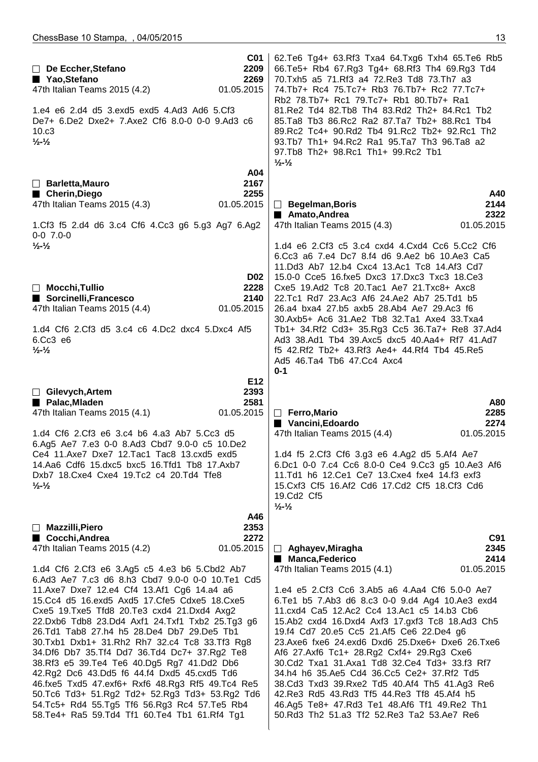| C <sub>01</sub><br>2209<br>$\Box$ De Eccher, Stefano<br>2269<br>■ Yao, Stefano<br>47th Italian Teams 2015 (4.2)<br>01.05.2015<br>1.e4 e6 2.d4 d5 3.exd5 exd5 4.Ad3 Ad6 5.Cf3<br>De7+ 6.De2 Dxe2+ 7.Axe2 Cf6 8.0-0 0-0 9.Ad3 c6<br>10.c3<br>$\frac{1}{2} - \frac{1}{2}$                                                                                                                                                                                                                                                                                                                                                                                                                                                                                                                                             | 62. Te6 Tg4+ 63. Rf3 Txa4 64. Txg6 Txh4 65. Te6 Rb5<br>66.Te5+ Rb4 67.Rg3 Tg4+ 68.Rf3 Th4 69.Rg3 Td4<br>70.Txh5 a5 71.Rf3 a4 72.Re3 Td8 73.Th7 a3<br>74.Tb7+ Rc4 75.Tc7+ Rb3 76.Tb7+ Rc2 77.Tc7+<br>Rb2 78.Tb7+ Rc1 79.Tc7+ Rb1 80.Tb7+ Ra1<br>81.Re2 Td4 82.Tb8 Th4 83.Rd2 Th2+ 84.Rc1 Tb2<br>85.Ta8 Tb3 86.Rc2 Ra2 87.Ta7 Tb2+ 88.Rc1 Tb4<br>89.Rc2 Tc4+ 90.Rd2 Tb4 91.Rc2 Tb2+ 92.Rc1 Th2<br>93.Tb7 Th1+ 94.Rc2 Ra1 95.Ta7 Th3 96.Ta8 a2<br>97.Tb8 Th2+ 98.Rc1 Th1+ 99.Rc2 Tb1<br>$\frac{1}{2}$ - $\frac{1}{2}$                                                                                                                                                               |
|--------------------------------------------------------------------------------------------------------------------------------------------------------------------------------------------------------------------------------------------------------------------------------------------------------------------------------------------------------------------------------------------------------------------------------------------------------------------------------------------------------------------------------------------------------------------------------------------------------------------------------------------------------------------------------------------------------------------------------------------------------------------------------------------------------------------|----------------------------------------------------------------------------------------------------------------------------------------------------------------------------------------------------------------------------------------------------------------------------------------------------------------------------------------------------------------------------------------------------------------------------------------------------------------------------------------------------------------------------------------------------------------------------------------------------------------------------------------------------------------------------------|
| A04<br>2167<br>$\Box$ Barletta, Mauro<br>2255<br>■ Cherin, Diego<br>47th Italian Teams 2015 (4.3)<br>01.05.2015<br>1.Cf3 f5 2.d4 d6 3.c4 Cf6 4.Cc3 g6 5.g3 Ag7 6.Ag2<br>$0-0$ 7.0-0                                                                                                                                                                                                                                                                                                                                                                                                                                                                                                                                                                                                                                | A40<br>2144<br>$\Box$ Begelman, Boris<br>2322<br>■ Amato, Andrea<br>47th Italian Teams 2015 (4.3)<br>01.05.2015                                                                                                                                                                                                                                                                                                                                                                                                                                                                                                                                                                  |
| $\frac{1}{2}$ - $\frac{1}{2}$<br><b>D02</b><br>$\Box$ Mocchi, Tullio<br>2228<br>Sorcinelli, Francesco<br>2140<br>47th Italian Teams 2015 (4.4)<br>01.05.2015<br>1.d4 Cf6 2.Cf3 d5 3.c4 c6 4.Dc2 dxc4 5.Dxc4 Af5<br>6.Cc3 e6<br>$\frac{1}{2}$ - $\frac{1}{2}$                                                                                                                                                                                                                                                                                                                                                                                                                                                                                                                                                       | 1.d4 e6 2.Cf3 c5 3.c4 cxd4 4.Cxd4 Cc6 5.Cc2 Cf6<br>6.Cc3 a6 7.e4 Dc7 8.f4 d6 9.Ae2 b6 10.Ae3 Ca5<br>11.Dd3 Ab7 12.b4 Cxc4 13.Ac1 Tc8 14.Af3 Cd7<br>15.0-0 Cce5 16.fxe5 Dxc3 17.Dxc3 Txc3 18.Ce3<br>Cxe5 19.Ad2 Tc8 20.Tac1 Ae7 21.Txc8+ Axc8<br>22.Tc1 Rd7 23.Ac3 Af6 24.Ae2 Ab7 25.Td1 b5<br>26.a4 bxa4 27.b5 axb5 28.Ab4 Ae7 29.Ac3 f6<br>30.Axb5+ Ac6 31.Ae2 Tb8 32.Ta1 Axe4 33.Txa4<br>Tb1+ 34.Rf2 Cd3+ 35.Rg3 Cc5 36.Ta7+ Re8 37.Ad4<br>Ad3 38.Ad1 Tb4 39.Axc5 dxc5 40.Aa4+ Rf7 41.Ad7<br>f5 42.Rf2 Tb2+ 43.Rf3 Ae4+ 44.Rf4 Tb4 45.Re5<br>Ad5 46.Ta4 Tb6 47.Cc4 Axc4<br>$0 - 1$                                                                                             |
| E12<br>$\Box$ Gilevych, Artem<br>2393<br>2581<br>Palac, Mladen<br>47th Italian Teams 2015 (4.1)<br>01.05.2015<br>1.d4 Cf6 2.Cf3 e6 3.c4 b6 4.a3 Ab7 5.Cc3 d5<br>6.Ag5 Ae7 7.e3 0-0 8.Ad3 Cbd7 9.0-0 c5 10.De2<br>Ce4 11.Axe7 Dxe7 12.Tac1 Tac8 13.cxd5 exd5<br>14.Aa6 Cdf6 15.dxc5 bxc5 16.Tfd1 Tb8 17.Axb7<br>Dxb7 18. Cxe4 Cxe4 19. Tc2 c4 20. Td4 Tfe8<br>$\frac{1}{2}$ - $\frac{1}{2}$<br>A46                                                                                                                                                                                                                                                                                                                                                                                                                  | A80<br>$\Box$ Ferro, Mario<br>2285<br>Vancini, Edoardo<br>2274<br>47th Italian Teams 2015 (4.4)<br>01.05.2015<br>1.d4 f5 2.Cf3 Cf6 3.g3 e6 4.Ag2 d5 5.Af4 Ae7<br>6.Dc1 0-0 7.c4 Cc6 8.0-0 Ce4 9.Cc3 g5 10.Ae3 Af6<br>11.Td1 h6 12.Ce1 Ce7 13.Cxe4 fxe4 14.f3 exf3<br>15. Cxf3 Cf5 16. Af2 Cd6 17. Cd2 Cf5 18. Cf3 Cd6<br>19.Cd2 Cf5<br>$\frac{1}{2}$ - $\frac{1}{2}$                                                                                                                                                                                                                                                                                                             |
| 2353<br>$\Box$ Mazzilli, Piero<br>■ Cocchi, Andrea<br>2272<br>01.05.2015<br>47th Italian Teams 2015 (4.2)<br>1.d4 Cf6 2.Cf3 e6 3.Ag5 c5 4.e3 b6 5.Cbd2 Ab7<br>6.Ad3 Ae7 7.c3 d6 8.h3 Cbd7 9.0-0 0-0 10.Te1 Cd5<br>11.Axe7 Dxe7 12.e4 Cf4 13.Af1 Cg6 14.a4 a6<br>15.Cc4 d5 16.exd5 Axd5 17.Cfe5 Cdxe5 18.Cxe5<br>Cxe5 19. Txe5 Tfd8 20. Te3 cxd4 21. Dxd4 Axg2<br>22.Dxb6 Tdb8 23.Dd4 Axf1 24.Txf1 Txb2 25.Tg3 g6<br>26.Td1 Tab8 27.h4 h5 28.De4 Db7 29.De5 Tb1<br>30.Txb1 Dxb1+ 31.Rh2 Rh7 32.c4 Tc8 33.Tf3 Rg8<br>34.Df6 Db7 35.Tf4 Dd7 36.Td4 Dc7+ 37.Rg2 Te8<br>38.Rf3 e5 39.Te4 Te6 40.Dg5 Rg7 41.Dd2 Db6<br>42.Rg2 Dc6 43.Dd5 f6 44.f4 Dxd5 45.cxd5 Td6<br>46.fxe5 Txd5 47.exf6+ Rxf6 48.Rg3 Rf5 49.Tc4 Re5<br>50.Tc6 Td3+ 51.Rg2 Td2+ 52.Rg3 Td3+ 53.Rg2 Td6<br>54.Tc5+ Rd4 55.Tg5 Tf6 56.Rg3 Rc4 57.Te5 Rb4 | C91<br>$\Box$ Aghayev, Miragha<br>2345<br>2414<br><b>Manca, Federico</b><br>01.05.2015<br>47th Italian Teams 2015 (4.1)<br>1.e4 e5 2.Cf3 Cc6 3.Ab5 a6 4.Aa4 Cf6 5.0-0 Ae7<br>6. Te1 b5 7. Ab3 d6 8. c3 0-0 9. d4 Ag4 10. Ae3 exd4<br>11.cxd4 Ca5 12.Ac2 Cc4 13.Ac1 c5 14.b3 Cb6<br>15.Ab2 cxd4 16.Dxd4 Axf3 17.gxf3 Tc8 18.Ad3 Ch5<br>19.f4 Cd7 20.e5 Cc5 21.Af5 Ce6 22.De4 g6<br>23.Axe6 fxe6 24.exd6 Dxd6 25.Dxe6+ Dxe6 26.Txe6<br>Af6 27.Axf6 Tc1+ 28.Rg2 Cxf4+ 29.Rg3 Cxe6<br>30.Cd2 Txa1 31.Axa1 Td8 32.Ce4 Td3+ 33.f3 Rf7<br>34.h4 h6 35.Ae5 Cd4 36.Cc5 Ce2+ 37.Rf2 Td5<br>38.Cd3 Txd3 39.Rxe2 Td5 40.Af4 Th5 41.Ag3 Re6<br>42. Re3 Rd5 43. Rd3 Tf5 44. Re3 Tf8 45. Af4 h5 |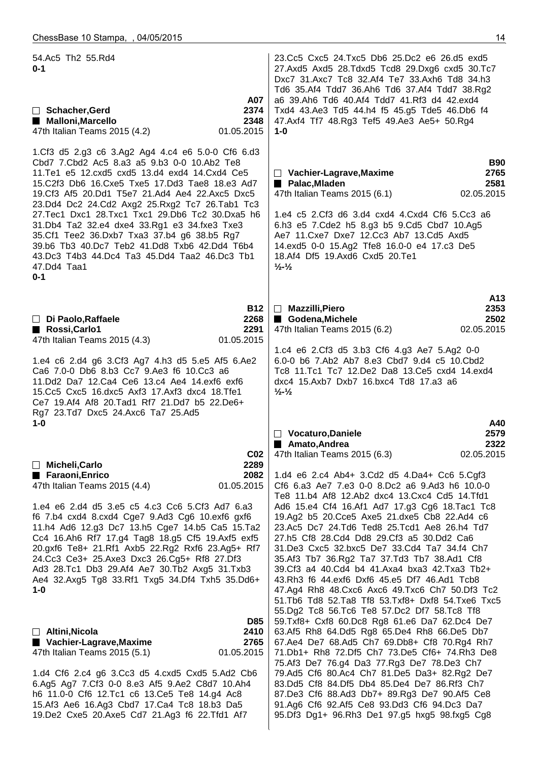19.De2 Cxe5 20.Axe5 Cd7 21.Ag3 f6 22.Tfd1 Af7

| 54.Ac5 Th2 55.Rd4<br>$0 - 1$<br>A07                                                                                                                                                                                                                                                                                                                                                                                                                                                                                                                                                          | 23. Cc5 Cxc5 24. Txc5 Db6 25. Dc2 e6 26. d5 exd5<br>27.Axd5 Axd5 28.Tdxd5 Tcd8 29.Dxg6 cxd5 30.Tc7<br>Dxc7 31.Axc7 Tc8 32.Af4 Te7 33.Axh6 Td8 34.h3<br>Td6 35.Af4 Tdd7 36.Ah6 Td6 37.Af4 Tdd7 38.Rg2<br>a6 39.Ah6 Td6 40.Af4 Tdd7 41.Rf3 d4 42.exd4                                                                                                                                                                                                                                                                                                                                                                                                                                                 |
|----------------------------------------------------------------------------------------------------------------------------------------------------------------------------------------------------------------------------------------------------------------------------------------------------------------------------------------------------------------------------------------------------------------------------------------------------------------------------------------------------------------------------------------------------------------------------------------------|-----------------------------------------------------------------------------------------------------------------------------------------------------------------------------------------------------------------------------------------------------------------------------------------------------------------------------------------------------------------------------------------------------------------------------------------------------------------------------------------------------------------------------------------------------------------------------------------------------------------------------------------------------------------------------------------------------|
| 2374<br>□ Schacher, Gerd<br><b>Malloni, Marcello</b><br>2348<br>47th Italian Teams 2015 (4.2)<br>01.05.2015                                                                                                                                                                                                                                                                                                                                                                                                                                                                                  | Txd4 43.Ae3 Td5 44.h4 f5 45.g5 Tde5 46.Db6 f4<br>47.Axf4 Tf7 48.Rg3 Tef5 49.Ae3 Ae5+ 50.Rg4<br>$1 - 0$                                                                                                                                                                                                                                                                                                                                                                                                                                                                                                                                                                                              |
| 1.Cf3 d5 2.g3 c6 3.Ag2 Ag4 4.c4 e6 5.0-0 Cf6 6.d3<br>Cbd7 7.Cbd2 Ac5 8.a3 a5 9.b3 0-0 10.Ab2 Te8<br>11. Te1 e5 12. cxd5 cxd5 13.d4 exd4 14. Cxd4 Ce5<br>15.C2f3 Db6 16.Cxe5 Txe5 17.Dd3 Tae8 18.e3 Ad7<br>19.Cf3 Af5 20.Dd1 T5e7 21.Ad4 Ae4 22.Axc5 Dxc5<br>23.Dd4 Dc2 24.Cd2 Axg2 25.Rxg2 Tc7 26.Tab1 Tc3<br>27. Tec1 Dxc1 28. Txc1 Txc1 29. Db6 Tc2 30. Dxa5 h6<br>31.Db4 Ta2 32.e4 dxe4 33.Rg1 e3 34.fxe3 Txe3<br>35.Cf1 Tee2 36.Dxb7 Txa3 37.b4 g6 38.b5 Rg7<br>39.b6 Tb3 40.Dc7 Teb2 41.Dd8 Txb6 42.Dd4 T6b4<br>43.Dc3 T4b3 44.Dc4 Ta3 45.Dd4 Taa2 46.Dc3 Tb1<br>47.Dd4 Taa1<br>$0 - 1$ | <b>B90</b><br>2765<br>$\Box$ Vachier-Lagrave, Maxime<br>2581<br>Palac, Miaden<br>02.05.2015<br>47th Italian Teams 2015 (6.1)<br>1.e4 c5 2.Cf3 d6 3.d4 cxd4 4.Cxd4 Cf6 5.Cc3 a6<br>6.h3 e5 7.Cde2 h5 8.g3 b5 9.Cd5 Cbd7 10.Ag5<br>Ae7 11. Cxe7 Dxe7 12. Cc3 Ab7 13. Cd5 Axd5<br>14.exd5 0-0 15.Ag2 Tfe8 16.0-0 e4 17.c3 De5<br>18.Af4 Df5 19.Axd6 Cxd5 20.Te1<br>$\frac{1}{2}$ - $\frac{1}{2}$                                                                                                                                                                                                                                                                                                       |
| <b>B12</b><br>2268<br>$\Box$ Di Paolo, Raffaele<br>Rossi, Carlo1<br>2291<br>01.05.2015<br>47th Italian Teams 2015 (4.3)                                                                                                                                                                                                                                                                                                                                                                                                                                                                      | A13<br>$\Box$ Mazzilli, Piero<br>2353<br>Godena, Michele<br>2502<br>02.05.2015<br>47th Italian Teams 2015 (6.2)                                                                                                                                                                                                                                                                                                                                                                                                                                                                                                                                                                                     |
| 1.e4 c6 2.d4 g6 3.Cf3 Ag7 4.h3 d5 5.e5 Af5 6.Ae2<br>Ca6 7.0-0 Db6 8.b3 Cc7 9.Ae3 f6 10.Cc3 a6<br>11.Dd2 Da7 12.Ca4 Ce6 13.c4 Ae4 14.exf6 exf6<br>15.Cc5 Cxc5 16.dxc5 Axf3 17.Axf3 dxc4 18.Tfe1<br>Ce7 19.Af4 Af8 20.Tad1 Rf7 21.Dd7 b5 22.De6+<br>Rg7 23.Td7 Dxc5 24.Axc6 Ta7 25.Ad5                                                                                                                                                                                                                                                                                                         | 1.c4 e6 2.Cf3 d5 3.b3 Cf6 4.g3 Ae7 5.Ag2 0-0<br>6.0-0 b6 7.Ab2 Ab7 8.e3 Cbd7 9.d4 c5 10.Cbd2<br>Tc8 11.Tc1 Tc7 12.De2 Da8 13.Ce5 cxd4 14.exd4<br>dxc4 15.Axb7 Dxb7 16.bxc4 Td8 17.a3 a6<br>$\frac{1}{2}$ - $\frac{1}{2}$                                                                                                                                                                                                                                                                                                                                                                                                                                                                            |
| $1 - 0$                                                                                                                                                                                                                                                                                                                                                                                                                                                                                                                                                                                      | A40<br>Vocaturo, Daniele<br>2579                                                                                                                                                                                                                                                                                                                                                                                                                                                                                                                                                                                                                                                                    |
| CO <sub>2</sub><br>2289<br>□ Micheli, Carlo                                                                                                                                                                                                                                                                                                                                                                                                                                                                                                                                                  | 2322<br>Amato, Andrea<br>02.05.2015<br>47th Italian Teams 2015 (6.3)                                                                                                                                                                                                                                                                                                                                                                                                                                                                                                                                                                                                                                |
| 2082<br>■ Faraoni, Enrico<br>01.05.2015<br>47th Italian Teams 2015 (4.4)<br>1.e4 e6 2.d4 d5 3.e5 c5 4.c3 Cc6 5.Cf3 Ad7 6.a3<br>f6 7.b4 cxd4 8.cxd4 Cge7 9.Ad3 Cg6 10.exf6 gxf6<br>11.h4 Ad6 12.g3 Dc7 13.h5 Cge7 14.b5 Ca5 15.Ta2<br>Cc4 16.Ah6 Rf7 17.g4 Tag8 18.g5 Cf5 19.Axf5 exf5<br>20.gxf6 Te8+ 21.Rf1 Axb5 22.Rg2 Rxf6 23.Ag5+ Rf7<br>24.Cc3 Ce3+ 25.Axe3 Dxc3 26.Cg5+ Rf8 27.Df3<br>Ad3 28.Tc1 Db3 29.Af4 Ae7 30.Tb2 Axg5 31.Txb3<br>Ae4 32.Axg5 Tg8 33.Rf1 Txg5 34.Df4 Txh5 35.Dd6+<br>$1 - 0$                                                                                      | 1.d4 e6 2.c4 Ab4+ 3.Cd2 d5 4.Da4+ Cc6 5.Cgf3<br>Cf6 6.a3 Ae7 7.e3 0-0 8.Dc2 a6 9.Ad3 h6 10.0-0<br>Te8 11.b4 Af8 12.Ab2 dxc4 13.Cxc4 Cd5 14.Tfd1<br>Ad6 15.e4 Cf4 16.Af1 Ad7 17.g3 Cg6 18.Tac1 Tc8<br>19.Ag2 b5 20.Cce5 Axe5 21.dxe5 Cb8 22.Ad4 c6<br>23.Ac5 Dc7 24.Td6 Ted8 25.Tcd1 Ae8 26.h4 Td7<br>27.h5 Cf8 28.Cd4 Dd8 29.Cf3 a5 30.Dd2 Ca6<br>31.De3 Cxc5 32.bxc5 De7 33.Cd4 Ta7 34.f4 Ch7<br>35.Af3 Tb7 36.Rg2 Ta7 37.Td3 Tb7 38.Ad1 Cf8<br>39.Cf3 a4 40.Cd4 b4 41.Axa4 bxa3 42.Txa3 Tb2+<br>43.Rh3 f6 44.exf6 Dxf6 45.e5 Df7 46.Ad1 Tcb8<br>47.Ag4 Rh8 48.Cxc6 Axc6 49.Txc6 Ch7 50.Df3 Tc2<br>51.Tb6 Td8 52.Ta8 Tf8 53.Txf8+ Dxf8 54.Txe6 Txc5<br>55.Dg2 Tc8 56.Tc6 Te8 57.Dc2 Df7 58.Tc8 Tf8 |
| <b>D85</b><br>$\Box$ Altini, Nicola<br>2410                                                                                                                                                                                                                                                                                                                                                                                                                                                                                                                                                  | 59.Txf8+ Cxf8 60.Dc8 Rg8 61.e6 Da7 62.Dc4 De7<br>63.Af5 Rh8 64.Dd5 Rg8 65.De4 Rh8 66.De5 Db7                                                                                                                                                                                                                                                                                                                                                                                                                                                                                                                                                                                                        |
| ■ Vachier-Lagrave, Maxime<br>2765<br>47th Italian Teams 2015 (5.1)<br>01.05.2015                                                                                                                                                                                                                                                                                                                                                                                                                                                                                                             | 67.Ae4 De7 68.Ad5 Ch7 69.Db8+ Cf8 70.Rg4 Rh7<br>71.Db1+ Rh8 72.Df5 Ch7 73.De5 Cf6+ 74.Rh3 De8                                                                                                                                                                                                                                                                                                                                                                                                                                                                                                                                                                                                       |
| 1.d4 Cf6 2.c4 g6 3.Cc3 d5 4.cxd5 Cxd5 5.Ad2 Cb6<br>6.Ag5 Ag7 7.Cf3 0-0 8.e3 Af5 9.Ae2 C8d7 10.Ah4<br>h6 11.0-0 Cf6 12.Tc1 c6 13.Ce5 Te8 14.g4 Ac8<br>15.Af3 Ae6 16.Ag3 Cbd7 17.Ca4 Tc8 18.b3 Da5                                                                                                                                                                                                                                                                                                                                                                                             | 75.Af3 De7 76.g4 Da3 77.Rg3 De7 78.De3 Ch7<br>79.Ad5 Cf6 80.Ac4 Ch7 81.De5 Da3+ 82.Rg2 De7<br>83.Dd5 Cf8 84.Df5 Db4 85.De4 De7 86.Rf3 Ch7<br>87.De3 Cf6 88.Ad3 Db7+ 89.Rg3 De7 90.Af5 Ce8<br>91.Ag6 Cf6 92.Af5 Ce8 93.Dd3 Cf6 94.Dc3 Da7                                                                                                                                                                                                                                                                                                                                                                                                                                                            |

95.Df3 Dg1+ 96.Rh3 De1 97.g5 hxg5 98.fxg5 Cg8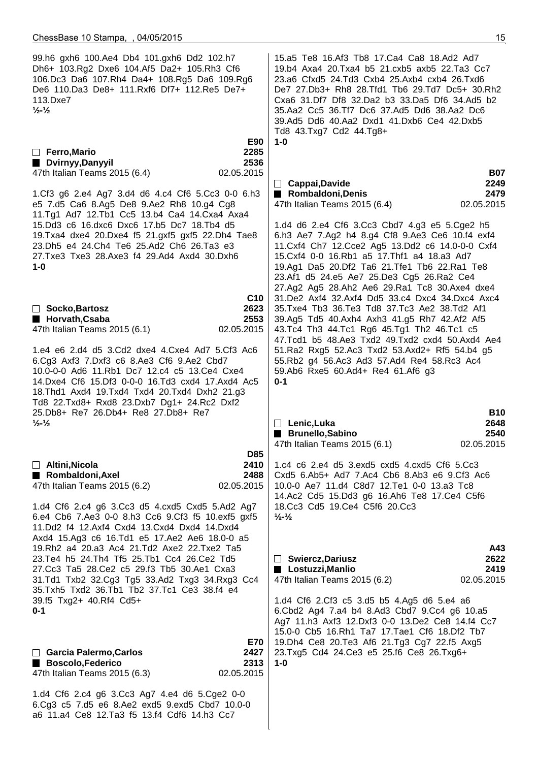a6 11.a4 Ce8 12.Ta3 f5 13.f4 Cdf6 14.h3 Cc7

 99.h6 gxh6 100.Ae4 Db4 101.gxh6 Dd2 102.h7 Dh6+ 103.Rg2 Dxe6 104.Af5 Da2+ 105.Rh3 Cf6 106.Dc3 Da6 107.Rh4 Da4+ 108.Rg5 Da6 109.Rg6 De6 110.Da3 De8+ 111.Rxf6 Df7+ 112.Re5 De7+ 113.Dxe7 **½-½ E90 Ferro,Mario 2285 Dvirnyy,Danyyil 2536** 47th Italian Teams 2015 (6.4) 02.05.2015 1.Cf3 g6 2.e4 Ag7 3.d4 d6 4.c4 Cf6 5.Cc3 0-0 6.h3 e5 7.d5 Ca6 8.Ag5 De8 9.Ae2 Rh8 10.g4 Cg8 11.Tg1 Ad7 12.Tb1 Cc5 13.b4 Ca4 14.Cxa4 Axa4 15.Dd3 c6 16.dxc6 Dxc6 17.b5 Dc7 18.Tb4 d5 19.Txa4 dxe4 20.Dxe4 f5 21.gxf5 gxf5 22.Dh4 Tae8 23.Dh5 e4 24.Ch4 Te6 25.Ad2 Ch6 26.Ta3 e3 27.Txe3 Txe3 28.Axe3 f4 29.Ad4 Axd4 30.Dxh6 **1-0 C10 Socko,Bartosz 2623 Horvath,Csaba 2553** 47th Italian Teams 2015 (6.1) 02.05.2015 1.e4 e6 2.d4 d5 3.Cd2 dxe4 4.Cxe4 Ad7 5.Cf3 Ac6 6.Cg3 Axf3 7.Dxf3 c6 8.Ae3 Cf6 9.Ae2 Cbd7 10.0-0-0 Ad6 11.Rb1 Dc7 12.c4 c5 13.Ce4 Cxe4 14.Dxe4 Cf6 15.Df3 0-0-0 16.Td3 cxd4 17.Axd4 Ac5 18.Thd1 Axd4 19.Txd4 Txd4 20.Txd4 Dxh2 21.g3 Td8 22.Txd8+ Rxd8 23.Dxb7 Dg1+ 24.Rc2 Dxf2 25.Db8+ Re7 26.Db4+ Re8 27.Db8+ Re7 **½-½ D85 Altini,Nicola 2410** ■ Rombaldoni,Axel 2488 47th Italian Teams 2015 (6.2) 02.05.2015 1.d4 Cf6 2.c4 g6 3.Cc3 d5 4.cxd5 Cxd5 5.Ad2 Ag7 6.e4 Cb6 7.Ae3 0-0 8.h3 Cc6 9.Cf3 f5 10.exf5 gxf5 11.Dd2 f4 12.Axf4 Cxd4 13.Cxd4 Dxd4 14.Dxd4 Axd4 15.Ag3 c6 16.Td1 e5 17.Ae2 Ae6 18.0-0 a5 19.Rh2 a4 20.a3 Ac4 21.Td2 Axe2 22.Txe2 Ta5 23.Te4 h5 24.Th4 Tf5 25.Tb1 Cc4 26.Ce2 Td5 27.Cc3 Ta5 28.Ce2 c5 29.f3 Tb5 30.Ae1 Cxa3 31.Td1 Txb2 32.Cg3 Tg5 33.Ad2 Txg3 34.Rxg3 Cc4 35.Txh5 Txd2 36.Tb1 Tb2 37.Tc1 Ce3 38.f4 e4 39.f5 Txg2+ 40.Rf4 Cd5+ **0-1 E70 Garcia Palermo,Carlos 2427** ■ Boscolo,Federico 2313 47th Italian Teams 2015 (6.3) 02.05.2015 1.d4 Cf6 2.c4 g6 3.Cc3 Ag7 4.e4 d6 5.Cge2 0-0 6.Cg3 c5 7.d5 e6 8.Ae2 exd5 9.exd5 Cbd7 10.0-0 15.a5 Te8 16.Af3 Tb8 17.Ca4 Ca8 18.Ad2 Ad7 19.b4 Axa4 20.Txa4 b5 21.cxb5 axb5 22.Ta3 Cc7 23.a6 Cfxd5 24.Td3 Cxb4 25.Axb4 cxb4 26.Txd6 De7 27.Db3+ Rh8 28.Tfd1 Tb6 29.Td7 Dc5+ 30.Rh2 Cxa6 31.Df7 Df8 32.Da2 b3 33.Da5 Df6 34.Ad5 b2 35.Aa2 Cc5 36.Tf7 Dc6 37.Ad5 Dd6 38.Aa2 Dc6 39.Ad5 Dd6 40.Aa2 Dxd1 41.Dxb6 Ce4 42.Dxb5 Td8 43.Txg7 Cd2 44.Tg8+ **1-0 B07 Cappai,Davide 2249** ■ Rombaldoni,Denis 2479 47th Italian Teams 2015 (6.4) 02.05.2015 1.d4 d6 2.e4 Cf6 3.Cc3 Cbd7 4.g3 e5 5.Cge2 h5 6.h3 Ae7 7.Ag2 h4 8.g4 Cf8 9.Ae3 Ce6 10.f4 exf4 11.Cxf4 Ch7 12.Cce2 Ag5 13.Dd2 c6 14.0-0-0 Cxf4 15.Cxf4 0-0 16.Rb1 a5 17.Thf1 a4 18.a3 Ad7 19.Ag1 Da5 20.Df2 Ta6 21.Tfe1 Tb6 22.Ra1 Te8 23.Af1 d5 24.e5 Ae7 25.De3 Cg5 26.Ra2 Ce4 27.Ag2 Ag5 28.Ah2 Ae6 29.Ra1 Tc8 30.Axe4 dxe4 31.De2 Axf4 32.Axf4 Dd5 33.c4 Dxc4 34.Dxc4 Axc4 35.Txe4 Tb3 36.Te3 Td8 37.Tc3 Ae2 38.Td2 Af1 39.Ag5 Td5 40.Axh4 Axh3 41.g5 Rh7 42.Af2 Af5 43.Tc4 Th3 44.Tc1 Rg6 45.Tg1 Th2 46.Tc1 c5 47.Tcd1 b5 48.Ae3 Txd2 49.Txd2 cxd4 50.Axd4 Ae4 51.Ra2 Rxg5 52.Ac3 Txd2 53.Axd2+ Rf5 54.b4 g5 55.Rb2 g4 56.Ac3 Ad3 57.Ad4 Re4 58.Rc3 Ac4 59.Ab6 Rxe5 60.Ad4+ Re4 61.Af6 g3 **0-1 B10 Lenic,Luka 2648 Brunello,Sabino 2540** 47th Italian Teams 2015 (6.1) 02.05.2015 1.c4 c6 2.e4 d5 3.exd5 cxd5 4.cxd5 Cf6 5.Cc3 Cxd5 6.Ab5+ Ad7 7.Ac4 Cb6 8.Ab3 e6 9.Cf3 Ac6 10.0-0 Ae7 11.d4 C8d7 12.Te1 0-0 13.a3 Tc8 14.Ac2 Cd5 15.Dd3 g6 16.Ah6 Te8 17.Ce4 C5f6 18.Cc3 Cd5 19.Ce4 C5f6 20.Cc3 **½-½ A43 Swiercz,Dariusz 2622 Lostuzzi,Manlio 2419** 47th Italian Teams 2015 (6.2) 02.05.2015 1.d4 Cf6 2.Cf3 c5 3.d5 b5 4.Ag5 d6 5.e4 a6 6.Cbd2 Ag4 7.a4 b4 8.Ad3 Cbd7 9.Cc4 g6 10.a5 Ag7 11.h3 Axf3 12.Dxf3 0-0 13.De2 Ce8 14.f4 Cc7 15.0-0 Cb5 16.Rh1 Ta7 17.Tae1 Cf6 18.Df2 Tb7 19.Dh4 Ce8 20.Te3 Af6 21.Tg3 Cg7 22.f5 Axg5 23.Txg5 Cd4 24.Ce3 e5 25.f6 Ce8 26.Txg6+ **1-0**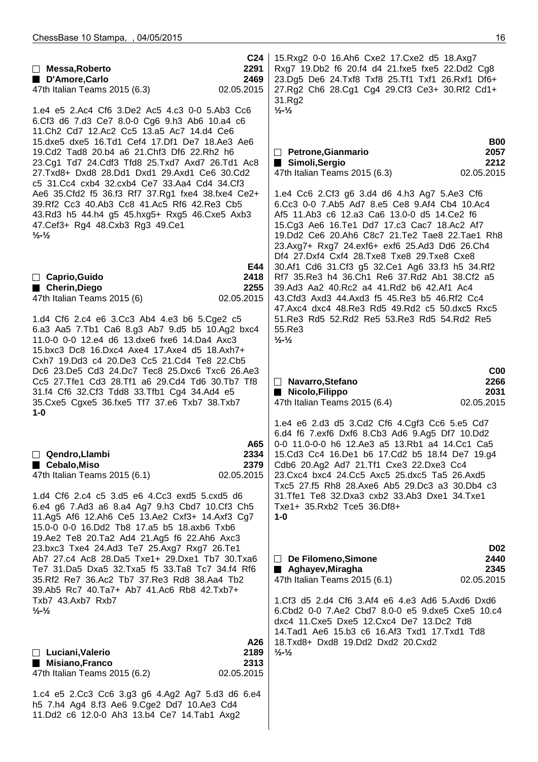|                                                                                                                                                                                                                 | C <sub>24</sub>    | 15. Rxg2 0-0 16. Ah6 Cxe2 17. Cxe2 d5 18. Axg7                                                   |                    |
|-----------------------------------------------------------------------------------------------------------------------------------------------------------------------------------------------------------------|--------------------|--------------------------------------------------------------------------------------------------|--------------------|
| $\Box$ Messa, Roberto                                                                                                                                                                                           | 2291               | Rxg7 19.Db2 f6 20.f4 d4 21.fxe5 fxe5 22.Dd2 Cg8                                                  |                    |
| D'Amore, Carlo                                                                                                                                                                                                  | 2469               | 23.Dg5 De6 24.Txf8 Txf8 25.Tf1 Txf1 26.Rxf1 Df6+                                                 |                    |
| 47th Italian Teams 2015 (6.3)                                                                                                                                                                                   | 02.05.2015         | 27.Rg2 Ch6 28.Cg1 Cg4 29.Cf3 Ce3+ 30.Rf2 Cd1+                                                    |                    |
| 1.e4 e5 2.Ac4 Cf6 3.De2 Ac5 4.c3 0-0 5.Ab3 Cc6<br>6.Cf3 d6 7.d3 Ce7 8.0-0 Cg6 9.h3 Ab6 10.a4 c6<br>11. Ch <sub>2</sub> Cd7 12. Ac2 Cc5 13. a 5 Ac7 14. d4 Ce6<br>15.dxe5 dxe5 16.Td1 Cef4 17.Df1 De7 18.Ae3 Ae6 |                    | 31.Rg2<br>$\frac{1}{2}$ - $\frac{1}{2}$                                                          | <b>B00</b>         |
| 19.Cd2 Tad8 20.b4 a6 21.Chf3 Df6 22.Rh2 h6                                                                                                                                                                      |                    | $\Box$ Petrone, Gianmario                                                                        | 2057               |
| 23.Cg1 Td7 24.Cdf3 Tfd8 25.Txd7 Axd7 26.Td1 Ac8                                                                                                                                                                 |                    | Simoli, Sergio                                                                                   | 2212               |
| 27.Txd8+ Dxd8 28.Dd1 Dxd1 29.Axd1 Ce6 30.Cd2<br>c5 31.Cc4 cxb4 32.cxb4 Ce7 33.Aa4 Cd4 34.Cf3                                                                                                                    |                    | 47th Italian Teams 2015 (6.3)                                                                    | 02.05.2015         |
| Ae6 35. Cfd2 f5 36. f3 Rf7 37. Rg1 fxe4 38. fxe4 Ce2+                                                                                                                                                           |                    | 1.e4 Cc6 2.Cf3 g6 3.d4 d6 4.h3 Ag7 5.Ae3 Cf6                                                     |                    |
| 39.Rf2 Cc3 40.Ab3 Cc8 41.Ac5 Rf6 42.Re3 Cb5<br>43.Rd3 h5 44.h4 g5 45.hxg5+ Rxg5 46.Cxe5 Axb3                                                                                                                    |                    | 6.Cc3 0-0 7.Ab5 Ad7 8.e5 Ce8 9.Af4 Cb4 10.Ac4<br>Af5 11.Ab3 c6 12.a3 Ca6 13.0-0 d5 14.Ce2 f6     |                    |
| 47. Cef3+ Rg4 48. Cxb3 Rg3 49. Ce1                                                                                                                                                                              |                    | 15.Cg3 Ae6 16.Te1 Dd7 17.c3 Cac7 18.Ac2 Af7                                                      |                    |
| $\frac{1}{2}$ - $\frac{1}{2}$                                                                                                                                                                                   |                    | 19.Dd2 Ce6 20.Ah6 C8c7 21.Te2 Tae8 22.Tae1 Rh8                                                   |                    |
|                                                                                                                                                                                                                 |                    | 23.Axg7+ Rxg7 24.exf6+ exf6 25.Ad3 Dd6 26.Ch4                                                    |                    |
|                                                                                                                                                                                                                 |                    | Df4 27.Dxf4 Cxf4 28.Txe8 Txe8 29.Txe8 Cxe8                                                       |                    |
| $\Box$ Caprio, Guido                                                                                                                                                                                            | E44<br>2418        | 30.Af1 Cd6 31.Cf3 g5 32.Ce1 Ag6 33.f3 h5 34.Rf2<br>Rf7 35.Re3 h4 36.Ch1 Re6 37.Rd2 Ab1 38.Cf2 a5 |                    |
| ■ Cherin, Diego                                                                                                                                                                                                 | 2255               | 39.Ad3 Aa2 40.Rc2 a4 41.Rd2 b6 42.Af1 Ac4                                                        |                    |
| 47th Italian Teams 2015 (6)                                                                                                                                                                                     | 02.05.2015         | 43. Cfd3 Axd3 44. Axd3 f5 45. Re3 b5 46. Rf2 Cc4                                                 |                    |
|                                                                                                                                                                                                                 |                    | 47.Axc4 dxc4 48.Re3 Rd5 49.Rd2 c5 50.dxc5 Rxc5                                                   |                    |
| 1.d4 Cf6 2.c4 e6 3.Cc3 Ab4 4.e3 b6 5.Cge2 c5                                                                                                                                                                    |                    | 51. Re3 Rd5 52. Rd2 Re5 53. Re3 Rd5 54. Rd2 Re5                                                  |                    |
| 6.a3 Aa5 7.Tb1 Ca6 8.g3 Ab7 9.d5 b5 10.Ag2 bxc4<br>11.0-0 0-0 12.e4 d6 13.dxe6 fxe6 14.Da4 Axc3                                                                                                                 |                    | 55.Re3<br>$\frac{1}{2}$ $\frac{1}{2}$                                                            |                    |
| 15.bxc3 Dc8 16.Dxc4 Axe4 17.Axe4 d5 18.Axh7+                                                                                                                                                                    |                    |                                                                                                  |                    |
| Cxh7 19.Dd3 c4 20.De3 Cc5 21.Cd4 Te8 22.Cb5                                                                                                                                                                     |                    |                                                                                                  |                    |
| Dc6 23.De5 Cd3 24.Dc7 Tec8 25.Dxc6 Txc6 26.Ae3                                                                                                                                                                  |                    |                                                                                                  | C <sub>00</sub>    |
| Cc5 27. Tfe1 Cd3 28. Tf1 a6 29. Cd4 Td6 30. Tb7 Tf8                                                                                                                                                             |                    | Navarro, Stefano<br>$\Box$                                                                       | 2266               |
| 31.f4 Cf6 32.Cf3 Tdd8 33.Tfb1 Cg4 34.Ad4 e5                                                                                                                                                                     |                    | Nicolo, Filippo                                                                                  | 2031               |
|                                                                                                                                                                                                                 |                    |                                                                                                  |                    |
| 35. Cxe5 Cgxe5 36. fxe5 Tf7 37. e6 Txb7 38. Txb7<br>$1 - 0$                                                                                                                                                     |                    | 47th Italian Teams 2015 (6.4)                                                                    | 02.05.2015         |
|                                                                                                                                                                                                                 |                    | 1.e4 e6 2.d3 d5 3.Cd2 Cf6 4.Cgf3 Cc6 5.e5 Cd7<br>6.d4 f6 7.exf6 Dxf6 8.Cb3 Ad6 9.Ag5 Df7 10.Dd2  |                    |
|                                                                                                                                                                                                                 | A65                | 0-0 11.0-0-0 h6 12.Ae3 a5 13.Rb1 a4 14.Cc1 Ca5                                                   |                    |
| $\Box$ Qendro, Llambi                                                                                                                                                                                           | 2334               | 15.Cd3 Cc4 16.De1 b6 17.Cd2 b5 18.f4 De7 19.g4                                                   |                    |
| ■ Cebalo, Miso<br>47th Italian Teams 2015 (6.1)                                                                                                                                                                 | 2379<br>02.05.2015 | Cdb6 20.Ag2 Ad7 21.Tf1 Cxe3 22.Dxe3 Cc4<br>23. Cxc4 bxc4 24. Cc5 Axc5 25. dxc5 Ta5 26. Axd5      |                    |
|                                                                                                                                                                                                                 |                    | Txc5 27.f5 Rh8 28.Axe6 Ab5 29.Dc3 a3 30.Db4 c3                                                   |                    |
| 1.d4 Cf6 2.c4 c5 3.d5 e6 4.Cc3 exd5 5.cxd5 d6                                                                                                                                                                   |                    | 31. Tfe1 Te8 32. Dxa3 cxb2 33. Ab3 Dxe1 34. Txe1                                                 |                    |
| 6.e4 g6 7.Ad3 a6 8.a4 Ag7 9.h3 Cbd7 10.Cf3 Ch5                                                                                                                                                                  |                    | Txe1+ 35.Rxb2 Tce5 36.Df8+<br>$1 - 0$                                                            |                    |
| 11.Ag5 Af6 12.Ah6 Ce5 13.Ae2 Cxf3+ 14.Axf3 Cg7<br>15.0-0 0-0 16.Dd2 Tb8 17.a5 b5 18.axb6 Txb6                                                                                                                   |                    |                                                                                                  |                    |
| 19.Ae2 Te8 20.Ta2 Ad4 21.Ag5 f6 22.Ah6 Axc3                                                                                                                                                                     |                    |                                                                                                  |                    |
| 23.bxc3 Txe4 24.Ad3 Te7 25.Axg7 Rxg7 26.Te1                                                                                                                                                                     |                    |                                                                                                  | <b>D02</b>         |
| Ab7 27.c4 Ac8 28.Da5 Txe1+ 29.Dxe1 Tb7 30.Txa6                                                                                                                                                                  |                    | $\Box$ De Filomeno, Simone                                                                       | 2440               |
| Te7 31.Da5 Dxa5 32.Txa5 f5 33.Ta8 Tc7 34.f4 Rf6<br>35.Rf2 Re7 36.Ac2 Tb7 37.Re3 Rd8 38.Aa4 Tb2                                                                                                                  |                    | ■ Aghayev, Miragha<br>47th Italian Teams 2015 (6.1)                                              | 2345<br>02.05.2015 |
| 39.Ab5 Rc7 40.Ta7+ Ab7 41.Ac6 Rb8 42.Txb7+                                                                                                                                                                      |                    |                                                                                                  |                    |
| Txb7 43.Axb7 Rxb7                                                                                                                                                                                               |                    | 1.Cf3 d5 2.d4 Cf6 3.Af4 e6 4.e3 Ad6 5.Axd6 Dxd6                                                  |                    |
| $\frac{1}{2}$ - $\frac{1}{2}$                                                                                                                                                                                   |                    | 6.Cbd2 0-0 7.Ae2 Cbd7 8.0-0 e5 9.dxe5 Cxe5 10.c4<br>dxc4 11. Cxe5 Dxe5 12. Cxc4 De7 13. Dc2 Td8  |                    |
|                                                                                                                                                                                                                 |                    | 14. Tad1 Ae6 15.b3 c6 16. Af3 Txd1 17. Txd1 Td8                                                  |                    |
|                                                                                                                                                                                                                 | A26                | 18.Txd8+ Dxd8 19.Dd2 Dxd2 20.Cxd2                                                                |                    |
| $\Box$ Luciani, Valerio                                                                                                                                                                                         | 2189               | $\frac{1}{2}$ - $\frac{1}{2}$                                                                    |                    |
| ■ Misiano, Franco<br>47th Italian Teams 2015 (6.2)                                                                                                                                                              | 2313<br>02.05.2015 |                                                                                                  |                    |
|                                                                                                                                                                                                                 |                    |                                                                                                  |                    |
| 1.c4 e5 2.Cc3 Cc6 3.g3 g6 4.Ag2 Ag7 5.d3 d6 6.e4                                                                                                                                                                |                    |                                                                                                  |                    |
| h5 7.h4 Ag4 8.f3 Ae6 9.Cge2 Dd7 10.Ae3 Cd4<br>11.Dd2 c6 12.0-0 Ah3 13.b4 Ce7 14.Tab1 Axg2                                                                                                                       |                    |                                                                                                  |                    |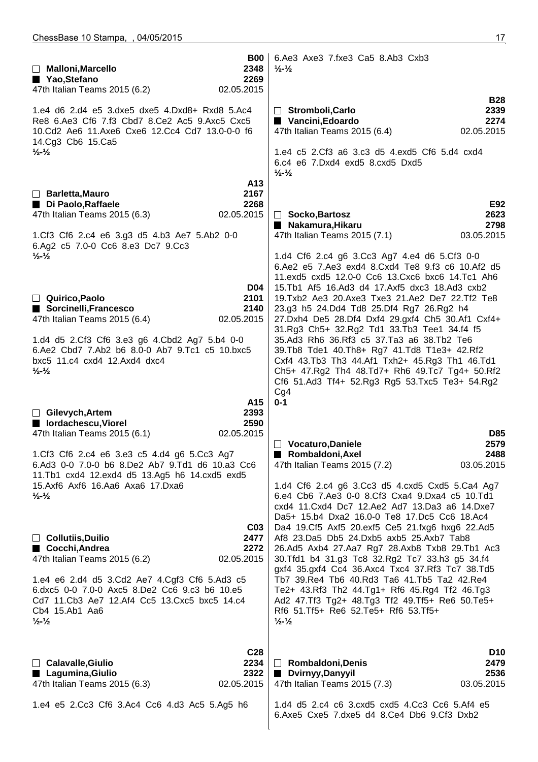|                                                                                                                                                                                                 | <b>B00</b>                                    | 6.Ae3 Axe3 7.fxe3 Ca5 8.Ab3 Cxb3                                                                                                                                                                                                                          |                                               |
|-------------------------------------------------------------------------------------------------------------------------------------------------------------------------------------------------|-----------------------------------------------|-----------------------------------------------------------------------------------------------------------------------------------------------------------------------------------------------------------------------------------------------------------|-----------------------------------------------|
| Malloni, Marcello<br>■ Yao, Stefano                                                                                                                                                             | 2348<br>2269                                  | $\frac{1}{2}$ - $\frac{1}{2}$                                                                                                                                                                                                                             |                                               |
| 47th Italian Teams 2015 (6.2)                                                                                                                                                                   | 02.05.2015                                    |                                                                                                                                                                                                                                                           | <b>B28</b>                                    |
| 1.e4 d6 2.d4 e5 3.dxe5 dxe5 4.Dxd8+ Rxd8 5.Ac4<br>Re8 6.Ae3 Cf6 7.f3 Cbd7 8.Ce2 Ac5 9.Axc5 Cxc5<br>10.Cd2 Ae6 11.Axe6 Cxe6 12.Cc4 Cd7 13.0-0-0 f6                                               |                                               | $\Box$ Stromboli, Carlo<br>Vancini, Edoardo<br>47th Italian Teams 2015 (6.4)                                                                                                                                                                              | 2339<br>2274<br>02.05.2015                    |
| 14.Cg3 Cb6 15.Ca5<br>$\frac{1}{2}$ $\frac{1}{2}$                                                                                                                                                | A13                                           | 1.e4 c5 2.Cf3 a6 3.c3 d5 4.exd5 Cf6 5.d4 cxd4<br>6.c4 e6 7.Dxd4 exd5 8.cxd5 Dxd5<br>$\frac{1}{2}$ - $\frac{1}{2}$                                                                                                                                         |                                               |
| $\Box$ Barletta, Mauro                                                                                                                                                                          | 2167                                          |                                                                                                                                                                                                                                                           |                                               |
| Di Paolo, Raffaele<br>47th Italian Teams 2015 (6.3)                                                                                                                                             | 2268<br>02.05.2015                            | $\Box$ Socko, Bartosz<br>■ Nakamura, Hikaru                                                                                                                                                                                                               | E92<br>2623<br>2798                           |
| 1.Cf3 Cf6 2.c4 e6 3.g3 d5 4.b3 Ae7 5.Ab2 0-0<br>6.Ag2 c5 7.0-0 Cc6 8.e3 Dc7 9.Cc3                                                                                                               |                                               | 47th Italian Teams 2015 (7.1)                                                                                                                                                                                                                             | 03.05.2015                                    |
| $\frac{1}{2}$ - $\frac{1}{2}$                                                                                                                                                                   | D04                                           | 1.d4 Cf6 2.c4 g6 3.Cc3 Ag7 4.e4 d6 5.Cf3 0-0<br>6.Ae2 e5 7.Ae3 exd4 8.Cxd4 Te8 9.f3 c6 10.Af2 d5<br>11.exd5 cxd5 12.0-0 Cc6 13.Cxc6 bxc6 14.Tc1 Ah6<br>15. Tb1 Af5 16. Ad3 d4 17. Axf5 dxc3 18. Ad3 cxb2                                                  |                                               |
| Quirico, Paolo<br>Sorcinelli, Francesco<br>47th Italian Teams 2015 (6.4)                                                                                                                        | 2101<br>2140<br>02.05.2015                    | 19. Txb2 Ae3 20. Axe3 Txe3 21. Ae2 De7 22. Tf2 Te8<br>23.g3 h5 24.Dd4 Td8 25.Df4 Rg7 26.Rg2 h4<br>27.Dxh4 De5 28.Df4 Dxf4 29.gxf4 Ch5 30.Af1 Cxf4+<br>31.Rg3 Ch5+ 32.Rg2 Td1 33.Tb3 Tee1 34.f4 f5                                                         |                                               |
| 1.d4 d5 2.Cf3 Cf6 3.e3 g6 4.Cbd2 Ag7 5.b4 0-0<br>6.Ae2 Cbd7 7.Ab2 b6 8.0-0 Ab7 9.Tc1 c5 10.bxc5<br>bxc5 11.c4 cxd4 12.Axd4 dxc4<br>$\frac{1}{2}$ - $\frac{1}{2}$                                |                                               | 35.Ad3 Rh6 36.Rf3 c5 37.Ta3 a6 38.Tb2 Te6<br>39.Tb8 Tde1 40.Th8+ Rg7 41.Td8 T1e3+ 42.Rf2<br>Cxf4 43.Tb3 Th3 44.Af1 Txh2+ 45.Rg3 Th1 46.Td1<br>Ch5+ 47.Rg2 Th4 48.Td7+ Rh6 49.Tc7 Tg4+ 50.Rf2<br>Cf6 51.Ad3 Tf4+ 52.Rg3 Rg5 53.Txc5 Te3+ 54.Rg2<br>Cg4     |                                               |
| $\Box$ Gilevych, Artem<br>■ lordachescu, Viorel<br>47th Italian Teams 2015 (6.1)                                                                                                                | A15<br>2393<br>2590<br>02.05.2015             | $0 - 1$                                                                                                                                                                                                                                                   | <b>D85</b>                                    |
| 1.Cf3 Cf6 2.c4 e6 3.e3 c5 4.d4 g6 5.Cc3 Ag7<br>6.Ad3 0-0 7.0-0 b6 8.De2 Ab7 9.Td1 d6 10.a3 Cc6<br>11. Tb1 cxd4 12. exd4 d5 13. Ag5 h6 14. cxd5 exd5                                             |                                               | $\Box$ Vocaturo, Daniele<br>■ Rombaldoni, Axel<br>47th Italian Teams 2015 (7.2)                                                                                                                                                                           | 2579<br>2488<br>03.05.2015                    |
| 15.Axf6 Axf6 16.Aa6 Axa6 17.Dxa6<br>$\frac{1}{2}$ - $\frac{1}{2}$                                                                                                                               | CO <sub>3</sub>                               | 1.d4 Cf6 2.c4 g6 3.Cc3 d5 4.cxd5 Cxd5 5.Ca4 Ag7<br>6.e4 Cb6 7.Ae3 0-0 8.Cf3 Cxa4 9.Dxa4 c5 10.Td1<br>cxd4 11. Cxd4 Dc7 12. Ae2 Ad7 13. Da3 a6 14. Dxe7<br>Da5+ 15.b4 Dxa2 16.0-0 Te8 17.Dc5 Cc6 18.Ac4<br>Da4 19.Cf5 Axf5 20.exf5 Ce5 21.fxg6 hxg6 22.Ad5 |                                               |
| $\Box$ Collutiis, Duilio<br>■ Cocchi, Andrea<br>47th Italian Teams 2015 (6.2)                                                                                                                   | 2477<br>2272<br>02.05.2015                    | Af8 23.Da5 Db5 24.Dxb5 axb5 25.Axb7 Tab8<br>26.Ad5 Axb4 27.Aa7 Rg7 28.Axb8 Txb8 29.Tb1 Ac3<br>30. Tfd1 b4 31.g3 Tc8 32. Rg2 Tc7 33.h3 g5 34.f4<br>gxf4 35.gxf4 Cc4 36.Axc4 Txc4 37.Rf3 Tc7 38.Td5                                                         |                                               |
| 1.e4 e6 2.d4 d5 3.Cd2 Ae7 4.Cgf3 Cf6 5.Ad3 c5<br>6.dxc5 0-0 7.0-0 Axc5 8.De2 Cc6 9.c3 b6 10.e5<br>Cd7 11.Cb3 Ae7 12.Af4 Cc5 13.Cxc5 bxc5 14.c4<br>Cb4 15.Ab1 Aa6<br>$\frac{1}{2}$ $\frac{1}{2}$ |                                               | Tb7 39. Re4 Tb6 40. Rd3 Ta6 41. Tb5 Ta2 42. Re4<br>Te2+ 43.Rf3 Th2 44.Tg1+ Rf6 45.Rg4 Tf2 46.Tg3<br>Ad2 47.Tf3 Tg2+ 48.Tg3 Tf2 49.Tf5+ Re6 50.Te5+<br>Rf6 51.Tf5+ Re6 52.Te5+ Rf6 53.Tf5+<br>$\frac{1}{2}$ $\frac{1}{2}$                                  |                                               |
| □ Calavalle, Giulio<br>Lagumina, Giulio<br>47th Italian Teams 2015 (6.3)                                                                                                                        | C <sub>28</sub><br>2234<br>2322<br>02.05.2015 | $\Box$ Rombaldoni, Denis<br>Dvirnyy, Danyyil<br>47th Italian Teams 2015 (7.3)                                                                                                                                                                             | D <sub>10</sub><br>2479<br>2536<br>03.05.2015 |
| 1.e4 e5 2.Cc3 Cf6 3.Ac4 Cc6 4.d3 Ac5 5.Ag5 h6                                                                                                                                                   |                                               | 1.d4 d5 2.c4 c6 3.cxd5 cxd5 4.Cc3 Cc6 5.Af4 e5<br>6.Axe5 Cxe5 7.dxe5 d4 8.Ce4 Db6 9.Cf3 Dxb2                                                                                                                                                              |                                               |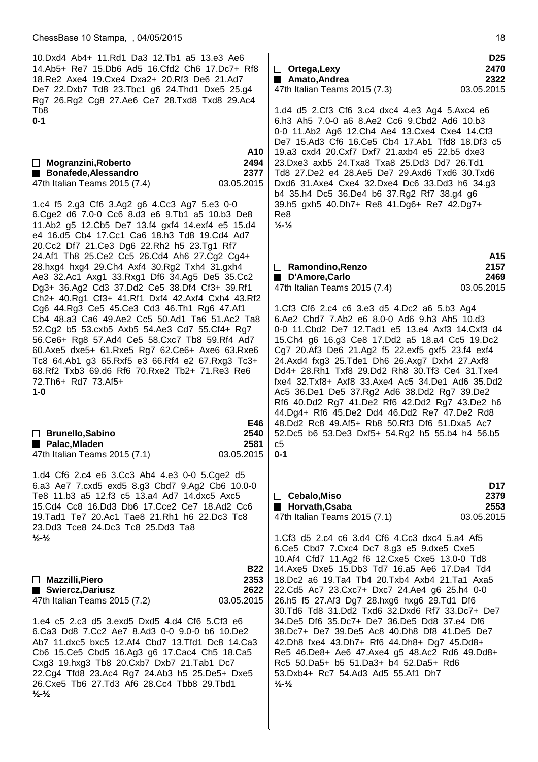**½-½**

| 10.Dxd4 Ab4+ 11.Rd1 Da3 12.Tb1 a5 13.e3 Ae6<br>14.Ab5+ Re7 15.Db6 Ad5 16.Cfd2 Ch6 17.Dc7+ Rf8<br>18. Re2 Axe4 19. Cxe4 Dxa2+ 20. Rf3 De6 21. Ad7<br>De7 22.Dxb7 Td8 23.Tbc1 g6 24.Thd1 Dxe5 25.g4<br>Rg7 26.Rg2 Cg8 27.Ae6 Ce7 28.Txd8 Txd8 29.Ac4<br>Tb8                                                                                                                                        | D <sub>25</sub><br>$\Box$ Ortega, Lexy<br>2470<br>Amato, Andrea<br>2322<br>03.05.2015<br>47th Italian Teams 2015 (7.3)<br>1.d4 d5 2.Cf3 Cf6 3.c4 dxc4 4.e3 Ag4 5.Axc4 e6                                                                                                                                                                                                                                                                                                                                                                                               |  |  |
|--------------------------------------------------------------------------------------------------------------------------------------------------------------------------------------------------------------------------------------------------------------------------------------------------------------------------------------------------------------------------------------------------|------------------------------------------------------------------------------------------------------------------------------------------------------------------------------------------------------------------------------------------------------------------------------------------------------------------------------------------------------------------------------------------------------------------------------------------------------------------------------------------------------------------------------------------------------------------------|--|--|
| $0 - 1$<br>A10<br>$\Box$ Mogranzini, Roberto<br>2494<br>Bonafede, Alessandro<br>2377<br>47th Italian Teams 2015 (7.4)<br>03.05.2015                                                                                                                                                                                                                                                              | 6.h3 Ah5 7.0-0 a6 8.Ae2 Cc6 9.Cbd2 Ad6 10.b3<br>0-0 11.Ab2 Ag6 12.Ch4 Ae4 13.Cxe4 Cxe4 14.Cf3<br>De7 15.Ad3 Cf6 16.Ce5 Cb4 17.Ab1 Tfd8 18.Df3 c5<br>19.a3 cxd4 20.Cxf7 Dxf7 21.axb4 e5 22.b5 dxe3<br>23. Dxe3 axb5 24. Txa8 Txa8 25. Dd3 Dd7 26. Td1<br>Td8 27.De2 e4 28.Ae5 De7 29.Axd6 Txd6 30.Txd6<br>Dxd6 31.Axe4 Cxe4 32.Dxe4 Dc6 33.Dd3 h6 34.g3<br>b4 35.h4 Dc5 36.De4 b6 37.Rg2 Rf7 38.g4 g6                                                                                                                                                                   |  |  |
| 1.c4 f5 2.g3 Cf6 3.Ag2 g6 4.Cc3 Ag7 5.e3 0-0<br>6.Cge2 d6 7.0-0 Cc6 8.d3 e6 9.Tb1 a5 10.b3 De8<br>11.Ab2 g5 12.Cb5 De7 13.f4 gxf4 14.exf4 e5 15.d4<br>e4 16.d5 Cb4 17.Cc1 Ca6 18.h3 Td8 19.Cd4 Ad7<br>20.Cc2 Df7 21.Ce3 Dg6 22.Rh2 h5 23.Tg1 Rf7                                                                                                                                                 | 39.h5 gxh5 40.Dh7+ Re8 41.Dg6+ Re7 42.Dg7+<br>Re8<br>$\frac{1}{2} - \frac{1}{2}$                                                                                                                                                                                                                                                                                                                                                                                                                                                                                       |  |  |
| 24.Af1 Th8 25.Ce2 Cc5 26.Cd4 Ah6 27.Cg2 Cg4+<br>28.hxg4 hxg4 29.Ch4 Axf4 30.Rg2 Txh4 31.gxh4<br>Ae3 32.Ac1 Axg1 33.Rxg1 Df6 34.Ag5 De5 35.Cc2<br>Dg3+ 36.Ag2 Cd3 37.Dd2 Ce5 38.Df4 Cf3+ 39.Rf1<br>Ch2+ 40.Rg1 Cf3+ 41.Rf1 Dxf4 42.Axf4 Cxh4 43.Rf2                                                                                                                                               | A15<br>2157<br>$\Box$ Ramondino, Renzo<br>2469<br>D'Amore, Carlo<br>47th Italian Teams 2015 (7.4)<br>03.05.2015                                                                                                                                                                                                                                                                                                                                                                                                                                                        |  |  |
| Cg6 44.Rg3 Ce5 45.Ce3 Cd3 46.Th1 Rg6 47.Af1<br>Cb4 48.a3 Ca6 49.Ae2 Cc5 50.Ad1 Ta6 51.Ac2 Ta8<br>52.Cg2 b5 53.cxb5 Axb5 54.Ae3 Cd7 55.Cf4+ Rg7<br>56. Ce6+ Rg8 57. Ad4 Ce5 58. Cxc7 Tb8 59. Rf4 Ad7<br>60.Axe5 dxe5+ 61.Rxe5 Rg7 62.Ce6+ Axe6 63.Rxe6<br>Tc8 64.Ab1 g3 65.Rxf5 e3 66.Rf4 e2 67.Rxg3 Tc3+<br>68.Rf2 Txb3 69.d6 Rf6 70.Rxe2 Tb2+ 71.Re3 Re6<br>72.Th6+ Rd7 73.Af5+<br>$1 - 0$      | 1.Cf3 Cf6 2.c4 c6 3.e3 d5 4.Dc2 a6 5.b3 Ag4<br>6.Ae2 Cbd7 7.Ab2 e6 8.0-0 Ad6 9.h3 Ah5 10.d3<br>0-0 11. Cbd2 De7 12. Tad1 e5 13. e4 Axf3 14. Cxf3 d4<br>15. Ch4 g6 16. g3 Ce8 17. Dd2 a5 18. a4 Cc5 19. Dc2<br>Cg7 20.Af3 De6 21.Ag2 f5 22.exf5 gxf5 23.f4 exf4<br>24.Axd4 fxg3 25.Tde1 Dh6 26.Axg7 Dxh4 27.Axf8<br>Dd4+ 28.Rh1 Txf8 29.Dd2 Rh8 30.Tf3 Ce4 31.Txe4<br>fxe4 32.Txf8+ Axf8 33.Axe4 Ac5 34.De1 Ad6 35.Dd2<br>Ac5 36.De1 De5 37.Rg2 Ad6 38.Dd2 Rg7 39.De2<br>Rf6 40.Dd2 Rg7 41.De2 Rf6 42.Dd2 Rg7 43.De2 h6<br>44.Dg4+ Rf6 45.De2 Dd4 46.Dd2 Re7 47.De2 Rd8 |  |  |
| E46<br>□ Brunello, Sabino<br>2540<br>Palac, Mladen<br>2581<br>47th Italian Teams 2015 (7.1)<br>03.05.2015                                                                                                                                                                                                                                                                                        | 48.Dd2 Rc8 49.Af5+ Rb8 50.Rf3 Df6 51.Dxa5 Ac7<br>52.Dc5 b6 53.De3 Dxf5+ 54.Rg2 h5 55.b4 h4 56.b5<br>c5<br>$0 - 1$                                                                                                                                                                                                                                                                                                                                                                                                                                                      |  |  |
| 1.d4 Cf6 2.c4 e6 3.Cc3 Ab4 4.e3 0-0 5.Cge2 d5<br>6.a3 Ae7 7.cxd5 exd5 8.g3 Cbd7 9.Ag2 Cb6 10.0-0<br>Te8 11.b3 a5 12.f3 c5 13.a4 Ad7 14.dxc5 Axc5<br>15.Cd4 Cc8 16.Dd3 Db6 17.Cce2 Ce7 18.Ad2 Cc6<br>19. Tad1 Te7 20. Ac1 Tae8 21. Rh1 h6 22. Dc3 Tc8<br>23.Dd3 Tce8 24.Dc3 Tc8 25.Dd3 Ta8                                                                                                        | D <sub>17</sub><br>$\Box$ Cebalo, Miso<br>2379<br>2553<br>Horvath, Csaba<br>47th Italian Teams 2015 (7.1)<br>03.05.2015                                                                                                                                                                                                                                                                                                                                                                                                                                                |  |  |
| $\frac{1}{2}$ $\frac{1}{2}$<br><b>B22</b><br>2353<br>$\Box$ Mazzilli, Piero<br>Swiercz, Dariusz<br>2622                                                                                                                                                                                                                                                                                          | 1.Cf3 d5 2.c4 c6 3.d4 Cf6 4.Cc3 dxc4 5.a4 Af5<br>6.Ce5 Cbd7 7.Cxc4 Dc7 8.g3 e5 9.dxe5 Cxe5<br>10.Af4 Cfd7 11.Ag2 f6 12.Cxe5 Cxe5 13.0-0 Td8<br>14. Axe 5 Dxe 5 15. Db 3 Td 7 16. a 5 Ae 6 17. Da 4 Td 4<br>18.Dc2 a6 19.Ta4 Tb4 20.Txb4 Axb4 21.Ta1 Axa5<br>22.Cd5 Ac7 23.Cxc7+ Dxc7 24.Ae4 g6 25.h4 0-0                                                                                                                                                                                                                                                               |  |  |
| 47th Italian Teams 2015 (7.2)<br>03.05.2015<br>1.e4 c5 2.c3 d5 3.exd5 Dxd5 4.d4 Cf6 5.Cf3 e6<br>6.Ca3 Dd8 7.Cc2 Ae7 8.Ad3 0-0 9.0-0 b6 10.De2<br>Ab7 11.dxc5 bxc5 12.Af4 Cbd7 13.Tfd1 Dc8 14.Ca3<br>Cb6 15.Ce5 Cbd5 16.Ag3 g6 17.Cac4 Ch5 18.Ca5<br>Cxg3 19.hxg3 Tb8 20.Cxb7 Dxb7 21.Tab1 Dc7<br>22.Cg4 Tfd8 23.Ac4 Rg7 24.Ab3 h5 25.De5+ Dxe5<br>26. Cxe5 Tb6 27. Td3 Af6 28. Cc4 Tbb8 29. Tbd1 | 26.h5 f5 27.Af3 Dg7 28.hxg6 hxg6 29.Td1 Df6<br>30.Td6 Td8 31.Dd2 Txd6 32.Dxd6 Rf7 33.Dc7+ De7<br>34.De5 Df6 35.Dc7+ De7 36.De5 Dd8 37.e4 Df6<br>38.Dc7+ De7 39.De5 Ac8 40.Dh8 Df8 41.De5 De7<br>42.Dh8 fxe4 43.Dh7+ Rf6 44.Dh8+ Dg7 45.Dd8+<br>Re5 46.De8+ Ae6 47.Axe4 g5 48.Ac2 Rd6 49.Dd8+<br>Rc5 50.Da5+ b5 51.Da3+ b4 52.Da5+ Rd6<br>53.Dxb4+ Rc7 54.Ad3 Ad5 55.Af1 Dh7<br>$\frac{1}{2}$ $\frac{1}{2}$                                                                                                                                                             |  |  |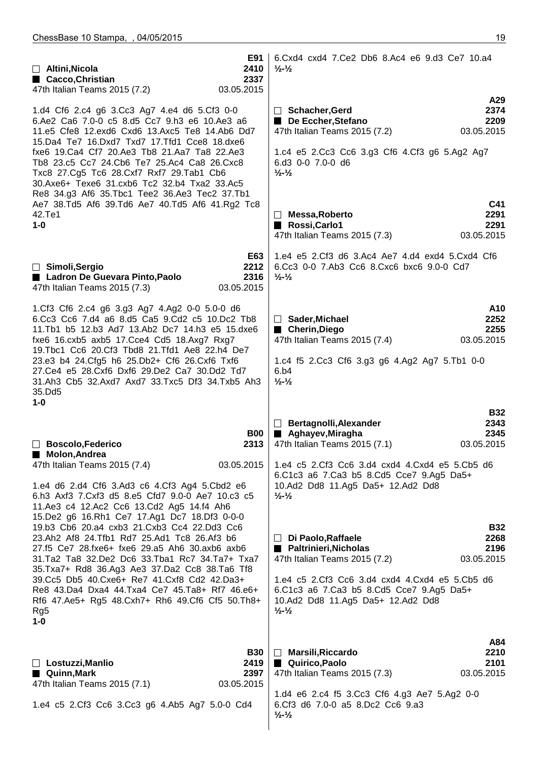| E91<br>2410<br>$\Box$ Altini, Nicola<br>■ Cacco, Christian<br>2337<br>47th Italian Teams 2015 (7.2)<br>03.05.2015                                                                                                                       | 6. Cxd4 cxd4 7. Ce2 Db6 8. Ac4 e6 9. d3 Ce7 10. a4<br>$\frac{1}{2}$ - $\frac{1}{2}$                                           |  |
|-----------------------------------------------------------------------------------------------------------------------------------------------------------------------------------------------------------------------------------------|-------------------------------------------------------------------------------------------------------------------------------|--|
|                                                                                                                                                                                                                                         | A29                                                                                                                           |  |
|                                                                                                                                                                                                                                         |                                                                                                                               |  |
| 1.d4 Cf6 2.c4 g6 3.Cc3 Ag7 4.e4 d6 5.Cf3 0-0                                                                                                                                                                                            | 2374<br>□ Schacher, Gerd                                                                                                      |  |
| 6.Ae2 Ca6 7.0-0 c5 8.d5 Cc7 9.h3 e6 10.Ae3 a6                                                                                                                                                                                           | De Eccher, Stefano<br>2209                                                                                                    |  |
| 11.e5 Cfe8 12.exd6 Cxd6 13.Axc5 Te8 14.Ab6 Dd7                                                                                                                                                                                          | 47th Italian Teams 2015 (7.2)<br>03.05.2015                                                                                   |  |
|                                                                                                                                                                                                                                         |                                                                                                                               |  |
| 15.Da4 Te7 16.Dxd7 Txd7 17.Tfd1 Cce8 18.dxe6<br>fxe6 19.Ca4 Cf7 20.Ae3 Tb8 21.Aa7 Ta8 22.Ae3<br>Tb8 23.c5 Cc7 24.Cb6 Te7 25.Ac4 Ca8 26.Cxc8<br>Txc8 27.Cg5 Tc6 28.Cxf7 Rxf7 29.Tab1 Cb6<br>30.Axe6+ Texe6 31.cxb6 Tc2 32.b4 Txa2 33.Ac5 | 1.c4 e5 2.Cc3 Cc6 3.g3 Cf6 4.Cf3 g6 5.Ag2 Ag7<br>6.d3 0-0 7.0-0 d6<br>$\frac{1}{2} - \frac{1}{2}$                             |  |
| Re8 34.g3 Af6 35. Tbc1 Tee2 36. Ae3 Tec2 37. Tb1                                                                                                                                                                                        |                                                                                                                               |  |
| Ae7 38.Td5 Af6 39.Td6 Ae7 40.Td5 Af6 41.Rg2 Tc8                                                                                                                                                                                         | C41                                                                                                                           |  |
|                                                                                                                                                                                                                                         | 2291                                                                                                                          |  |
| 42.Te1                                                                                                                                                                                                                                  | □ Messa, Roberto                                                                                                              |  |
| $1-0$                                                                                                                                                                                                                                   | Rossi, Carlo1<br>2291                                                                                                         |  |
|                                                                                                                                                                                                                                         | 03.05.2015<br>47th Italian Teams 2015 (7.3)                                                                                   |  |
|                                                                                                                                                                                                                                         |                                                                                                                               |  |
| E63<br>□ Simoli, Sergio<br>2212<br>Ladron De Guevara Pinto, Paolo<br>2316<br>47th Italian Teams 2015 (7.3)<br>03.05.2015                                                                                                                | 1.e4 e5 2.Cf3 d6 3.Ac4 Ae7 4.d4 exd4 5.Cxd4 Cf6<br>6.Cc3 0-0 7.Ab3 Cc6 8.Cxc6 bxc6 9.0-0 Cd7<br>$\frac{1}{2}$ - $\frac{1}{2}$ |  |
|                                                                                                                                                                                                                                         |                                                                                                                               |  |
| 1.Cf3 Cf6 2.c4 g6 3.g3 Ag7 4.Ag2 0-0 5.0-0 d6                                                                                                                                                                                           | A10                                                                                                                           |  |
| 6.Cc3 Cc6 7.d4 a6 8.d5 Ca5 9.Cd2 c5 10.Dc2 Tb8                                                                                                                                                                                          | 2252<br>□ Sader, Michael                                                                                                      |  |
| 11.Tb1 b5 12.b3 Ad7 13.Ab2 Dc7 14.h3 e5 15.dxe6                                                                                                                                                                                         | ■ Cherin, Diego<br>2255                                                                                                       |  |
| fxe6 16.cxb5 axb5 17.Cce4 Cd5 18.Axg7 Rxg7                                                                                                                                                                                              | 47th Italian Teams 2015 (7.4)<br>03.05.2015                                                                                   |  |
|                                                                                                                                                                                                                                         |                                                                                                                               |  |
| 19. Tbc1 Cc6 20. Cf3 Tbd8 21. Tfd1 Ae8 22. h4 De7<br>23.e3 b4 24. Cfg5 h6 25. Db2+ Cf6 26. Cxf6 Txf6<br>27.Ce4 e5 28.Cxf6 Dxf6 29.De2 Ca7 30.Dd2 Td7<br>31.Ah3 Cb5 32.Axd7 Axd7 33.Txc5 Df3 34.Txb5 Ah3                                 | 1.c4 f5 2.Cc3 Cf6 3.g3 g6 4.Ag2 Ag7 5.Tb1 0-0<br>6.b4<br>$\frac{1}{2}$ - $\frac{1}{2}$                                        |  |
| 35.Dd5                                                                                                                                                                                                                                  |                                                                                                                               |  |
| $1 - 0$                                                                                                                                                                                                                                 | <b>B32</b><br>Bertagnolli, Alexander<br>2343                                                                                  |  |
| <b>B00</b>                                                                                                                                                                                                                              | Aghayev, Miragha<br>2345                                                                                                      |  |
|                                                                                                                                                                                                                                         |                                                                                                                               |  |
| <b>Boscolo, Federico</b><br>2313                                                                                                                                                                                                        | 47th Italian Teams 2015 (7.1)<br>03.05.2015                                                                                   |  |
| Molon, Andrea<br><b>Reduction</b><br>03.05.2015<br>47th Italian Teams 2015 (7.4)                                                                                                                                                        | 1.e4 c5 2.Cf3 Cc6 3.d4 cxd4 4.Cxd4 e5 5.Cb5 d6<br>6.C1c3 a6 7.Ca3 b5 8.Cd5 Cce7 9.Ag5 Da5+                                    |  |
| 1.e4 d6 2.d4 Cf6 3.Ad3 c6 4.Cf3 Ag4 5.Cbd2 e6                                                                                                                                                                                           | 10.Ad2 Dd8 11.Ag5 Da5+ 12.Ad2 Dd8                                                                                             |  |
|                                                                                                                                                                                                                                         | $\frac{1}{2}$ - $\frac{1}{2}$                                                                                                 |  |
| 6.h3 Axf3 7.Cxf3 d5 8.e5 Cfd7 9.0-0 Ae7 10.c3 c5<br>11.Ae3 c4 12.Ac2 Cc6 13.Cd2 Ag5 14.f4 Ah6<br>15.De2 g6 16.Rh1 Ce7 17.Ag1 Dc7 18.Df3 0-0-0                                                                                           |                                                                                                                               |  |
| 19.b3 Cb6 20.a4 cxb3 21.Cxb3 Cc4 22.Dd3 Cc6                                                                                                                                                                                             | <b>B32</b>                                                                                                                    |  |
| 23.Ah2 Af8 24.Tfb1 Rd7 25.Ad1 Tc8 26.Af3 b6                                                                                                                                                                                             | $\Box$ Di Paolo, Raffaele<br>2268                                                                                             |  |
|                                                                                                                                                                                                                                         |                                                                                                                               |  |
| 27.f5 Ce7 28.fxe6+ fxe6 29.a5 Ah6 30.axb6 axb6                                                                                                                                                                                          | ■ Paltrinieri, Nicholas<br>2196                                                                                               |  |
| 31.Ta2 Ta8 32.De2 Dc6 33.Tba1 Rc7 34.Ta7+ Txa7                                                                                                                                                                                          | 47th Italian Teams 2015 (7.2)<br>03.05.2015                                                                                   |  |
| 35. Txa7+ Rd8 36. Ag3 Ae3 37. Da2 Cc8 38. Ta6 Tf8                                                                                                                                                                                       |                                                                                                                               |  |
| 39. Cc5 Db5 40. Cxe6+ Re7 41. Cxf8 Cd2 42. Da3+                                                                                                                                                                                         | 1.e4 c5 2.Cf3 Cc6 3.d4 cxd4 4.Cxd4 e5 5.Cb5 d6                                                                                |  |
|                                                                                                                                                                                                                                         |                                                                                                                               |  |
| Re8 43.Da4 Dxa4 44.Txa4 Ce7 45.Ta8+ Rf7 46.e6+                                                                                                                                                                                          | 6.C1c3 a6 7.Ca3 b5 8.Cd5 Cce7 9.Ag5 Da5+                                                                                      |  |
| Rf6 47.Ae5+ Rg5 48.Cxh7+ Rh6 49.Cf6 Cf5 50.Th8+                                                                                                                                                                                         | 10.Ad2 Dd8 11.Ag5 Da5+ 12.Ad2 Dd8                                                                                             |  |
| Rg5                                                                                                                                                                                                                                     | $\frac{1}{2}$ $\frac{1}{2}$                                                                                                   |  |
| $1-0$                                                                                                                                                                                                                                   |                                                                                                                               |  |
|                                                                                                                                                                                                                                         |                                                                                                                               |  |
|                                                                                                                                                                                                                                         |                                                                                                                               |  |
|                                                                                                                                                                                                                                         | A84                                                                                                                           |  |
| <b>B30</b>                                                                                                                                                                                                                              | <b>Marsili, Riccardo</b><br>2210<br>$\Box$                                                                                    |  |
| 2419                                                                                                                                                                                                                                    | 2101                                                                                                                          |  |
| $\Box$ Lostuzzi, Manlio                                                                                                                                                                                                                 | ■ Quirico, Paolo                                                                                                              |  |
| Quinn, Mark<br>2397                                                                                                                                                                                                                     | 03.05.2015<br>47th Italian Teams 2015 (7.3)                                                                                   |  |
| 47th Italian Teams 2015 (7.1)<br>03.05.2015                                                                                                                                                                                             |                                                                                                                               |  |
|                                                                                                                                                                                                                                         |                                                                                                                               |  |
| 1.e4 c5 2.Cf3 Cc6 3.Cc3 g6 4.Ab5 Ag7 5.0-0 Cd4                                                                                                                                                                                          | 1.d4 e6 2.c4 f5 3.Cc3 Cf6 4.g3 Ae7 5.Ag2 0-0<br>6.Cf3 d6 7.0-0 a5 8.Dc2 Cc6 9.a3<br>$\frac{1}{2}$ $\frac{1}{2}$               |  |